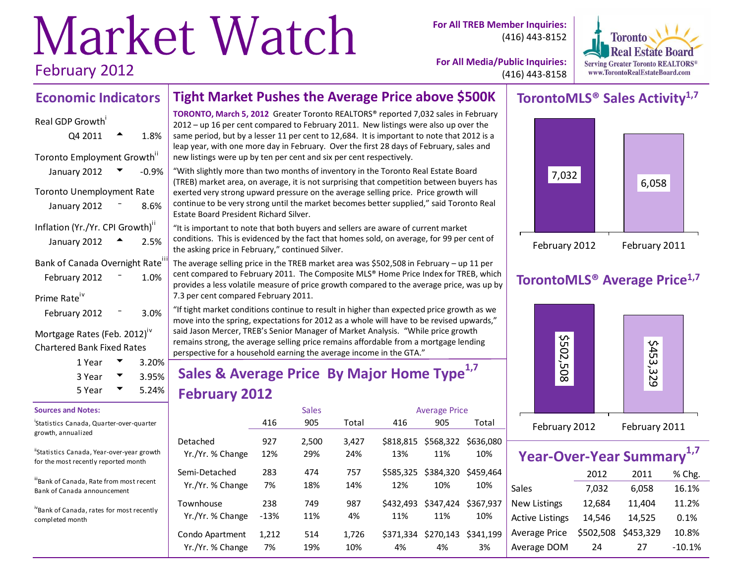# Market Watch February 2012

**For All TREB Member Inquiries:** (416) 443-8152



**For All Media/Public Inquiries:** (416) 443-8158

# **Economic Indicators**

# Real GDP Growth  $Q4\ 2011$   $\rightarrow$  1.8% Toronto Employment Growth" January 2012  $\blacktriangledown$  -0.9% Toronto Unemployment Rate January 2012  $-$  8.6% Inflation (Yr./Yr. CPI Growth)<sup>"</sup> January 2012  $\rightarrow$  2.5% Bank of Canada Overnight Rate<sup>1</sup> February 2012  $-$  1.0% Prime Rate<sup>iv</sup> February 2012  $-$  3.0%

Mortgage Rates (Feb. 2012)<sup>iv</sup> Chartered Bank Fixed Rates

| 1 Year | 3.20%    |
|--------|----------|
| 3 Year | 3.95%    |
| 5 Year | $5.24\%$ |

#### **Sources and Notes:**

i Statistics Canada, Quarter-over-quarter growth, annualized

"Statistics Canada, Year-over-year growth for the most recently reported month

iiBank of Canada, Rate from most recent Bank of Canada announcement

ivBank of Canada, rates for most recently completed month

**TORONTO, March 5, 2012** Greater Toronto REALTORS® reported 7,032 sales in February 2012 – up 16 per cent compared to February 2011. New listings were also up over the same period, but by a lesser 11 per cent to 12,684. It is important to note that 2012 is a leap year, with one more day in February. Over the first 28 days of February, sales and new listings were up by ten per cent and six per cent respectively.

**Tight Market Pushes the Average Price above \$500K**

"With slightly more than two months of inventory in the Toronto Real Estate Board (TREB) market area, on average, it is not surprising that competition between buyers has exerted very strong upward pressure on the average selling price. Price growth will continue to be very strong until the market becomes better supplied," said Toronto Real Estate Board President Richard Silver.

"It is important to note that both buyers and sellers are aware of current market conditions. This is evidenced by the fact that homes sold, on average, for 99 per cent of the asking price in February," continued Silver.

The average selling price in the TREB market area was \$502,508 in February – up 11 per cent compared to February 2011. The Composite MLS® Home Price Index for TREB, which provides a less volatile measure of price growth compared to the average price, was up by 7.3 per cent compared February 2011.

"If tight market conditions continue to result in higher than expected price growth as we move into the spring, expectations for 2012 as a whole will have to be revised upwards," said Jason Mercer, TREB's Senior Manager of Market Analysis. "While price growth remains strong, the average selling price remains affordable from a mortgage lending perspective for a household earning the average income in the GTA."

# **Sales & Average Price By Major Home Type1,7 February 2012**

|                  |        | <b>Sales</b> |       |           | <b>Average Price</b> |           |
|------------------|--------|--------------|-------|-----------|----------------------|-----------|
|                  | 416    | 905          | Total | 416       | 905                  | Total     |
| Detached         | 927    | 2,500        | 3,427 | \$818.815 | \$568,322            | \$636,080 |
| Yr./Yr. % Change | 12%    | 29%          | 24%   | 13%       | 11%                  | 10%       |
| Semi-Detached    | 283    | 474          | 757   | \$585.325 | \$384,320            | \$459,464 |
| Yr./Yr. % Change | 7%     | 18%          | 14%   | 12%       | 10%                  | 10%       |
| Townhouse        | 238    | 749          | 987   | \$432,493 | \$347,424            | \$367.937 |
| Yr./Yr. % Change | $-13%$ | 11%          | 4%    | 11%       | 11%                  | 10%       |
| Condo Apartment  | 1,212  | 514          | 1,726 | \$371.334 | \$270,143            | \$341.199 |
| Yr./Yr. % Change | 7%     | 19%          | 10%   | 4%        | 4%                   | 3%        |

## **TorontoMLS® Sales Activity1,7**



# **TorontoMLS® Average Price1,7**



|                        | <b>Year-Over-Year Summary</b> |           |          |  |  |  |  |  |  |  |  |  |
|------------------------|-------------------------------|-----------|----------|--|--|--|--|--|--|--|--|--|
|                        | 2012                          | 2011      | % Chg.   |  |  |  |  |  |  |  |  |  |
| Sales                  | 7,032                         | 6,058     | 16.1%    |  |  |  |  |  |  |  |  |  |
| <b>New Listings</b>    | 12,684                        | 11,404    | 11.2%    |  |  |  |  |  |  |  |  |  |
| <b>Active Listings</b> | 14,546                        | 14,525    | 0.1%     |  |  |  |  |  |  |  |  |  |
| Average Price          | \$502,508                     | \$453,329 | 10.8%    |  |  |  |  |  |  |  |  |  |
| Average DOM            | 24                            | 27        | $-10.1%$ |  |  |  |  |  |  |  |  |  |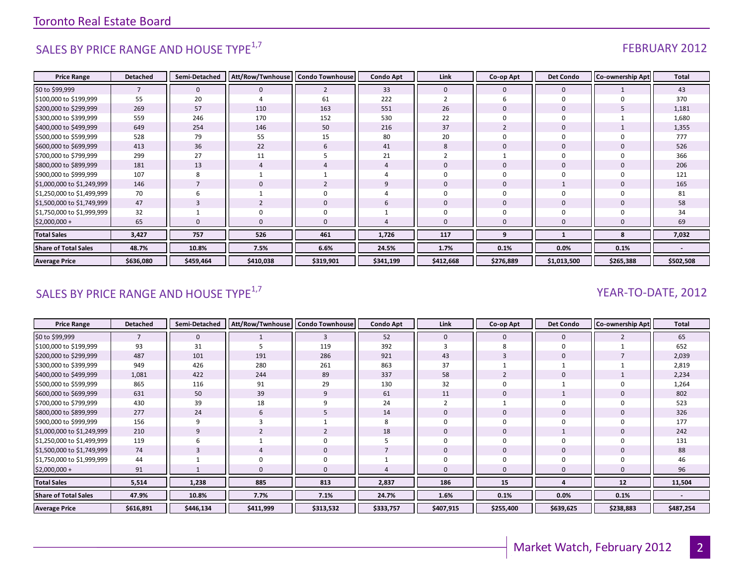# SALES BY PRICE RANGE AND HOUSE TYPE<sup>1,7</sup>  $\sqrt{1.5}$  FEBRUARY 2012

| <b>Price Range</b>          | <b>Detached</b>          | Semi-Detached  | Att/Row/Twnhouse | <b>Condo Townhouse</b> | <b>Condo Apt</b> | Link         | Co-op Apt      | <b>Det Condo</b> | Co-ownership Apt | <b>Total</b> |
|-----------------------------|--------------------------|----------------|------------------|------------------------|------------------|--------------|----------------|------------------|------------------|--------------|
| \$0 to \$99,999             | $\overline{\phantom{a}}$ | $\mathbf 0$    | $\Omega$         | $\overline{2}$         | 33               | $\mathbf{0}$ | 0              | $\mathbf 0$      |                  | 43           |
| \$100,000 to \$199,999      | 55                       | 20             |                  | 61                     | 222              |              | b              | $\Omega$         |                  | 370          |
| \$200,000 to \$299,999      | 269                      | 57             | 110              | 163                    | 551              | 26           | $\mathbf 0$    | $\mathbf 0$      |                  | 1,181        |
| \$300,000 to \$399,999      | 559                      | 246            | 170              | 152                    | 530              | 22           | $\Omega$       | $\Omega$         |                  | 1,680        |
| \$400,000 to \$499,999      | 649                      | 254            | 146              | 50                     | 216              | 37           | $\overline{2}$ | $\mathbf 0$      |                  | 1,355        |
| \$500,000 to \$599,999      | 528                      | 79             | 55               | 15                     | 80               | 20           | $\Omega$       | $\Omega$         |                  | 777          |
| \$600,000 to \$699,999      | 413                      | 36             | 22               | 6                      | 41               | 8            | $\mathbf{0}$   | $\mathbf 0$      |                  | 526          |
| \$700,000 to \$799,999      | 299                      | 27             | 11               |                        | 21               |              |                | $\mathbf 0$      |                  | 366          |
| \$800,000 to \$899,999      | 181                      | 13             |                  |                        |                  | $\Omega$     | $\mathbf 0$    | $\mathbf 0$      |                  | 206          |
| \$900,000 to \$999,999      | 107                      | 8              |                  |                        |                  | $\Omega$     | $\mathbf 0$    | $\Omega$         |                  | 121          |
| \$1,000,000 to \$1,249,999  | 146                      | $\overline{7}$ | $\Omega$         | $\overline{2}$         | q                | $\mathbf{0}$ | $\mathbf{0}$   |                  |                  | 165          |
| \$1,250,000 to \$1,499,999  | 70                       | 6              |                  | 0                      |                  | $\Omega$     | $\mathbf 0$    | $\Omega$         |                  | 81           |
| \$1,500,000 to \$1,749,999  | 47                       | 3              |                  | $\mathbf 0$            | 6                | $\mathbf{0}$ | $\mathbf{0}$   | $\Omega$         |                  | 58           |
| \$1,750,000 to \$1,999,999  | 32                       |                |                  | 0                      |                  | $\Omega$     | 0              | $\Omega$         |                  | 34           |
| $$2,000,000+$               | 65                       |                | $\Omega$         | $\mathbf{0}$           |                  | $\Omega$     | $\Omega$       |                  |                  | 69           |
| <b>Total Sales</b>          | 3,427                    | 757            | 526              | 461                    | 1,726            | 117          | 9              |                  | 8                | 7,032        |
| <b>Share of Total Sales</b> | 48.7%                    | 10.8%          | 7.5%             | 6.6%                   | 24.5%            | 1.7%         | 0.1%           | 0.0%             | 0.1%             |              |
| <b>Average Price</b>        | \$636,080                | \$459,464      | \$410,038        | \$319,901              | \$341,199        | \$412,668    | \$276,889      | \$1,013,500      | \$265,388        | \$502,508    |

# SALES BY PRICE RANGE AND HOUSE TYPE<sup>1,7</sup>  $\sqrt{2}$  and  $\sqrt{2}$  and  $\sqrt{2}$  and  $\sqrt{2}$  and  $\sqrt{2}$  and  $\sqrt{2}$  and  $\sqrt{2}$  and  $\sqrt{2}$  and  $\sqrt{2}$  and  $\sqrt{2}$  and  $\sqrt{2}$  and  $\sqrt{2}$  and  $\sqrt{2}$  and  $\sqrt{2}$  and  $\sqrt{2}$  and

| <b>Price Range</b>          | <b>Detached</b> | Semi-Detached | Att/Row/Twnhouse | <b>Condo Townhouse</b> | <b>Condo Apt</b> | Link      | Co-op Apt | <b>Det Condo</b> | <b>Co-ownership Apt</b> | <b>Total</b>             |
|-----------------------------|-----------------|---------------|------------------|------------------------|------------------|-----------|-----------|------------------|-------------------------|--------------------------|
| \$0 to \$99,999             |                 | $\mathbf 0$   |                  | 3                      | 52               | 0         | 0         | $\mathbf 0$      |                         | 65                       |
| \$100,000 to \$199,999      | 93              | 31            |                  | 119                    | 392              |           |           | $\mathbf 0$      |                         | 652                      |
| \$200,000 to \$299,999      | 487             | 101           | 191              | 286                    | 921              | 43        |           | 0                |                         | 2,039                    |
| \$300,000 to \$399,999      | 949             | 426           | 280              | 261                    | 863              | 37        |           |                  |                         | 2,819                    |
| \$400,000 to \$499,999      | 1,081           | 422           | 244              | 89                     | 337              | 58        |           | 0                |                         | 2,234                    |
| \$500,000 to \$599,999      | 865             | 116           | 91               | 29                     | 130              | 32        |           |                  |                         | 1,264                    |
| \$600,000 to \$699,999      | 631             | 50            | 39               | 9                      | 61               | 11        |           |                  |                         | 802                      |
| \$700,000 to \$799,999      | 430             | 39            | 18               | 9                      | 24               |           |           | 0                |                         | 523                      |
| \$800,000 to \$899,999      | 277             | 24            | 6                | 5                      | 14               | 0         |           | 0                |                         | 326                      |
| \$900,000 to \$999,999      | 156             | 9             |                  |                        |                  |           |           | 0                |                         | 177                      |
| \$1,000,000 to \$1,249,999  | 210             | 9             |                  |                        | 18               | 0         |           |                  |                         | 242                      |
| \$1,250,000 to \$1,499,999  | 119             | 6             |                  | 0                      |                  |           |           | 0                |                         | 131                      |
| \$1,500,000 to \$1,749,999  | 74              | 3             |                  | 0                      |                  | 0         |           | 0                | 0                       | 88                       |
| \$1,750,000 to \$1,999,999  | 44              |               |                  | 0                      |                  |           |           | 0                |                         | 46                       |
| $$2,000,000+$               | 91              |               |                  | 0                      |                  |           |           | 0                |                         | 96                       |
| <b>Total Sales</b>          | 5,514           | 1,238         | 885              | 813                    | 2,837            | 186       | 15        |                  | 12                      | 11,504                   |
| <b>Share of Total Sales</b> | 47.9%           | 10.8%         | 7.7%             | 7.1%                   | 24.7%            | 1.6%      | 0.1%      | 0.0%             | 0.1%                    | $\overline{\phantom{a}}$ |
| <b>Average Price</b>        | \$616,891       | \$446,134     | \$411,999        | \$313,532              | \$333,757        | \$407,915 | \$255,400 | \$639,625        | \$238,883               | \$487,254                |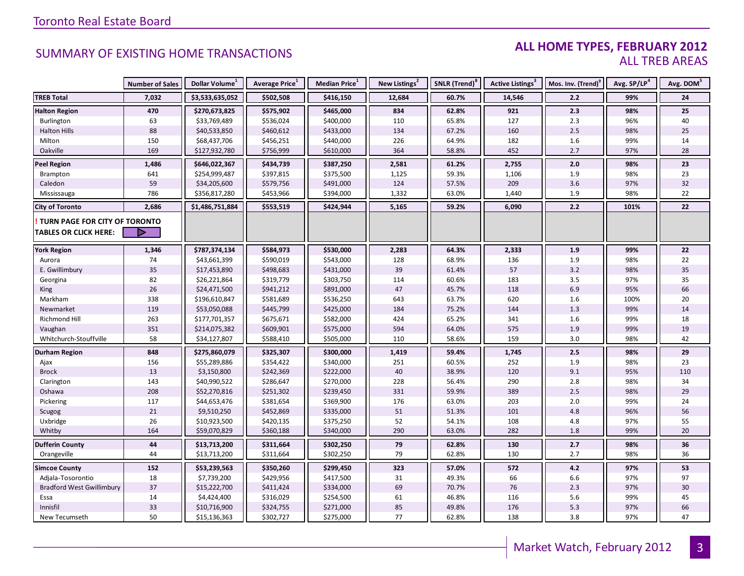### **ALL HOME TYPES, FEBRUARY 2012** ALL TREB AREAS

|                                  | <b>Number of Sales</b> | Dollar Volume <sup>1</sup> | Average Price <sup>1</sup> | Median Price <sup>1</sup> | New Listings <sup>2</sup> | SNLR (Trend) <sup>8</sup> | Active Listings <sup>3</sup> | Mos. Inv. (Trend) <sup>9</sup> | Avg. SP/LP <sup>4</sup> | Avg. DOM <sup>5</sup> |
|----------------------------------|------------------------|----------------------------|----------------------------|---------------------------|---------------------------|---------------------------|------------------------------|--------------------------------|-------------------------|-----------------------|
| <b>TREB Total</b>                | 7,032                  | \$3,533,635,052            | \$502,508                  | \$416,150                 | 12,684                    | 60.7%                     | 14,546                       | 2.2                            | 99%                     | 24                    |
| <b>Halton Region</b>             | 470                    | \$270,673,825              | \$575,902                  | \$465,000                 | 834                       | 62.8%                     | 921                          | 2.3                            | 98%                     | 25                    |
| Burlington                       | 63                     | \$33,769,489               | \$536,024                  | \$400,000                 | 110                       | 65.8%                     | 127                          | 2.3                            | 96%                     | 40                    |
| <b>Halton Hills</b>              | 88                     | \$40,533,850               | \$460,612                  | \$433,000                 | 134                       | 67.2%                     | 160                          | 2.5                            | 98%                     | 25                    |
| Milton                           | 150                    | \$68,437,706               | \$456,251                  | \$440,000                 | 226                       | 64.9%                     | 182                          | 1.6                            | 99%                     | 14                    |
| Oakville                         | 169                    | \$127,932,780              | \$756,999                  | \$610,000                 | 364                       | 58.8%                     | 452                          | 2.7                            | 97%                     | 28                    |
| <b>Peel Region</b>               | 1,486                  | \$646,022,367              | \$434,739                  | \$387,250                 | 2,581                     | 61.2%                     | 2,755                        | 2.0                            | 98%                     | 23                    |
| Brampton                         | 641                    | \$254,999,487              | \$397,815                  | \$375,500                 | 1,125                     | 59.3%                     | 1,106                        | 1.9                            | 98%                     | 23                    |
| Caledon                          | 59                     | \$34,205,600               | \$579,756                  | \$491,000                 | 124                       | 57.5%                     | 209                          | 3.6                            | 97%                     | 32                    |
| Mississauga                      | 786                    | \$356,817,280              | \$453,966                  | \$394,000                 | 1,332                     | 63.0%                     | 1,440                        | 1.9                            | 98%                     | 22                    |
| <b>City of Toronto</b>           | 2,686                  | \$1,486,751,884            | \$553,519                  | \$424,944                 | 5,165                     | 59.2%                     | 6,090                        | 2.2                            | 101%                    | 22                    |
| TURN PAGE FOR CITY OF TORONTO    |                        |                            |                            |                           |                           |                           |                              |                                |                         |                       |
| <b>TABLES OR CLICK HERE:</b>     |                        |                            |                            |                           |                           |                           |                              |                                |                         |                       |
| <b>York Region</b>               | 1,346                  | \$787,374,134              | \$584,973                  | \$530,000                 | 2,283                     | 64.3%                     | 2,333                        | 1.9                            | 99%                     | 22                    |
| Aurora                           | 74                     | \$43,661,399               | \$590,019                  | \$543,000                 | 128                       | 68.9%                     | 136                          | 1.9                            | 98%                     | 22                    |
| E. Gwillimbury                   | 35                     | \$17,453,890               | \$498,683                  | \$431,000                 | 39                        | 61.4%                     | 57                           | 3.2                            | 98%                     | 35                    |
| Georgina                         | 82                     | \$26,221,864               | \$319,779                  | \$303,750                 | 114                       | 60.6%                     | 183                          | 3.5                            | 97%                     | 35                    |
| King                             | 26                     | \$24,471,500               | \$941,212                  | \$891,000                 | 47                        | 45.7%                     | 118                          | 6.9                            | 95%                     | 66                    |
| Markham                          | 338                    | \$196,610,847              | \$581,689                  | \$536,250                 | 643                       | 63.7%                     | 620                          | 1.6                            | 100%                    | 20                    |
| Newmarket                        | 119                    | \$53,050,088               | \$445,799                  | \$425,000                 | 184                       | 75.2%                     | 144                          | 1.3                            | 99%                     | 14                    |
| Richmond Hill                    | 263                    | \$177,701,357              | \$675,671                  | \$582,000                 | 424                       | 65.2%                     | 341                          | 1.6                            | 99%                     | 18                    |
| Vaughan                          | 351                    | \$214,075,382              | \$609,901                  | \$575,000                 | 594                       | 64.0%                     | 575                          | 1.9                            | 99%                     | 19                    |
| Whitchurch-Stouffville           | 58                     | \$34,127,807               | \$588,410                  | \$505,000                 | 110                       | 58.6%                     | 159                          | 3.0                            | 98%                     | 42                    |
| <b>Durham Region</b>             | 848                    | \$275,860,079              | \$325,307                  | \$300,000                 | 1,419                     | 59.4%                     | 1,745                        | 2.5                            | 98%                     | 29                    |
| Ajax                             | 156                    | \$55,289,886               | \$354,422                  | \$340,000                 | 251                       | 60.5%                     | 252                          | 1.9                            | 98%                     | 23                    |
| <b>Brock</b>                     | 13                     | \$3,150,800                | \$242,369                  | \$222,000                 | 40                        | 38.9%                     | 120                          | 9.1                            | 95%                     | 110                   |
| Clarington                       | 143                    | \$40,990,522               | \$286,647                  | \$270,000                 | 228                       | 56.4%                     | 290                          | 2.8                            | 98%                     | 34                    |
| Oshawa                           | 208                    | \$52,270,816               | \$251,302                  | \$239,450                 | 331                       | 59.9%                     | 389                          | 2.5                            | 98%                     | 29                    |
| Pickering                        | 117                    | \$44,653,476               | \$381,654                  | \$369,900                 | 176                       | 63.0%                     | 203                          | 2.0                            | 99%                     | 24                    |
| Scugog                           | 21                     | \$9,510,250                | \$452,869                  | \$335,000                 | 51                        | 51.3%                     | 101                          | 4.8                            | 96%                     | 56                    |
| Uxbridge                         | 26                     | \$10,923,500               | \$420,135                  | \$375,250                 | 52                        | 54.1%                     | 108                          | 4.8                            | 97%                     | 55                    |
| Whitby                           | 164                    | \$59,070,829               | \$360,188                  | \$340,000                 | 290                       | 63.0%                     | 282                          | 1.8                            | 99%                     | 20                    |
| <b>Dufferin County</b>           | 44                     | \$13,713,200               | \$311,664                  | \$302,250                 | 79                        | 62.8%                     | 130                          | 2.7                            | 98%                     | 36                    |
| Orangeville                      | 44                     | \$13,713,200               | \$311,664                  | \$302,250                 | 79                        | 62.8%                     | 130                          | 2.7                            | 98%                     | 36                    |
| <b>Simcoe County</b>             | 152                    | \$53,239,563               | \$350,260                  | \$299,450                 | 323                       | 57.0%                     | 572                          | 4.2                            | 97%                     | 53                    |
| Adjala-Tosorontio                | 18                     | \$7,739,200                | \$429,956                  | \$417,500                 | 31                        | 49.3%                     | 66                           | 6.6                            | 97%                     | 97                    |
| <b>Bradford West Gwillimbury</b> | 37                     | \$15,222,700               | \$411,424                  | \$334,000                 | 69                        | 70.7%                     | 76                           | 2.3                            | 97%                     | 30                    |
| Essa                             | 14                     | \$4,424,400                | \$316,029                  | \$254,500                 | 61                        | 46.8%                     | 116                          | 5.6                            | 99%                     | 45                    |
| Innisfil                         | 33                     | \$10,716,900               | \$324,755                  | \$271,000                 | 85                        | 49.8%                     | 176                          | 5.3                            | 97%                     | 66                    |
| New Tecumseth                    | 50                     | \$15,136,363               | \$302,727                  | \$275,000                 | 77                        | 62.8%                     | 138                          | 3.8                            | 97%                     | 47                    |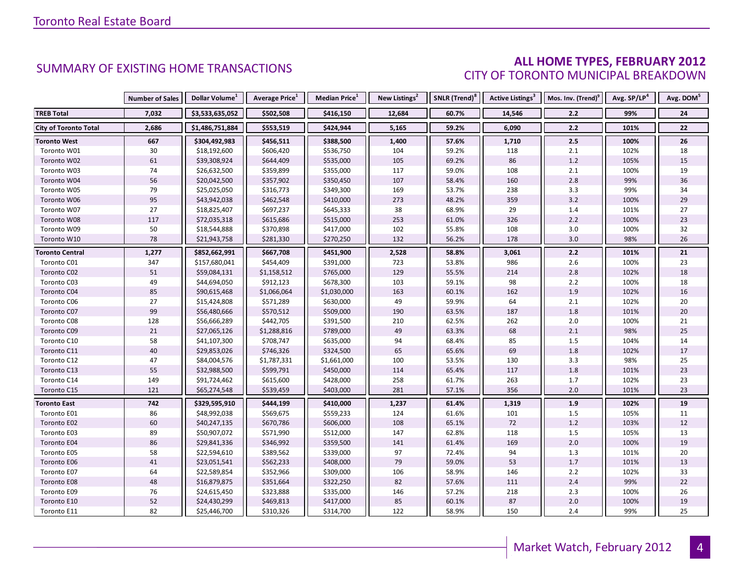### **ALL HOME TYPES, FEBRUARY 2012** CITY OF TORONTO MUNICIPAL BREAKDOWN

|                              | <b>Number of Sales</b> | Dollar Volume <sup>1</sup> | Average Price <sup>1</sup> | Median Price <sup>1</sup> | New Listings <sup>2</sup> | SNLR (Trend) <sup>8</sup> | Active Listings <sup>3</sup> | Mos. Inv. (Trend) <sup>9</sup> | Avg. SP/LP <sup>4</sup> | Avg. DOM <sup>5</sup> |
|------------------------------|------------------------|----------------------------|----------------------------|---------------------------|---------------------------|---------------------------|------------------------------|--------------------------------|-------------------------|-----------------------|
| <b>TREB Total</b>            | 7,032                  | \$3,533,635,052            | \$502,508                  | \$416,150                 | 12,684                    | 60.7%                     | 14,546                       | 2.2                            | 99%                     | 24                    |
| <b>City of Toronto Total</b> | 2,686                  | \$1,486,751,884            | \$553,519                  | \$424,944                 | 5,165                     | 59.2%                     | 6,090                        | 2.2                            | 101%                    | 22                    |
| <b>Toronto West</b>          | 667                    | \$304,492,983              | \$456,511                  | \$388,500                 | 1,400                     | 57.6%                     | 1,710                        | 2.5                            | 100%                    | 26                    |
| Toronto W01                  | 30                     | \$18,192,600               | \$606,420                  | \$536,750                 | 104                       | 59.2%                     | 118                          | 2.1                            | 102%                    | 18                    |
| Toronto W02                  | 61                     | \$39,308,924               | \$644,409                  | \$535,000                 | 105                       | 69.2%                     | 86                           | 1.2                            | 105%                    | 15                    |
| Toronto W03                  | 74                     | \$26,632,500               | \$359,899                  | \$355,000                 | 117                       | 59.0%                     | 108                          | 2.1                            | 100%                    | 19                    |
| Toronto W04                  | 56                     | \$20,042,500               | \$357,902                  | \$350,450                 | 107                       | 58.4%                     | 160                          | 2.8                            | 99%                     | 36                    |
| Toronto W05                  | 79                     | \$25,025,050               | \$316,773                  | \$349,300                 | 169                       | 53.7%                     | 238                          | 3.3                            | 99%                     | 34                    |
| Toronto W06                  | 95                     | \$43,942,038               | \$462,548                  | \$410,000                 | 273                       | 48.2%                     | 359                          | $3.2$                          | 100%                    | 29                    |
| Toronto W07                  | 27                     | \$18,825,407               | \$697,237                  | \$645,333                 | 38                        | 68.9%                     | 29                           | 1.4                            | 101%                    | 27                    |
| Toronto W08                  | 117                    | \$72,035,318               | \$615,686                  | \$515,000                 | 253                       | 61.0%                     | 326                          | $2.2$                          | 100%                    | 23                    |
| Toronto W09                  | 50                     | \$18,544,888               | \$370,898                  | \$417,000                 | 102                       | 55.8%                     | 108                          | 3.0                            | 100%                    | 32                    |
| Toronto W10                  | 78                     | \$21,943,758               | \$281,330                  | \$270,250                 | 132                       | 56.2%                     | 178                          | 3.0                            | 98%                     | 26                    |
| <b>Toronto Central</b>       | 1,277                  | \$852,662,991              | \$667,708                  | \$451,900                 | 2,528                     | 58.8%                     | 3,061                        | 2.2                            | 101%                    | 21                    |
| Toronto C01                  | 347                    | \$157,680,041              | \$454,409                  | \$391,000                 | 723                       | 53.8%                     | 986                          | 2.6                            | 100%                    | 23                    |
| Toronto C02                  | 51                     | \$59,084,131               | \$1,158,512                | \$765,000                 | 129                       | 55.5%                     | 214                          | 2.8                            | 102%                    | 18                    |
| Toronto C03                  | 49                     | \$44,694,050               | \$912,123                  | \$678,300                 | 103                       | 59.1%                     | 98                           | $2.2$                          | 100%                    | 18                    |
| Toronto C04                  | 85                     | \$90,615,468               | \$1,066,064                | \$1,030,000               | 163                       | 60.1%                     | 162                          | 1.9                            | 102%                    | 16                    |
| Toronto C06                  | 27                     | \$15,424,808               | \$571,289                  | \$630,000                 | 49                        | 59.9%                     | 64                           | 2.1                            | 102%                    | 20                    |
| Toronto C07                  | 99                     | \$56,480,666               | \$570,512                  | \$509,000                 | 190                       | 63.5%                     | 187                          | 1.8                            | 101%                    | $20\,$                |
| Toronto C08                  | 128                    | \$56,666,289               | \$442,705                  | \$391,500                 | 210                       | 62.5%                     | 262                          | 2.0                            | 100%                    | 21                    |
| Toronto C09                  | $21\,$                 | \$27,065,126               | \$1,288,816                | \$789,000                 | 49                        | 63.3%                     | 68                           | 2.1                            | 98%                     | 25                    |
| Toronto C10                  | 58                     | \$41,107,300               | \$708,747                  | \$635,000                 | 94                        | 68.4%                     | 85                           | 1.5                            | 104%                    | 14                    |
| Toronto C11                  | 40                     | \$29,853,026               | \$746,326                  | \$324,500                 | 65                        | 65.6%                     | 69                           | 1.8                            | 102%                    | 17                    |
| Toronto C12                  | 47                     | \$84,004,576               | \$1,787,331                | \$1,661,000               | 100                       | 53.5%                     | 130                          | 3.3                            | 98%                     | 25                    |
| Toronto C13                  | 55                     | \$32,988,500               | \$599,791                  | \$450,000                 | 114                       | 65.4%                     | 117                          | 1.8                            | 101%                    | 23                    |
| Toronto C14                  | 149                    | \$91,724,462               | \$615,600                  | \$428,000                 | 258                       | 61.7%                     | 263                          | 1.7                            | 102%                    | 23                    |
| Toronto C15                  | 121                    | \$65,274,548               | \$539,459                  | \$403,000                 | 281                       | 57.1%                     | 356                          | 2.0                            | 101%                    | 23                    |
| <b>Toronto East</b>          | 742                    | \$329,595,910              | \$444,199                  | \$410,000                 | 1,237                     | 61.4%                     | 1,319                        | 1.9                            | 102%                    | 19                    |
| Toronto E01                  | 86                     | \$48,992,038               | \$569,675                  | \$559,233                 | 124                       | 61.6%                     | 101                          | 1.5                            | 105%                    | 11                    |
| Toronto E02                  | 60                     | \$40,247,135               | \$670,786                  | \$606,000                 | 108                       | 65.1%                     | 72                           | 1.2                            | 103%                    | 12                    |
| Toronto E03                  | 89                     | \$50,907,072               | \$571,990                  | \$512,000                 | 147                       | 62.8%                     | 118                          | $1.5$                          | 105%                    | 13                    |
| Toronto E04                  | 86                     | \$29,841,336               | \$346,992                  | \$359,500                 | 141                       | 61.4%                     | 169                          | 2.0                            | 100%                    | 19                    |
| Toronto E05                  | 58                     | \$22,594,610               | \$389,562                  | \$339,000                 | 97                        | 72.4%                     | 94                           | 1.3                            | 101%                    | 20                    |
| Toronto E06                  | 41                     | \$23,051,541               | \$562,233                  | \$408,000                 | 79                        | 59.0%                     | 53                           | $1.7$                          | 101%                    | 13                    |
| Toronto E07                  | 64                     | \$22,589,854               | \$352,966                  | \$309,000                 | 106                       | 58.9%                     | 146                          | $2.2$                          | 102%                    | 33                    |
| Toronto E08                  | 48                     | \$16,879,875               | \$351,664                  | \$322,250                 | 82                        | 57.6%                     | 111                          | 2.4                            | 99%                     | 22                    |
| Toronto E09                  | 76                     | \$24,615,450               | \$323,888                  | \$335,000                 | 146                       | 57.2%                     | 218                          | 2.3                            | 100%                    | 26                    |
| Toronto E10                  | 52                     | \$24,430,299               | \$469,813                  | \$417,000                 | 85                        | 60.1%                     | 87                           | 2.0                            | 100%                    | 19                    |
| Toronto E11                  | 82                     | \$25,446,700               | \$310,326                  | \$314,700                 | 122                       | 58.9%                     | 150                          | 2.4                            | 99%                     | 25                    |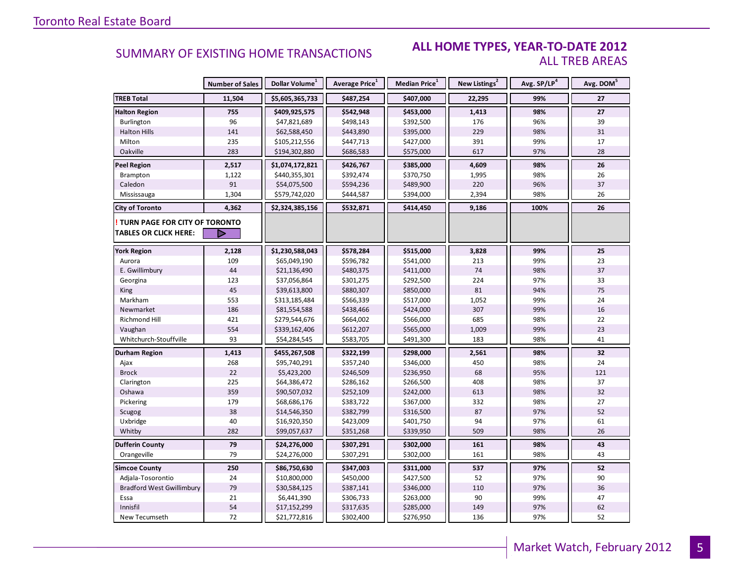#### **ALL HOME TYPES, YEAR-TO-DATE 2012** ALL TREB AREAS

|                                        | <b>Number of Sales</b> | Dollar Volume <sup>1</sup> | <b>Average Price</b> <sup>1</sup> | Median Price <sup>1</sup> | New Listings <sup>2</sup> | Avg. SP/LP <sup>4</sup> | Avg. DOM <sup>5</sup> |
|----------------------------------------|------------------------|----------------------------|-----------------------------------|---------------------------|---------------------------|-------------------------|-----------------------|
| <b>TREB Total</b>                      | 11,504                 | \$5,605,365,733            | \$487,254                         | \$407,000                 | 22,295                    | 99%                     | 27                    |
| <b>Halton Region</b>                   | 755                    | \$409,925,575              | \$542,948                         | \$453,000                 | 1,413                     | 98%                     | 27                    |
| Burlington                             | 96                     | \$47,821,689               | \$498,143                         | \$392,500                 | 176                       | 96%                     | 39                    |
| <b>Halton Hills</b>                    | 141                    | \$62,588,450               | \$443,890                         | \$395,000                 | 229                       | 98%                     | 31                    |
| Milton                                 | 235                    | \$105,212,556              | \$447,713                         | \$427,000                 | 391                       | 99%                     | 17                    |
| Oakville                               | 283                    | \$194,302,880              | \$686,583                         | \$575,000                 | 617                       | 97%                     | 28                    |
| <b>Peel Region</b>                     | 2,517                  | \$1,074,172,821            | \$426,767                         | \$385,000                 | 4,609                     | 98%                     | 26                    |
| Brampton                               | 1,122                  | \$440,355,301              | \$392,474                         | \$370,750                 | 1,995                     | 98%                     | 26                    |
| Caledon                                | 91                     | \$54,075,500               | \$594,236                         | \$489,900                 | 220                       | 96%                     | 37                    |
| Mississauga                            | 1,304                  | \$579,742,020              | \$444,587                         | \$394,000                 | 2,394                     | 98%                     | 26                    |
| <b>City of Toronto</b>                 | 4,362                  | \$2,324,385,156            | \$532,871                         | \$414,450                 | 9,186                     | 100%                    | 26                    |
| <b>! TURN PAGE FOR CITY OF TORONTO</b> |                        |                            |                                   |                           |                           |                         |                       |
| <b>TABLES OR CLICK HERE:</b>           |                        |                            |                                   |                           |                           |                         |                       |
| <b>York Region</b>                     | 2,128                  | \$1,230,588,043            | \$578,284                         | \$515,000                 | 3,828                     | 99%                     | 25                    |
| Aurora                                 | 109                    | \$65,049,190               | \$596,782                         | \$541,000                 | 213                       | 99%                     | 23                    |
| E. Gwillimbury                         | 44                     | \$21,136,490               | \$480,375                         | \$411,000                 | 74                        | 98%                     | 37                    |
| Georgina                               | 123                    | \$37,056,864               | \$301,275                         | \$292,500                 | 224                       | 97%                     | 33                    |
| <b>King</b>                            | 45                     | \$39,613,800               | \$880,307                         | \$850,000                 | 81                        | 94%                     | 75                    |
| Markham                                | 553                    | \$313,185,484              | \$566,339                         | \$517,000                 | 1,052                     | 99%                     | 24                    |
| Newmarket                              | 186                    | \$81,554,588               | \$438,466                         | \$424,000                 | 307                       | 99%                     | 16                    |
| Richmond Hill                          | 421                    | \$279,544,676              | \$664,002                         | \$566,000                 | 685                       | 98%                     | 22                    |
| Vaughan                                | 554                    | \$339,162,406              | \$612,207                         | \$565,000                 | 1,009                     | 99%                     | 23                    |
| Whitchurch-Stouffville                 | 93                     | \$54,284,545               | \$583,705                         | \$491,300                 | 183                       | 98%                     | 41                    |
| Durham Region                          | 1,413                  | \$455,267,508              | \$322,199                         | \$298,000                 | 2,561                     | 98%                     | 32                    |
| Ajax                                   | 268                    | \$95,740,291               | \$357,240                         | \$346,000                 | 450                       | 98%                     | 24                    |
| <b>Brock</b>                           | 22                     | \$5,423,200                | \$246,509                         | \$236,950                 | 68                        | 95%                     | 121                   |
| Clarington                             | 225                    | \$64,386,472               | \$286,162                         | \$266,500                 | 408                       | 98%                     | 37                    |
| Oshawa                                 | 359                    | \$90,507,032               | \$252,109                         | \$242,000                 | 613                       | 98%                     | 32                    |
| Pickering                              | 179                    | \$68,686,176               | \$383,722                         | \$367,000                 | 332                       | 98%                     | 27                    |
| Scugog                                 | 38                     | \$14,546,350               | \$382,799                         | \$316,500                 | 87                        | 97%                     | 52                    |
| Uxbridge                               | 40                     | \$16,920,350               | \$423,009                         | \$401,750                 | 94                        | 97%                     | 61                    |
| Whitby                                 | 282                    | \$99,057,637               | \$351,268                         | \$339,950                 | 509                       | 98%                     | 26                    |
| <b>Dufferin County</b>                 | 79                     | \$24,276,000               | \$307,291                         | \$302,000                 | 161                       | 98%                     | 43                    |
| Orangeville                            | 79                     | \$24,276,000               | \$307,291                         | \$302,000                 | 161                       | 98%                     | 43                    |
| <b>Simcoe County</b>                   | 250                    | \$86,750,630               | \$347,003                         | \$311,000                 | 537                       | 97%                     | 52                    |
| Adjala-Tosorontio                      | 24                     | \$10,800,000               | \$450,000                         | \$427,500                 | 52                        | 97%                     | 90                    |
| <b>Bradford West Gwillimbury</b>       | 79                     | \$30,584,125               | \$387,141                         | \$346,000                 | 110                       | 97%                     | 36                    |
| Essa                                   | 21                     | \$6,441,390                | \$306,733                         | \$263,000                 | 90                        | 99%                     | 47                    |
| Innisfil                               | 54                     | \$17,152,299               | \$317,635                         | \$285,000                 | 149                       | 97%                     | 62                    |
| New Tecumseth                          | 72                     | \$21,772,816               | \$302,400                         | \$276,950                 | 136                       | 97%                     | 52                    |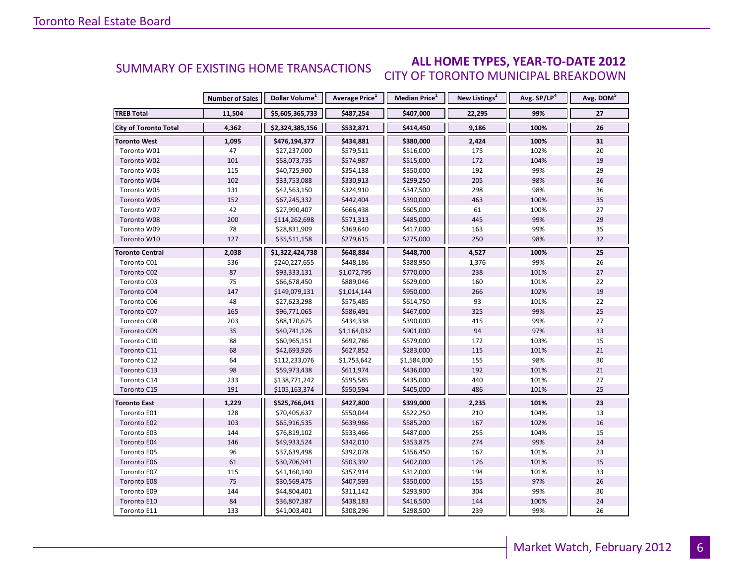#### **ALL HOME TYPES, YEAR-TO-DATE 2012** CITY OF TORONTO MUNICIPAL BREAKDOWN SUMMARY OF EXISTING HOME TRANSACTIONS

|                              | <b>Number of Sales</b> | Dollar Volume <sup>1</sup> | <b>Average Price</b> <sup>1</sup> | Median Price <sup>1</sup> | New Listings <sup>2</sup> | Avg. SP/LP <sup>4</sup> | Avg. DOM <sup>5</sup> |
|------------------------------|------------------------|----------------------------|-----------------------------------|---------------------------|---------------------------|-------------------------|-----------------------|
| <b>TREB Total</b>            | 11,504                 | \$5,605,365,733            | \$487,254                         | \$407,000                 | 22,295                    | 99%                     | 27                    |
| <b>City of Toronto Total</b> | 4,362                  | \$2,324,385,156            | \$532,871                         | \$414,450                 | 9,186                     | 100%                    | 26                    |
| <b>Toronto West</b>          | 1,095                  | \$476,194,377              | \$434,881                         | \$380,000                 | 2,424                     | 100%                    | 31                    |
| Toronto W01                  | 47                     | \$27,237,000               | \$579,511                         | \$516,000                 | 175                       | 102%                    | 20                    |
| Toronto W02                  | 101                    | \$58,073,735               | \$574,987                         | \$515,000                 | 172                       | 104%                    | 19                    |
| Toronto W03                  | 115                    | \$40,725,900               | \$354,138                         | \$350,000                 | 192                       | 99%                     | 29                    |
| Toronto W04                  | 102                    | \$33,753,088               | \$330,913                         | \$299,250                 | 205                       | 98%                     | 36                    |
| Toronto W05                  | 131                    | \$42,563,150               | \$324,910                         | \$347,500                 | 298                       | 98%                     | 36                    |
| Toronto W06                  | 152                    | \$67,245,332               | \$442,404                         | \$390,000                 | 463                       | 100%                    | 35                    |
| Toronto W07                  | 42                     | \$27,990,407               | \$666,438                         | \$605,000                 | 61                        | 100%                    | 27                    |
| Toronto W08                  | 200                    | \$114,262,698              | \$571,313                         | \$485,000                 | 445                       | 99%                     | 29                    |
| Toronto W09                  | 78                     | \$28,831,909               | \$369,640                         | \$417,000                 | 163                       | 99%                     | 35                    |
| Toronto W10                  | 127                    | \$35,511,158               | \$279,615                         | \$275,000                 | 250                       | 98%                     | 32                    |
| Toronto Central              | 2,038                  | \$1,322,424,738            | \$648,884                         | \$448,700                 | 4,527                     | 100%                    | 25                    |
| Toronto C01                  | 536                    | \$240,227,655              | \$448,186                         | \$388,950                 | 1,376                     | 99%                     | 26                    |
| Toronto C02                  | 87                     | \$93,333,131               | \$1,072,795                       | \$770,000                 | 238                       | 101%                    | 27                    |
| Toronto C03                  | 75                     | \$66,678,450               | \$889,046                         | \$629,000                 | 160                       | 101%                    | 22                    |
| Toronto C04                  | 147                    | \$149,079,131              | \$1,014,144                       | \$950,000                 | 266                       | 102%                    | 19                    |
| Toronto C06                  | 48                     | \$27,623,298               | \$575,485                         | \$614,750                 | 93                        | 101%                    | 22                    |
| Toronto C07                  | 165                    | \$96,771,065               | \$586,491                         | \$467,000                 | 325                       | 99%                     | 25                    |
| Toronto C08                  | 203                    | \$88,170,675               | \$434,338                         | \$390,000                 | 415                       | 99%                     | 27                    |
| Toronto C09                  | 35                     | \$40,741,126               | \$1,164,032                       | \$901,000                 | 94                        | 97%                     | 33                    |
| Toronto C10                  | 88                     | \$60,965,151               | \$692,786                         | \$579,000                 | 172                       | 103%                    | 15                    |
| Toronto C11                  | 68                     | \$42,693,926               | \$627,852                         | \$283,000                 | 115                       | 101%                    | 21                    |
| Toronto C12                  | 64                     | \$112,233,076              | \$1,753,642                       | \$1,584,000               | 155                       | 98%                     | 30                    |
| Toronto C13                  | 98                     | \$59,973,438               | \$611,974                         | \$436,000                 | 192                       | 101%                    | 21                    |
| Toronto C14                  | 233                    | \$138,771,242              | \$595,585                         | \$435,000                 | 440                       | 101%                    | 27                    |
| Toronto C15                  | 191                    | \$105,163,374              | \$550,594                         | \$405,000                 | 486                       | 101%                    | 25                    |
| <b>Toronto East</b>          | 1,229                  | \$525,766,041              | \$427,800                         | \$399,000                 | 2,235                     | 101%                    | 23                    |
| Toronto E01                  | 128                    | \$70,405,637               | \$550,044                         | \$522,250                 | 210                       | 104%                    | 13                    |
| Toronto E02                  | 103                    | \$65,916,535               | \$639,966                         | \$585,200                 | 167                       | 102%                    | 16                    |
| Toronto E03                  | 144                    | \$76,819,102               | \$533,466                         | \$487,000                 | 255                       | 104%                    | 15                    |
| Toronto E04                  | 146                    | \$49,933,524               | \$342,010                         | \$353,875                 | 274                       | 99%                     | 24                    |
| Toronto E05                  | 96                     | \$37,639,498               | \$392,078                         | \$356,450                 | 167                       | 101%                    | 23                    |
| Toronto E06                  | 61                     | \$30,706,941               | \$503,392                         | \$402,000                 | 126                       | 101%                    | 15                    |
| Toronto E07                  | 115                    | \$41,160,140               | \$357,914                         | \$312,000                 | 194                       | 101%                    | 33                    |
| Toronto E08                  | 75                     | \$30,569,475               | \$407,593                         | \$350,000                 | 155                       | 97%                     | 26                    |
| Toronto E09                  | 144                    | \$44,804,401               | \$311,142                         | \$293,900                 | 304                       | 99%                     | 30                    |
| Toronto E10                  | 84                     | \$36,807,387               | \$438,183                         | \$416,500                 | 144                       | 100%                    | 24                    |
| Toronto E11                  | 133                    | \$41,003,401               | \$308,296                         | \$298,500                 | 239                       | 99%                     | 26                    |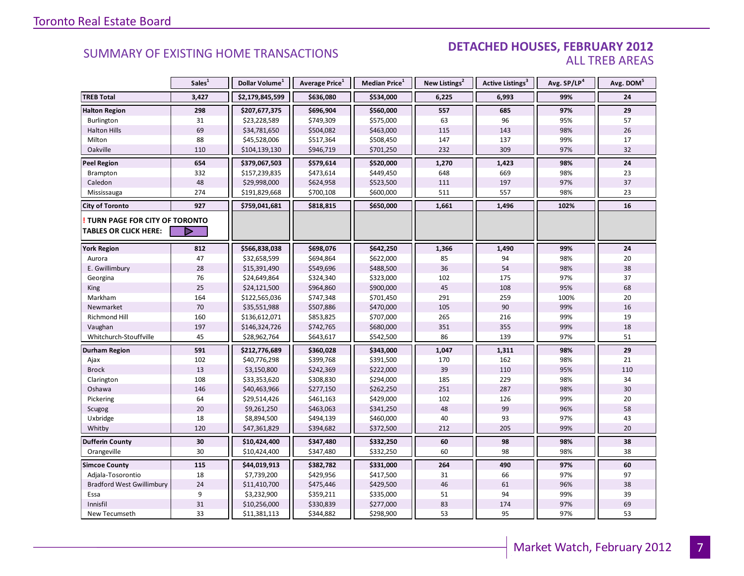#### DETACHED HOUSES, FEBRUARY 2012 ALL TREB AREAS

|                                  | Sales <sup>1</sup> | Dollar Volume <sup>1</sup> | Average Price <sup>1</sup> | Median Price <sup>1</sup> | New Listings <sup>2</sup> | Active Listings <sup>3</sup> | Avg. SP/LP <sup>4</sup> | Avg. DOM <sup>5</sup> |
|----------------------------------|--------------------|----------------------------|----------------------------|---------------------------|---------------------------|------------------------------|-------------------------|-----------------------|
| <b>TREB Total</b>                | 3,427              | \$2,179,845,599            | \$636,080                  | \$534,000                 | 6,225                     | 6,993                        | 99%                     | 24                    |
| <b>Halton Region</b>             | 298                | \$207,677,375              | \$696,904                  | \$560,000                 | 557                       | 685                          | 97%                     | 29                    |
| <b>Burlington</b>                | 31                 | \$23,228,589               | \$749,309                  | \$575,000                 | 63                        | 96                           | 95%                     | 57                    |
| <b>Halton Hills</b>              | 69                 | \$34,781,650               | \$504,082                  | \$463,000                 | 115                       | 143                          | 98%                     | 26                    |
| Milton                           | 88                 | \$45,528,006               | \$517,364                  | \$508,450                 | 147                       | 137                          | 99%                     | 17                    |
| Oakville                         | 110                | \$104,139,130              | \$946,719                  | \$701,250                 | 232                       | 309                          | 97%                     | 32                    |
| <b>Peel Region</b>               | 654                | \$379,067,503              | \$579,614                  | \$520,000                 | 1,270                     | 1,423                        | 98%                     | 24                    |
| Brampton                         | 332                | \$157,239,835              | \$473,614                  | \$449,450                 | 648                       | 669                          | 98%                     | 23                    |
| Caledon                          | 48                 | \$29,998,000               | \$624,958                  | \$523,500                 | 111                       | 197                          | 97%                     | 37                    |
| Mississauga                      | 274                | \$191,829,668              | \$700,108                  | \$600,000                 | 511                       | 557                          | 98%                     | 23                    |
| <b>City of Toronto</b>           | 927                | \$759,041,681              | \$818,815                  | \$650,000                 | 1,661                     | 1,496                        | 102%                    | 16                    |
| TURN PAGE FOR CITY OF TORONTO    |                    |                            |                            |                           |                           |                              |                         |                       |
| <b>TABLES OR CLICK HERE:</b>     | D                  |                            |                            |                           |                           |                              |                         |                       |
| <b>York Region</b>               | 812                | \$566,838,038              | \$698,076                  | \$642,250                 | 1,366                     | 1,490                        | 99%                     | 24                    |
| Aurora                           | 47                 | \$32,658,599               | \$694,864                  | \$622,000                 | 85                        | 94                           | 98%                     | 20                    |
| E. Gwillimbury                   | 28                 | \$15,391,490               | \$549,696                  | \$488,500                 | 36                        | 54                           | 98%                     | 38                    |
| Georgina                         | 76                 | \$24,649,864               | \$324,340                  | \$323,000                 | 102                       | 175                          | 97%                     | 37                    |
| King                             | 25                 | \$24,121,500               | \$964,860                  | \$900,000                 | 45                        | 108                          | 95%                     | 68                    |
| Markham                          | 164                | \$122,565,036              | \$747,348                  | \$701,450                 | 291                       | 259                          | 100%                    | 20                    |
| Newmarket                        | $70\,$             | \$35,551,988               | \$507,886                  | \$470,000                 | 105                       | 90                           | 99%                     | 16                    |
| Richmond Hill                    | 160                | \$136,612,071              | \$853,825                  | \$707,000                 | 265                       | 216                          | 99%                     | 19                    |
| Vaughan                          | 197                | \$146,324,726              | \$742,765                  | \$680,000                 | 351                       | 355                          | 99%                     | 18                    |
| Whitchurch-Stouffville           | 45                 | \$28,962,764               | \$643,617                  | \$542,500                 | 86                        | 139                          | 97%                     | 51                    |
| Durham Region                    | 591                | \$212,776,689              | \$360,028                  | \$343,000                 | 1,047                     | 1,311                        | 98%                     | 29                    |
| Ajax                             | 102                | \$40,776,298               | \$399,768                  | \$391,500                 | 170                       | 162                          | 98%                     | 21                    |
| <b>Brock</b>                     | 13                 | \$3,150,800                | \$242,369                  | \$222,000                 | 39                        | 110                          | 95%                     | 110                   |
| Clarington                       | 108                | \$33,353,620               | \$308,830                  | \$294,000                 | 185                       | 229                          | 98%                     | 34                    |
| Oshawa                           | 146                | \$40,463,966               | \$277,150                  | \$262,250                 | 251                       | 287                          | 98%                     | 30                    |
| Pickering                        | 64                 | \$29,514,426               | \$461,163                  | \$429,000                 | 102                       | 126                          | 99%                     | 20                    |
| Scugog                           | 20                 | \$9,261,250                | \$463,063                  | \$341,250                 | 48                        | 99                           | 96%                     | 58                    |
| Uxbridge                         | 18                 | \$8,894,500                | \$494,139                  | \$460,000                 | 40                        | 93                           | 97%                     | 43                    |
| Whitby                           | 120                | \$47,361,829               | \$394,682                  | \$372,500                 | 212                       | 205                          | 99%                     | 20                    |
| <b>Dufferin County</b>           | 30                 | \$10,424,400               | \$347,480                  | \$332,250                 | 60                        | 98                           | 98%                     | 38                    |
| Orangeville                      | 30                 | \$10,424,400               | \$347,480                  | \$332,250                 | 60                        | 98                           | 98%                     | 38                    |
| <b>Simcoe County</b>             | 115                | \$44,019,913               | \$382,782                  | \$331,000                 | 264                       | 490                          | 97%                     | 60                    |
| Adjala-Tosorontio                | 18                 | \$7,739,200                | \$429,956                  | \$417,500                 | 31                        | 66                           | 97%                     | 97                    |
| <b>Bradford West Gwillimbury</b> | 24                 | \$11,410,700               | \$475,446                  | \$429,500                 | 46                        | 61                           | 96%                     | 38                    |
| Essa                             | 9                  | \$3,232,900                | \$359,211                  | \$335,000                 | 51                        | 94                           | 99%                     | 39                    |
| Innisfil                         | 31                 | \$10,256,000               | \$330,839                  | \$277,000                 | 83                        | 174                          | 97%                     | 69                    |
| New Tecumseth                    | 33                 | \$11,381,113               | \$344,882                  | \$298,900                 | 53                        | 95                           | 97%                     | 53                    |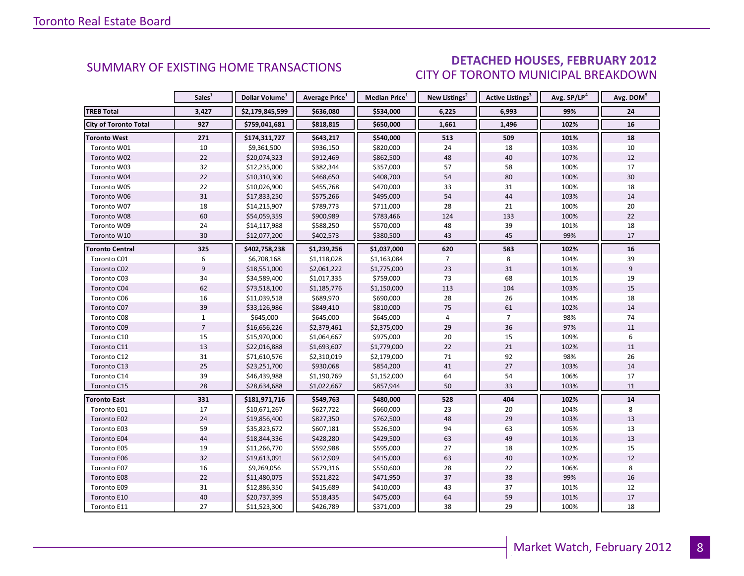### DETACHED HOUSES, FEBRUARY 2012 CITY OF TORONTO MUNICIPAL BREAKDOWN

<span id="page-7-0"></span>

|                              | Sales <sup>1</sup> | Dollar Volume <sup>1</sup> | <b>Average Price</b> <sup>1</sup> | <b>Median Price</b> <sup>1</sup> | New Listings <sup>2</sup> | <b>Active Listings<sup>3</sup></b> | Avg. SP/LP <sup>4</sup> | Avg. DOM <sup>5</sup> |
|------------------------------|--------------------|----------------------------|-----------------------------------|----------------------------------|---------------------------|------------------------------------|-------------------------|-----------------------|
| <b>TREB Total</b>            | 3,427              | \$2,179,845,599            | \$636,080                         | \$534,000                        | 6,225                     | 6,993                              | 99%                     | 24                    |
| <b>City of Toronto Total</b> | 927                | \$759,041,681              | \$818,815                         | \$650,000                        | 1,661                     | 1,496                              | 102%                    | 16                    |
| <b>Toronto West</b>          | 271                | \$174,311,727              | \$643,217                         | \$540,000                        | 513                       | 509                                | 101%                    | 18                    |
| Toronto W01                  | 10                 | \$9,361,500                | \$936,150                         | \$820,000                        | 24                        | 18                                 | 103%                    | 10                    |
| Toronto W02                  | 22                 | \$20,074,323               | \$912,469                         | \$862,500                        | 48                        | 40                                 | 107%                    | 12                    |
| Toronto W03                  | 32                 | \$12,235,000               | \$382,344                         | \$357,000                        | 57                        | 58                                 | 100%                    | 17                    |
| Toronto W04                  | 22                 | \$10,310,300               | \$468,650                         | \$408,700                        | 54                        | 80                                 | 100%                    | 30                    |
| Toronto W05                  | 22                 | \$10,026,900               | \$455,768                         | \$470,000                        | 33                        | 31                                 | 100%                    | 18                    |
| Toronto W06                  | 31                 | \$17,833,250               | \$575,266                         | \$495,000                        | 54                        | 44                                 | 103%                    | 14                    |
| Toronto W07                  | 18                 | \$14,215,907               | \$789,773                         | \$711,000                        | 28                        | 21                                 | 100%                    | 20                    |
| Toronto W08                  | 60                 | \$54,059,359               | \$900,989                         | \$783,466                        | 124                       | 133                                | 100%                    | 22                    |
| Toronto W09                  | 24                 | \$14,117,988               | \$588,250                         | \$570,000                        | 48                        | 39                                 | 101%                    | 18                    |
| Toronto W10                  | 30                 | \$12,077,200               | \$402,573                         | \$380,500                        | 43                        | 45                                 | 99%                     | 17                    |
| <b>Toronto Central</b>       | 325                | \$402,758,238              | \$1,239,256                       | \$1,037,000                      | 620                       | 583                                | 102%                    | 16                    |
| Toronto C01                  | 6                  | \$6,708,168                | \$1,118,028                       | \$1,163,084                      | $\overline{7}$            | 8                                  | 104%                    | 39                    |
| Toronto C02                  | 9                  | \$18,551,000               | \$2,061,222                       | \$1,775,000                      | 23                        | 31                                 | 101%                    | 9                     |
| Toronto C03                  | 34                 | \$34,589,400               | \$1,017,335                       | \$759,000                        | 73                        | 68                                 | 101%                    | 19                    |
| Toronto C04                  | 62                 | \$73,518,100               | \$1,185,776                       | \$1,150,000                      | 113                       | 104                                | 103%                    | 15                    |
| Toronto C06                  | 16                 | \$11,039,518               | \$689,970                         | \$690,000                        | 28                        | 26                                 | 104%                    | 18                    |
| Toronto C07                  | 39                 | \$33,126,986               | \$849,410                         | \$810,000                        | 75                        | 61                                 | 102%                    | 14                    |
| Toronto C08                  | $\mathbf{1}$       | \$645,000                  | \$645,000                         | \$645,000                        | $\overline{4}$            | $\overline{7}$                     | 98%                     | 74                    |
| Toronto C09                  | $\overline{7}$     | \$16,656,226               | \$2,379,461                       | \$2,375,000                      | 29                        | 36                                 | 97%                     | 11                    |
| Toronto C10                  | 15                 | \$15,970,000               | \$1,064,667                       | \$975,000                        | 20                        | 15                                 | 109%                    | 6                     |
| Toronto C11                  | 13                 | \$22,016,888               | \$1,693,607                       | \$1,779,000                      | 22                        | 21                                 | 102%                    | 11                    |
| Toronto C12                  | 31                 | \$71,610,576               | \$2,310,019                       | \$2,179,000                      | 71                        | 92                                 | 98%                     | 26                    |
| Toronto C13                  | 25                 | \$23,251,700               | \$930,068                         | \$854,200                        | 41                        | 27                                 | 103%                    | 14                    |
| Toronto C14                  | 39                 | \$46,439,988               | \$1,190,769                       | \$1,152,000                      | 64                        | 54                                 | 106%                    | 17                    |
| Toronto C15                  | 28                 | \$28,634,688               | \$1,022,667                       | \$857,944                        | 50                        | 33                                 | 103%                    | 11                    |
| <b>Toronto East</b>          | 331                | \$181,971,716              | \$549,763                         | \$480,000                        | 528                       | 404                                | 102%                    | 14                    |
| Toronto E01                  | 17                 | \$10,671,267               | \$627,722                         | \$660,000                        | 23                        | 20                                 | 104%                    | 8                     |
| Toronto E02                  | 24                 | \$19,856,400               | \$827,350                         | \$762,500                        | 48                        | 29                                 | 103%                    | 13                    |
| Toronto E03                  | 59                 | \$35,823,672               | \$607,181                         | \$526,500                        | 94                        | 63                                 | 105%                    | 13                    |
| Toronto E04                  | 44                 | \$18,844,336               | \$428,280                         | \$429,500                        | 63                        | 49                                 | 101%                    | 13                    |
| Toronto E05                  | 19                 | \$11,266,770               | \$592,988                         | \$595,000                        | 27                        | 18                                 | 102%                    | 15                    |
| Toronto E06                  | 32                 | \$19,613,091               | \$612,909                         | \$415,000                        | 63                        | 40                                 | 102%                    | 12                    |
| Toronto E07                  | 16                 | \$9,269,056                | \$579,316                         | \$550,600                        | 28                        | 22                                 | 106%                    | 8                     |
| Toronto E08                  | 22                 | \$11,480,075               | \$521,822                         | \$471,950                        | 37                        | 38                                 | 99%                     | 16                    |
| Toronto E09                  | 31                 | \$12,886,350               | \$415,689                         | \$410,000                        | 43                        | 37                                 | 101%                    | 12                    |
| Toronto E10                  | 40                 | \$20,737,399               | \$518,435                         | \$475,000                        | 64                        | 59                                 | 101%                    | 17                    |
| Toronto E11                  | 27                 | \$11,523,300               | \$426,789                         | \$371,000                        | 38                        | 29                                 | 100%                    | 18                    |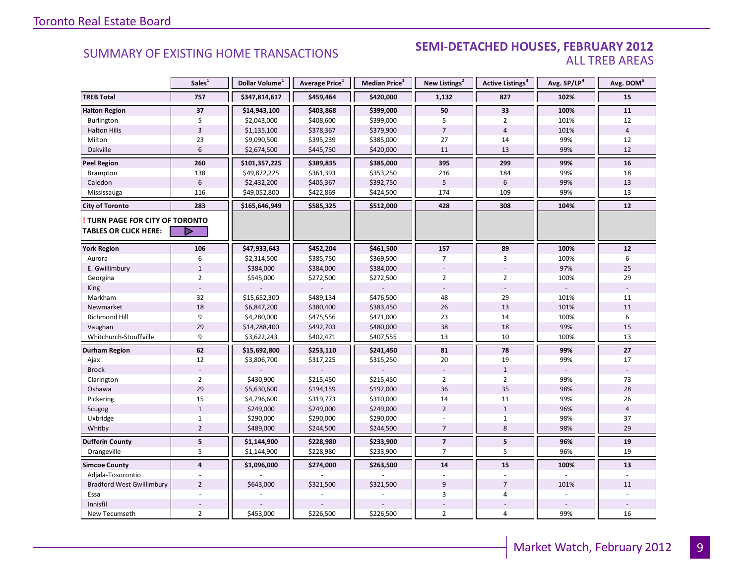#### **Industrial Leasing SEMI-DETACHED HOUSES, FEBRUARY 2012**<br>ALL TREB AREAS ALL TREB AREAS

|                                                               | Sales <sup>1</sup>      | Dollar Volume <sup>1</sup> | Average Price <sup>1</sup> | Median Price $^1$ | New Listings <sup>2</sup> | <b>Active Listings</b> <sup>3</sup> | Avg. SP/LP4 | Avg. DOM <sup>5</sup> |
|---------------------------------------------------------------|-------------------------|----------------------------|----------------------------|-------------------|---------------------------|-------------------------------------|-------------|-----------------------|
| <b>TREB Total</b>                                             | 757                     | \$347,814,617              | \$459,464                  | \$420,000         | 1,132                     | 827                                 | 102%        | 15                    |
| <b>Halton Region</b>                                          | 37                      | \$14,943,100               | \$403,868                  | \$399,000         | 50                        | 33                                  | 100%        | 11                    |
| Burlington                                                    | 5                       | \$2,043,000                | \$408,600                  | \$399,000         | 5                         | $\overline{2}$                      | 101%        | 12                    |
| <b>Halton Hills</b>                                           | $\overline{3}$          | \$1,135,100                | \$378,367                  | \$379,900         | $\overline{7}$            | $\overline{4}$                      | 101%        | $\overline{4}$        |
| Milton                                                        | 23                      | \$9,090,500                | \$395,239                  | \$385,000         | 27                        | 14                                  | 99%         | 12                    |
| Oakville                                                      | 6                       | \$2,674,500                | \$445,750                  | \$420,000         | 11                        | 13                                  | 99%         | 12                    |
| <b>Peel Region</b>                                            | 260                     | \$101,357,225              | \$389,835                  | \$385,000         | 395                       | 299                                 | 99%         | 16                    |
| Brampton                                                      | 138                     | \$49,872,225               | \$361,393                  | \$353,250         | 216                       | 184                                 | 99%         | 18                    |
| Caledon                                                       | 6                       | \$2,432,200                | \$405,367                  | \$392,750         | 5                         | 6                                   | 99%         | 13                    |
| Mississauga                                                   | 116                     | \$49,052,800               | \$422,869                  | \$424,500         | 174                       | 109                                 | 99%         | 13                    |
| <b>City of Toronto</b>                                        | 283                     | \$165,646,949              | \$585,325                  | \$512,000         | 428                       | 308                                 | 104%        | 12                    |
| TURN PAGE FOR CITY OF TORONTO<br><b>TABLES OR CLICK HERE:</b> | ▷                       |                            |                            |                   |                           |                                     |             |                       |
| <b>York Region</b>                                            | 106                     | \$47,933,643               | \$452,204                  | \$461,500         | 157                       | 89                                  | 100%        | 12                    |
| Aurora                                                        | 6                       | \$2,314,500                | \$385,750                  | \$369,500         | 7                         | 3                                   | 100%        | 6                     |
| E. Gwillimbury                                                | $\mathbf{1}$            | \$384,000                  | \$384,000                  | \$384,000         |                           |                                     | 97%         | 25                    |
| Georgina                                                      | $\overline{2}$          | \$545,000                  | \$272,500                  | \$272,500         | $\overline{2}$            | $\overline{2}$                      | 100%        | 29                    |
| King                                                          |                         |                            |                            |                   |                           |                                     |             |                       |
| Markham                                                       | 32                      | \$15,652,300               | \$489,134                  | \$476,500         | 48                        | 29                                  | 101%        | 11                    |
| Newmarket                                                     | 18                      | \$6,847,200                | \$380,400                  | \$383,450         | 26                        | 13                                  | 101%        | 11                    |
| Richmond Hill                                                 | 9                       | \$4,280,000                | \$475,556                  | \$471,000         | 23                        | 14                                  | 100%        | 6                     |
| Vaughan                                                       | 29                      | \$14,288,400               | \$492,703                  | \$480,000         | 38                        | 18                                  | 99%         | 15                    |
| Whitchurch-Stouffville                                        | 9                       | \$3,622,243                | \$402,471                  | \$407,555         | 13                        | 10                                  | 100%        | 13                    |
| <b>Durham Region</b>                                          | 62                      | \$15,692,800               | \$253,110                  | \$241,450         | 81                        | 78                                  | 99%         | $27\,$                |
| Ajax                                                          | 12                      | \$3,806,700                | \$317,225                  | \$315,250         | 20                        | 19                                  | 99%         | 17                    |
| <b>Brock</b>                                                  |                         |                            |                            |                   |                           | $1\,$                               |             |                       |
| Clarington                                                    | $\overline{2}$          | \$430,900                  | \$215,450                  | \$215,450         | $\overline{2}$            | $\overline{2}$                      | 99%         | 73                    |
| Oshawa                                                        | 29                      | \$5,630,600                | \$194,159                  | \$192,000         | 36                        | 35                                  | 98%         | 28                    |
| Pickering                                                     | 15                      | \$4,796,600                | \$319,773                  | \$310,000         | 14                        | 11                                  | 99%         | 26                    |
| Scugog                                                        | $1\,$                   | \$249,000                  | \$249,000                  | \$249,000         | $\overline{2}$            | $\mathbf 1$                         | 96%         | 4                     |
| Uxbridge                                                      | $\mathbf{1}$            | \$290,000                  | \$290,000                  | \$290,000         |                           | $\mathbf{1}$                        | 98%         | 37                    |
| Whitby                                                        | $\overline{2}$          | \$489,000                  | \$244,500                  | \$244,500         | $\overline{7}$            | 8                                   | 98%         | 29                    |
| <b>Dufferin County</b>                                        | $\overline{\mathbf{5}}$ | \$1,144,900                | \$228,980                  | \$233,900         | $\overline{\mathbf{z}}$   | ${\bf 5}$                           | 96%         | 19                    |
| Orangeville                                                   | 5                       | \$1,144,900                | \$228,980                  | \$233,900         | $\overline{7}$            | 5                                   | 96%         | 19                    |
| <b>Simcoe County</b>                                          | $\overline{\mathbf{4}}$ | \$1,096,000                | \$274,000                  | \$263,500         | 14                        | 15                                  | 100%        | 13                    |
| Adjala-Tosorontio                                             |                         |                            |                            |                   |                           |                                     |             |                       |
| <b>Bradford West Gwillimbury</b>                              | $\overline{2}$          | \$643,000                  | \$321,500                  | \$321,500         | 9                         | $\overline{7}$                      | 101%        | 11                    |
| Essa                                                          |                         |                            |                            |                   | 3                         | 4                                   |             |                       |
| Innisfil                                                      |                         |                            |                            |                   |                           |                                     |             |                       |
| New Tecumseth                                                 | $\overline{2}$          | \$453,000                  | \$226,500                  | \$226,500         | $\overline{2}$            | 4                                   | 99%         | 16                    |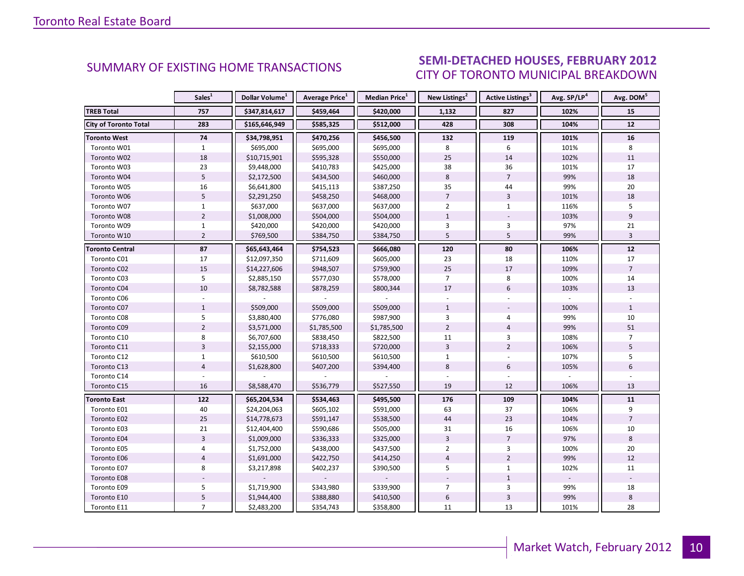#### $\blacksquare$ CITY OF TORONTO MUNICIPAL BREAKDOWN SUMMARY OF EXISTING HOME TRANSACTIONS **SEMI-DETACHED HOUSES, FEBRUARY 2012**

<span id="page-9-0"></span>

|                        | Sales <sup>1</sup> | Dollar Volume <sup>1</sup> | Average Price <sup>1</sup> | Median Price <sup>1</sup> | New Listings <sup>2</sup> | Active Listings <sup>3</sup> | Avg. SP/LP <sup>4</sup> | Avg. DOM <sup>5</sup> |
|------------------------|--------------------|----------------------------|----------------------------|---------------------------|---------------------------|------------------------------|-------------------------|-----------------------|
| <b>TREB Total</b>      | 757                | \$347,814,617              | \$459,464                  | \$420,000                 | 1,132                     | 827                          | 102%                    | 15                    |
| City of Toronto Total  | 283                | \$165,646,949              | \$585,325                  | \$512,000                 | 428                       | 308                          | 104%                    | 12                    |
| <b>Toronto West</b>    | 74                 | \$34,798,951               | \$470,256                  | \$456,500                 | 132                       | 119                          | 101%                    | 16                    |
| Toronto W01            | $\mathbf{1}$       | \$695,000                  | \$695,000                  | \$695,000                 | 8                         | 6                            | 101%                    | 8                     |
| Toronto W02            | 18                 | \$10,715,901               | \$595,328                  | \$550,000                 | 25                        | 14                           | 102%                    | 11                    |
| Toronto W03            | 23                 | \$9,448,000                | \$410,783                  | \$425,000                 | 38                        | 36                           | 101%                    | 17                    |
| Toronto W04            | $\overline{5}$     | \$2,172,500                | \$434,500                  | \$460,000                 | $8\phantom{1}$            | $\overline{7}$               | 99%                     | 18                    |
| Toronto W05            | 16                 | \$6,641,800                | \$415,113                  | \$387,250                 | 35                        | 44                           | 99%                     | 20                    |
| Toronto W06            | 5                  | \$2,291,250                | \$458,250                  | \$468,000                 | $\overline{7}$            | $\overline{3}$               | 101%                    | 18                    |
| Toronto W07            | $\mathbf{1}$       | \$637,000                  | \$637,000                  | \$637,000                 | $\overline{2}$            | $\mathbf{1}$                 | 116%                    | 5                     |
| Toronto W08            | $\overline{2}$     | \$1,008,000                | \$504,000                  | \$504,000                 | $\mathbf{1}$              |                              | 103%                    | 9                     |
| Toronto W09            | $\mathbf{1}$       | \$420,000                  | \$420,000                  | \$420,000                 | 3                         | $\overline{3}$               | 97%                     | 21                    |
| Toronto W10            | $\overline{2}$     | \$769,500                  | \$384,750                  | \$384,750                 | 5                         | 5                            | 99%                     | $\overline{3}$        |
| <b>Toronto Central</b> | 87                 | \$65,643,464               | \$754,523                  | \$666,080                 | 120                       | 80                           | 106%                    | $12$                  |
| Toronto C01            | 17                 | \$12,097,350               | \$711,609                  | \$605,000                 | 23                        | 18                           | 110%                    | 17                    |
| Toronto C02            | 15                 | \$14,227,606               | \$948,507                  | \$759,900                 | 25                        | 17                           | 109%                    | $\overline{7}$        |
| Toronto C03            | 5                  | \$2,885,150                | \$577,030                  | \$578,000                 | $\overline{7}$            | 8                            | 100%                    | 14                    |
| Toronto C04            | 10                 | \$8,782,588                | \$878,259                  | \$800,344                 | 17                        | 6                            | 103%                    | 13                    |
| Toronto C06            |                    |                            |                            |                           |                           |                              |                         |                       |
| Toronto C07            | $\mathbf{1}$       | \$509,000                  | \$509,000                  | \$509,000                 | $\mathbf{1}$              |                              | 100%                    | $\mathbf{1}$          |
| Toronto C08            | 5                  | \$3,880,400                | \$776,080                  | \$987,900                 | $\overline{3}$            | 4                            | 99%                     | 10                    |
| Toronto C09            | $\overline{2}$     | \$3,571,000                | \$1,785,500                | \$1,785,500               | $\overline{2}$            | $\overline{4}$               | 99%                     | 51                    |
| Toronto C10            | 8                  | \$6,707,600                | \$838,450                  | \$822,500                 | 11                        | $\overline{3}$               | 108%                    | $\overline{7}$        |
| Toronto C11            | $\overline{3}$     | \$2,155,000                | \$718,333                  | \$720,000                 | $\overline{3}$            | $\overline{2}$               | 106%                    | 5                     |
| Toronto C12            | $\mathbf{1}$       | \$610,500                  | \$610,500                  | \$610,500                 | $\mathbf{1}$              |                              | 107%                    | 5                     |
| Toronto C13            | $\overline{4}$     | \$1,628,800                | \$407,200                  | \$394,400                 | 8                         | 6                            | 105%                    | 6                     |
| Toronto C14            |                    |                            |                            |                           |                           |                              |                         |                       |
| Toronto C15            | 16                 | \$8,588,470                | \$536,779                  | \$527,550                 | 19                        | 12                           | 106%                    | 13                    |
| <b>Toronto East</b>    | 122                | \$65,204,534               | \$534,463                  | \$495,500                 | 176                       | 109                          | 104%                    | 11                    |
| Toronto E01            | 40                 | \$24,204,063               | \$605,102                  | \$591,000                 | 63                        | 37                           | 106%                    | 9                     |
| Toronto E02            | 25                 | \$14,778,673               | \$591,147                  | \$538,500                 | 44                        | 23                           | 104%                    | $\overline{7}$        |
| Toronto E03            | 21                 | \$12,404,400               | \$590,686                  | \$505,000                 | 31                        | 16                           | 106%                    | 10                    |
| Toronto E04            | $\overline{3}$     | \$1,009,000                | \$336,333                  | \$325,000                 | $\overline{3}$            | $\overline{7}$               | 97%                     | 8                     |
| Toronto E05            | 4                  | \$1,752,000                | \$438,000                  | \$437,500                 | $\overline{2}$            | 3                            | 100%                    | 20                    |
| Toronto E06            | $\overline{4}$     | \$1,691,000                | \$422,750                  | \$414,250                 | $\overline{4}$            | $\overline{2}$               | 99%                     | 12                    |
| Toronto E07            | 8                  | \$3,217,898                | \$402,237                  | \$390,500                 | 5                         | $\mathbf{1}$                 | 102%                    | 11                    |
| Toronto E08            |                    |                            |                            |                           |                           | $\mathbf{1}$                 |                         |                       |
| Toronto E09            | 5                  | \$1,719,900                | \$343,980                  | \$339,900                 | 7                         | 3                            | 99%                     | 18                    |
| Toronto E10            | $\mathsf S$        | \$1,944,400                | \$388,880                  | \$410,500                 | $\boldsymbol{6}$          | $\overline{\mathbf{3}}$      | 99%                     | 8                     |
| Toronto E11            | $\overline{7}$     | \$2,483,200                | \$354,743                  | \$358,800                 | 11                        | 13                           | 101%                    | 28                    |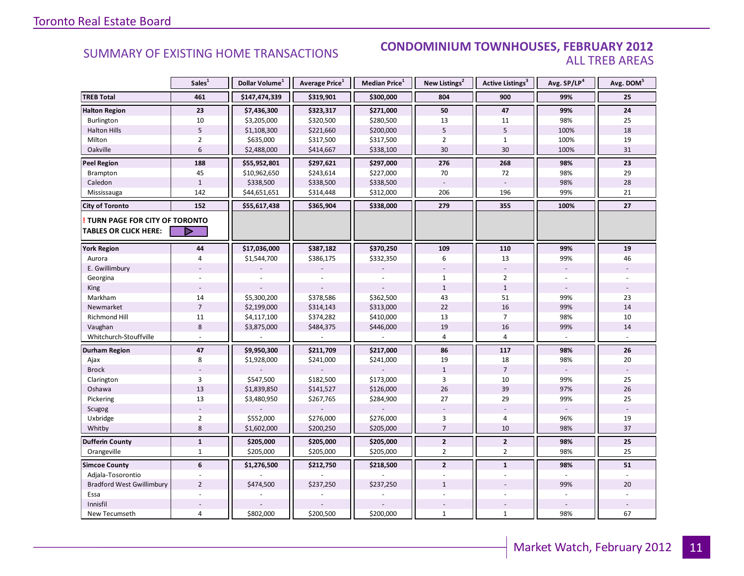### SUMMARY OF EXISTING HOME TRANSACTIONS **CONDOMINIUM TOWNHOUSES, FEBRUARY 2012** ALL TREB AREAS

|                                                               | Sales <sup>1</sup> | Dollar Volume <sup>1</sup> | Average Price <sup>1</sup> | <b>Median Price</b> <sup>1</sup> | New Listings <sup>2</sup> | Active Listings <sup>3</sup> | Avg. SP/LP <sup>4</sup> | Avg. DOM <sup>5</sup> |
|---------------------------------------------------------------|--------------------|----------------------------|----------------------------|----------------------------------|---------------------------|------------------------------|-------------------------|-----------------------|
| <b>TREB Total</b>                                             | 461                | \$147,474,339              | \$319,901                  | \$300,000                        | 804                       | 900                          | 99%                     | 25                    |
| <b>Halton Region</b>                                          | 23                 | \$7,436,300                | \$323,317                  | \$271,000                        | 50                        | 47                           | 99%                     | 24                    |
| Burlington                                                    | 10                 | \$3,205,000                | \$320,500                  | \$280,500                        | 13                        | 11                           | 98%                     | 25                    |
| <b>Halton Hills</b>                                           | 5                  | \$1,108,300                | \$221,660                  | \$200,000                        | 5                         | 5                            | 100%                    | 18                    |
| Milton                                                        | $\overline{2}$     | \$635,000                  | \$317,500                  | \$317,500                        | $\overline{2}$            | $\mathbf{1}$                 | 100%                    | 19                    |
| Oakville                                                      | 6                  | \$2,488,000                | \$414,667                  | \$338,100                        | 30                        | 30                           | 100%                    | 31                    |
| <b>Peel Region</b>                                            | 188                | \$55,952,801               | \$297,621                  | \$297,000                        | 276                       | 268                          | 98%                     | 23                    |
| Brampton                                                      | 45                 | \$10,962,650               | \$243,614                  | \$227,000                        | 70                        | 72                           | 98%                     | 29                    |
| Caledon                                                       | $\mathbf{1}$       | \$338,500                  | \$338,500                  | \$338,500                        |                           |                              | 98%                     | 28                    |
| Mississauga                                                   | 142                | \$44,651,651               | \$314,448                  | \$312,000                        | 206                       | 196                          | 99%                     | 21                    |
| <b>City of Toronto</b>                                        | 152                | \$55,617,438               | \$365,904                  | \$338,000                        | 279                       | 355                          | 100%                    | 27                    |
| TURN PAGE FOR CITY OF TORONTO<br><b>TABLES OR CLICK HERE:</b> | D                  |                            |                            |                                  |                           |                              |                         |                       |
| <b>York Region</b>                                            | 44                 | \$17,036,000               | \$387,182                  | \$370,250                        | 109                       | 110                          | 99%                     | 19                    |
| Aurora                                                        | 4                  | \$1,544,700                | \$386,175                  | \$332,350                        | 6                         | 13                           | 99%                     | 46                    |
| E. Gwillimbury                                                |                    |                            |                            |                                  |                           |                              |                         |                       |
| Georgina                                                      |                    |                            |                            |                                  | $\mathbf{1}$              | $\overline{2}$               |                         |                       |
| King                                                          |                    |                            |                            |                                  | $\mathbf{1}$              | $\mathbf{1}$                 |                         |                       |
| Markham                                                       | 14                 | \$5,300,200                | \$378,586                  | \$362,500                        | 43                        | 51                           | 99%                     | 23                    |
| Newmarket                                                     | $\overline{7}$     | \$2,199,000                | \$314,143                  | \$313,000                        | 22                        | 16                           | 99%                     | 14                    |
| Richmond Hill                                                 | 11                 | \$4,117,100                | \$374,282                  | \$410,000                        | 13                        | $\overline{7}$               | 98%                     | 10                    |
| Vaughan                                                       | 8                  | \$3,875,000                | \$484,375                  | \$446,000                        | 19                        | 16                           | 99%                     | 14                    |
| Whitchurch-Stouffville                                        |                    |                            |                            |                                  | $\overline{4}$            | $\overline{4}$               |                         |                       |
| Durham Region                                                 | 47                 | \$9,950,300                | \$211,709                  | \$217,000                        | 86                        | 117                          | 98%                     | ${\bf 26}$            |
| Ajax                                                          | 8                  | \$1,928,000                | \$241,000                  | \$241,000                        | 19                        | 18                           | 98%                     | 20                    |
| <b>Brock</b>                                                  |                    |                            |                            |                                  | $1\,$                     | $\overline{7}$               |                         |                       |
| Clarington                                                    | 3                  | \$547,500                  | \$182,500                  | \$173,000                        | 3                         | 10                           | 99%                     | 25                    |
| Oshawa                                                        | 13                 | \$1,839,850                | \$141,527                  | \$126,000                        | 26                        | 39                           | 97%                     | 26                    |
| Pickering                                                     | 13                 | \$3,480,950                | \$267,765                  | \$284,900                        | 27                        | 29                           | 99%                     | 25                    |
| Scugog                                                        |                    |                            |                            |                                  |                           |                              |                         |                       |
| Uxbridge                                                      | $\overline{2}$     | \$552,000                  | \$276,000                  | \$276,000                        | 3                         | 4                            | 96%                     | 19                    |
| Whitby                                                        | 8                  | \$1,602,000                | \$200,250                  | \$205,000                        | $\overline{7}$            | 10                           | 98%                     | 37                    |
| <b>Dufferin County</b>                                        | $\mathbf{1}$       | \$205,000                  | \$205,000                  | \$205,000                        | $\overline{2}$            | $\overline{2}$               | 98%                     | 25                    |
| Orangeville                                                   | $\mathbf{1}$       | \$205,000                  | \$205,000                  | \$205,000                        | $\overline{2}$            | $\overline{2}$               | 98%                     | 25                    |
| <b>Simcoe County</b>                                          | 6                  | \$1,276,500                | \$212,750                  | \$218,500                        | $\overline{2}$            | $\mathbf{1}$                 | 98%                     | 51                    |
| Adjala-Tosorontio                                             |                    |                            |                            |                                  |                           |                              |                         |                       |
| <b>Bradford West Gwillimbury</b>                              | $\overline{2}$     | \$474,500                  | \$237,250                  | \$237,250                        | $\mathbf{1}$              |                              | 99%                     | 20                    |
| Essa                                                          |                    |                            |                            |                                  |                           |                              |                         |                       |
| Innisfil                                                      |                    |                            |                            |                                  |                           |                              |                         |                       |
| New Tecumseth                                                 | $\overline{4}$     | \$802,000                  | \$200,500                  | \$200,000                        | $\mathbf{1}$              | $\mathbf{1}$                 | 98%                     | 67                    |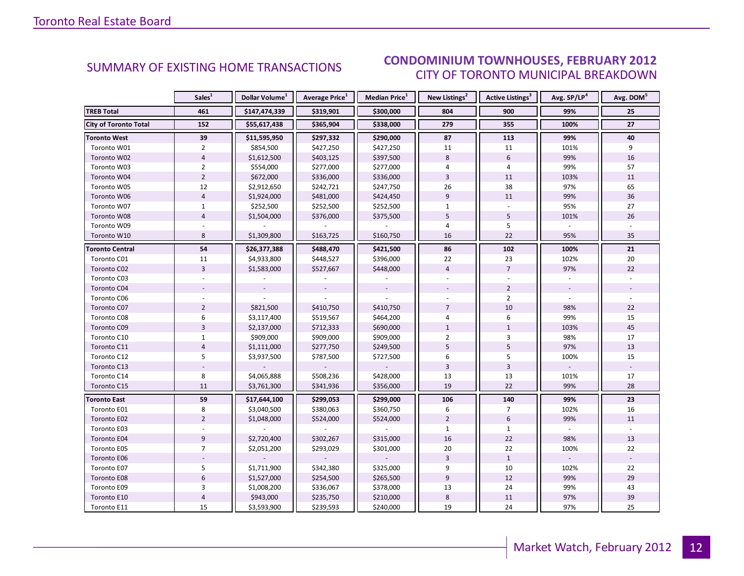#### $\blacksquare$ CITY OF TORONTO MUNICIPAL BREAKDOWN SUMMARY OF EXISTING HOME TRANSACTIONS **CONDOMINIUM TOWNHOUSES, FEBRUARY 2012**

<span id="page-11-0"></span>

|                              | Sales <sup>1</sup> | Dollar Volume <sup>1</sup> | <b>Average Price</b> <sup>1</sup> | Median Price <sup>1</sup> | New Listings <sup>2</sup> | <b>Active Listings<sup>3</sup></b> | Avg. SP/LP <sup>4</sup> | Avg. DOM <sup>5</sup> |
|------------------------------|--------------------|----------------------------|-----------------------------------|---------------------------|---------------------------|------------------------------------|-------------------------|-----------------------|
| <b>TREB Total</b>            | 461                | \$147,474,339              | \$319,901                         | \$300,000                 | 804                       | 900                                | 99%                     | 25                    |
| <b>City of Toronto Total</b> | 152                | \$55,617,438               | \$365,904                         | \$338,000                 | 279                       | 355                                | 100%                    | 27                    |
| <b>Toronto West</b>          | 39                 | \$11,595,950               | \$297,332                         | \$290,000                 | 87                        | 113                                | 99%                     | 40                    |
| Toronto W01                  | $\overline{2}$     | \$854,500                  | \$427,250                         | \$427,250                 | 11                        | 11                                 | 101%                    | 9                     |
| Toronto W02                  | $\overline{4}$     | \$1,612,500                | \$403,125                         | \$397,500                 | 8                         | 6                                  | 99%                     | 16                    |
| Toronto W03                  | $\overline{2}$     | \$554,000                  | \$277,000                         | \$277,000                 | 4                         | 4                                  | 99%                     | 57                    |
| Toronto W04                  | $\overline{2}$     | \$672,000                  | \$336,000                         | \$336,000                 | $\overline{3}$            | 11                                 | 103%                    | 11                    |
| Toronto W05                  | 12                 | \$2,912,650                | \$242,721                         | \$247,750                 | 26                        | 38                                 | 97%                     | 65                    |
| Toronto W06                  | $\overline{4}$     | \$1,924,000                | \$481,000                         | \$424,450                 | 9                         | 11                                 | 99%                     | 36                    |
| Toronto W07                  | $\mathbf{1}$       | \$252,500                  | \$252,500                         | \$252,500                 | $\mathbf{1}$              |                                    | 95%                     | 27                    |
| Toronto W08                  | $\overline{4}$     | \$1,504,000                | \$376,000                         | \$375,500                 | 5                         | 5                                  | 101%                    | 26                    |
| Toronto W09                  |                    |                            |                                   |                           | $\overline{4}$            | 5                                  |                         |                       |
| Toronto W10                  | 8                  | \$1,309,800                | \$163,725                         | \$160,750                 | 16                        | 22                                 | 95%                     | 35                    |
| <b>Toronto Central</b>       | 54                 | \$26,377,388               | \$488,470                         | \$421,500                 | 86                        | 102                                | 100%                    | 21                    |
| Toronto C01                  | 11                 | \$4,933,800                | \$448,527                         | \$396,000                 | 22                        | 23                                 | 102%                    | 20                    |
| Toronto C02                  | $\overline{3}$     | \$1,583,000                | \$527,667                         | \$448,000                 | $\overline{4}$            | $\overline{7}$                     | 97%                     | 22                    |
| Toronto C03                  |                    |                            |                                   |                           |                           |                                    |                         |                       |
| Toronto C04                  |                    |                            |                                   |                           |                           | $\overline{2}$                     |                         |                       |
| Toronto C06                  |                    |                            |                                   |                           |                           | $\overline{2}$                     |                         |                       |
| Toronto C07                  | $\overline{2}$     | \$821,500                  | \$410,750                         | \$410,750                 | $\overline{7}$            | 10                                 | 98%                     | 22                    |
| Toronto C08                  | 6                  | \$3,117,400                | \$519,567                         | \$464,200                 | 4                         | 6                                  | 99%                     | 15                    |
| Toronto C09                  | $\overline{3}$     | \$2,137,000                | \$712,333                         | \$690,000                 | $\mathbf{1}$              | $\mathbf 1$                        | 103%                    | 45                    |
| Toronto C10                  | $\mathbf{1}$       | \$909,000                  | \$909,000                         | \$909,000                 | $\overline{2}$            | 3                                  | 98%                     | 17                    |
| Toronto C11                  | $\overline{4}$     | \$1,111,000                | \$277,750                         | \$249,500                 | 5                         | 5                                  | 97%                     | 13                    |
| Toronto C12                  | 5                  | \$3,937,500                | \$787,500                         | \$727,500                 | 6                         | 5                                  | 100%                    | 15                    |
| Toronto C13                  |                    |                            |                                   |                           | $\overline{3}$            | $\overline{\mathbf{3}}$            |                         |                       |
| Toronto C14                  | 8                  | \$4,065,888                | \$508,236                         | \$428,000                 | 13                        | 13                                 | 101%                    | 17                    |
| Toronto C15                  | 11                 | \$3,761,300                | \$341,936                         | \$356,000                 | 19                        | 22                                 | 99%                     | 28                    |
| <b>Toronto East</b>          | 59                 | \$17,644,100               | \$299,053                         | \$299,000                 | 106                       | 140                                | 99%                     | 23                    |
| Toronto E01                  | 8                  | \$3,040,500                | \$380,063                         | \$360,750                 | 6                         | $\overline{7}$                     | 102%                    | 16                    |
| Toronto E02                  | $\overline{2}$     | \$1,048,000                | \$524,000                         | \$524,000                 | $\overline{2}$            | 6                                  | 99%                     | 11                    |
| Toronto E03                  |                    |                            |                                   |                           | $\mathbf{1}$              | $\mathbf{1}$                       |                         |                       |
| Toronto E04                  | 9                  | \$2,720,400                | \$302,267                         | \$315,000                 | 16                        | 22                                 | 98%                     | 13                    |
| Toronto E05                  | $\overline{7}$     | \$2,051,200                | \$293,029                         | \$301,000                 | 20                        | 22                                 | 100%                    | 22                    |
| Toronto E06                  |                    |                            |                                   |                           | $\overline{3}$            | $\mathbf{1}$                       |                         |                       |
| Toronto E07                  | 5                  | \$1,711,900                | \$342,380                         | \$325,000                 | 9                         | 10                                 | 102%                    | 22                    |
| Toronto E08                  | $\boldsymbol{6}$   | \$1,527,000                | \$254,500                         | \$265,500                 | $\boldsymbol{9}$          | 12                                 | 99%                     | 29                    |
| Toronto E09                  | 3                  | \$1,008,200                | \$336,067                         | \$378,000                 | 13                        | 24                                 | 99%                     | 43                    |
| Toronto E10                  | $\overline{4}$     | \$943,000                  | \$235,750                         | \$210,000                 | $\bf 8$                   | 11                                 | 97%                     | 39                    |
| Toronto E11                  | 15                 | \$3,593,900                | \$239,593                         | \$240,000                 | 19                        | 24                                 | 97%                     | 25                    |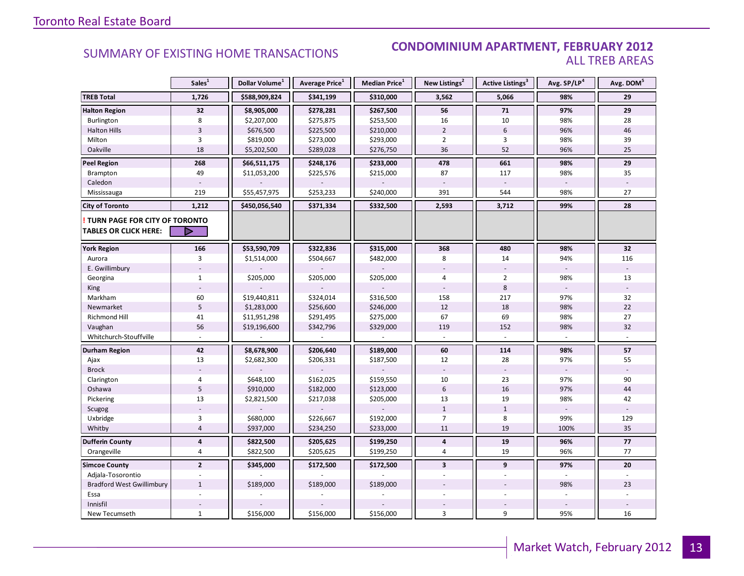#### SUMMARY OF EXISTING HOME TRANSACTIONS **CONDOMINIUM APARTMENT, FEBRUARY 2012** ALL TREB AREAS

|                                                               | Sales <sup>1</sup>      | Dollar Volume <sup>1</sup> | Average Price <sup>1</sup> | Median Price <sup>1</sup> | New Listings <sup>2</sup> | Active Listings <sup>3</sup>     | Avg. SP/LP <sup>4</sup> | Avg. DOM <sup>5</sup> |
|---------------------------------------------------------------|-------------------------|----------------------------|----------------------------|---------------------------|---------------------------|----------------------------------|-------------------------|-----------------------|
| <b>TREB Total</b>                                             | 1,726                   | \$588,909,824              | \$341,199                  | \$310,000                 | 3,562                     | 5,066                            | 98%                     | 29                    |
| <b>Halton Region</b>                                          | 32                      | \$8,905,000                | \$278,281                  | \$267,500                 | 56                        | 71                               | 97%                     | 29                    |
| Burlington                                                    | 8                       | \$2,207,000                | \$275,875                  | \$253,500                 | 16                        | 10                               | 98%                     | 28                    |
| <b>Halton Hills</b>                                           | $\overline{3}$          | \$676,500                  | \$225,500                  | \$210,000                 | $\overline{2}$            | 6                                | 96%                     | 46                    |
| Milton                                                        | 3                       | \$819,000                  | \$273,000                  | \$293,000                 | $\overline{2}$            | 3                                | 98%                     | 39                    |
| Oakville                                                      | 18                      | \$5,202,500                | \$289,028                  | \$276,750                 | 36                        | 52                               | 96%                     | 25                    |
| <b>Peel Region</b>                                            | 268                     | \$66,511,175               | \$248,176                  | \$233,000                 | 478                       | 661                              | 98%                     | 29                    |
| Brampton                                                      | 49                      | \$11,053,200               | \$225,576                  | \$215,000                 | 87                        | 117                              | 98%                     | 35                    |
| Caledon                                                       |                         |                            |                            |                           |                           |                                  |                         |                       |
| Mississauga                                                   | 219                     | \$55,457,975               | \$253,233                  | \$240,000                 | 391                       | 544                              | 98%                     | 27                    |
| <b>City of Toronto</b>                                        | 1,212                   | \$450,056,540              | \$371,334                  | \$332,500                 | 2,593                     | 3,712                            | 99%                     | 28                    |
| TURN PAGE FOR CITY OF TORONTO<br><b>TABLES OR CLICK HERE:</b> | D                       |                            |                            |                           |                           |                                  |                         |                       |
|                                                               |                         |                            |                            |                           |                           |                                  |                         |                       |
| <b>York Region</b>                                            | 166                     | \$53,590,709               | \$322,836                  | \$315,000                 | 368                       | 480                              | 98%                     | 32                    |
| Aurora                                                        | 3                       | \$1,514,000                | \$504,667                  | \$482,000                 | 8                         | 14                               | 94%                     | 116                   |
| E. Gwillimbury                                                |                         |                            |                            |                           |                           |                                  |                         |                       |
| Georgina                                                      | $\mathbf{1}$            | \$205,000                  | \$205,000                  | \$205,000                 | 4                         | $\overline{2}$<br>$8\phantom{1}$ | 98%                     | 13<br>$\mathbf{r}$    |
| King                                                          |                         |                            |                            |                           |                           |                                  |                         |                       |
| Markham                                                       | 60                      | \$19,440,811               | \$324,014                  | \$316,500                 | 158                       | 217                              | 97%                     | 32                    |
| Newmarket                                                     | $\mathsf S$             | \$1,283,000                | \$256,600                  | \$246,000                 | 12                        | 18                               | 98%                     | 22                    |
| Richmond Hill                                                 | 41                      | \$11,951,298               | \$291,495                  | \$275,000                 | 67                        | 69                               | 98%                     | 27                    |
| Vaughan                                                       | 56                      | \$19,196,600               | \$342,796                  | \$329,000                 | 119                       | 152                              | 98%                     | 32                    |
| Whitchurch-Stouffville                                        |                         |                            |                            |                           |                           |                                  |                         |                       |
| Durham Region                                                 | 42                      | \$8,678,900                | \$206,640                  | \$189,000                 | 60                        | 114                              | 98%                     | 57                    |
| Ajax                                                          | 13                      | \$2,682,300                | \$206,331                  | \$187,500                 | 12                        | 28                               | 97%                     | 55                    |
| <b>Brock</b>                                                  |                         |                            |                            |                           |                           |                                  |                         |                       |
| Clarington                                                    | 4                       | \$648,100                  | \$162,025                  | \$159,550                 | 10                        | 23                               | 97%                     | 90                    |
| Oshawa                                                        | 5                       | \$910,000                  | \$182,000                  | \$123,000                 | $6\,$                     | 16                               | 97%                     | 44                    |
| Pickering                                                     | 13                      | \$2,821,500                | \$217,038                  | \$205,000                 | 13                        | 19                               | 98%                     | 42                    |
| Scugog                                                        |                         |                            |                            |                           | $\mathbf{1}$              | $\mathbf{1}$                     |                         |                       |
| Uxbridge                                                      | $\overline{3}$          | \$680,000                  | \$226,667                  | \$192,000                 | $\overline{7}$            | 8                                | 99%                     | 129                   |
| Whitby                                                        | $\overline{4}$          | \$937,000                  | \$234,250                  | \$233,000                 | 11                        | 19                               | 100%                    | 35                    |
| <b>Dufferin County</b>                                        | $\overline{\mathbf{4}}$ | \$822,500                  | \$205,625                  | \$199,250                 | 4                         | 19                               | 96%                     | $77$                  |
| Orangeville                                                   | $\overline{4}$          | \$822,500                  | \$205,625                  | \$199,250                 | $\overline{4}$            | 19                               | 96%                     | 77                    |
| <b>Simcoe County</b>                                          | $\overline{2}$          | \$345,000                  | \$172,500                  | \$172,500                 | $\overline{\mathbf{3}}$   | 9                                | 97%                     | 20                    |
| Adjala-Tosorontio                                             |                         |                            |                            |                           |                           |                                  |                         |                       |
| <b>Bradford West Gwillimbury</b>                              | $\mathbf{1}$            | \$189,000                  | \$189,000                  | \$189,000                 |                           |                                  | 98%                     | 23                    |
| Essa                                                          |                         |                            |                            |                           |                           |                                  |                         |                       |
| Innisfil                                                      |                         |                            |                            |                           |                           |                                  |                         |                       |
| New Tecumseth                                                 | $\mathbf{1}$            | \$156,000                  | \$156,000                  | \$156,000                 | 3                         | 9                                | 95%                     | 16                    |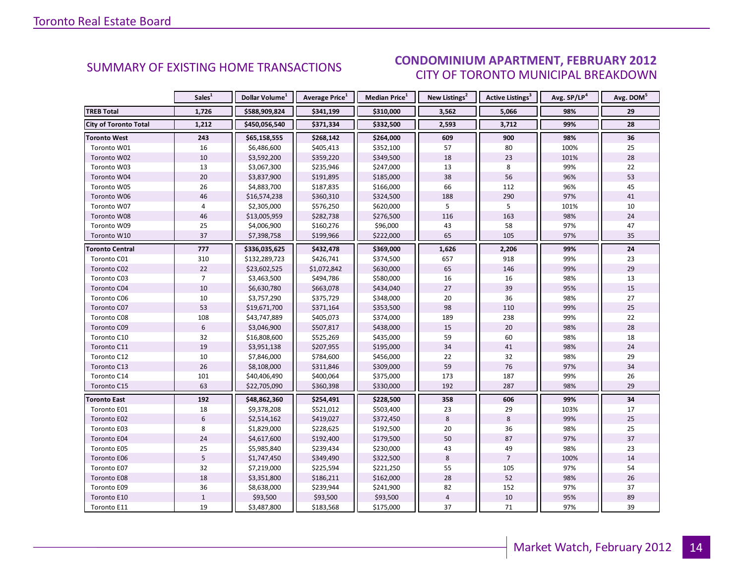#### $\blacksquare$ CITY OF TORONTO MUNICIPAL BREAKDOWN SUMMARY OF EXISTING HOME TRANSACTIONS **CONDOMINIUM APARTMENT, FEBRUARY 2012**

<span id="page-13-0"></span>

|                              | Sales <sup>1</sup> | Dollar Volume <sup>1</sup> | <b>Average Price</b> <sup>1</sup> | <b>Median Price</b> <sup>1</sup> | New Listings <sup>2</sup> | <b>Active Listings<sup>3</sup></b> | Avg. SP/LP <sup>4</sup> | Avg. DOM <sup>5</sup> |
|------------------------------|--------------------|----------------------------|-----------------------------------|----------------------------------|---------------------------|------------------------------------|-------------------------|-----------------------|
| <b>TREB Total</b>            | 1,726              | \$588,909,824              | \$341,199                         | \$310,000                        | 3,562                     | 5,066                              | 98%                     | 29                    |
| <b>City of Toronto Total</b> | 1,212              | \$450,056,540              | \$371,334                         | \$332,500                        | 2,593                     | 3,712                              | 99%                     | 28                    |
| <b>Toronto West</b>          | 243                | \$65,158,555               | \$268,142                         | \$264,000                        | 609                       | 900                                | 98%                     | 36                    |
| Toronto W01                  | 16                 | \$6,486,600                | \$405,413                         | \$352,100                        | 57                        | 80                                 | 100%                    | 25                    |
| Toronto W02                  | 10                 | \$3,592,200                | \$359,220                         | \$349,500                        | 18                        | 23                                 | 101%                    | 28                    |
| Toronto W03                  | 13                 | \$3,067,300                | \$235,946                         | \$247,000                        | 13                        | 8                                  | 99%                     | 22                    |
| Toronto W04                  | $20\,$             | \$3,837,900                | \$191,895                         | \$185,000                        | 38                        | 56                                 | 96%                     | 53                    |
| Toronto W05                  | 26                 | \$4,883,700                | \$187,835                         | \$166,000                        | 66                        | 112                                | 96%                     | 45                    |
| Toronto W06                  | 46                 | \$16,574,238               | \$360,310                         | \$324,500                        | 188                       | 290                                | 97%                     | 41                    |
| Toronto W07                  | 4                  | \$2,305,000                | \$576,250                         | \$620,000                        | 5                         | 5                                  | 101%                    | 10                    |
| Toronto W08                  | 46                 | \$13,005,959               | \$282,738                         | \$276,500                        | 116                       | 163                                | 98%                     | 24                    |
| Toronto W09                  | 25                 | \$4,006,900                | \$160,276                         | \$96,000                         | 43                        | 58                                 | 97%                     | 47                    |
| Toronto W10                  | 37                 | \$7,398,758                | \$199,966                         | \$222,000                        | 65                        | 105                                | 97%                     | 35                    |
| <b>Toronto Central</b>       | 777                | \$336,035,625              | \$432,478                         | \$369,000                        | 1,626                     | 2,206                              | 99%                     | 24                    |
| Toronto C01                  | 310                | \$132,289,723              | \$426,741                         | \$374,500                        | 657                       | 918                                | 99%                     | 23                    |
| Toronto C02                  | 22                 | \$23,602,525               | \$1,072,842                       | \$630,000                        | 65                        | 146                                | 99%                     | 29                    |
| Toronto C03                  | $\overline{7}$     | \$3,463,500                | \$494,786                         | \$580,000                        | 16                        | 16                                 | 98%                     | 13                    |
| Toronto C04                  | 10                 | \$6,630,780                | \$663,078                         | \$434,040                        | 27                        | 39                                 | 95%                     | 15                    |
| Toronto C06                  | 10                 | \$3,757,290                | \$375,729                         | \$348,000                        | 20                        | 36                                 | 98%                     | 27                    |
| Toronto C07                  | 53                 | \$19,671,700               | \$371,164                         | \$353,500                        | 98                        | 110                                | 99%                     | 25                    |
| Toronto C08                  | 108                | \$43,747,889               | \$405,073                         | \$374,000                        | 189                       | 238                                | 99%                     | 22                    |
| Toronto C09                  | $6\,$              | \$3,046,900                | \$507,817                         | \$438,000                        | 15                        | 20                                 | 98%                     | 28                    |
| Toronto C10                  | 32                 | \$16,808,600               | \$525,269                         | \$435,000                        | 59                        | 60                                 | 98%                     | 18                    |
| Toronto C11                  | 19                 | \$3,951,138                | \$207,955                         | \$195,000                        | 34                        | 41                                 | 98%                     | 24                    |
| Toronto C12                  | 10                 | \$7,846,000                | \$784,600                         | \$456,000                        | 22                        | 32                                 | 98%                     | 29                    |
| Toronto C13                  | 26                 | \$8,108,000                | \$311,846                         | \$309,000                        | 59                        | 76                                 | 97%                     | 34                    |
| Toronto C14                  | 101                | \$40,406,490               | \$400,064                         | \$375,000                        | 173                       | 187                                | 99%                     | 26                    |
| Toronto C15                  | 63                 | \$22,705,090               | \$360,398                         | \$330,000                        | 192                       | 287                                | 98%                     | 29                    |
| <b>Toronto East</b>          | 192                | \$48,862,360               | \$254,491                         | \$228,500                        | 358                       | 606                                | 99%                     | 34                    |
| Toronto E01                  | 18                 | \$9,378,208                | \$521,012                         | \$503,400                        | 23                        | 29                                 | 103%                    | 17                    |
| Toronto E02                  | 6                  | \$2,514,162                | \$419,027                         | \$372,450                        | 8                         | 8                                  | 99%                     | 25                    |
| Toronto E03                  | 8                  | \$1,829,000                | \$228,625                         | \$192,500                        | 20                        | 36                                 | 98%                     | 25                    |
| <b>Toronto E04</b>           | 24                 | \$4,617,600                | \$192,400                         | \$179,500                        | 50                        | 87                                 | 97%                     | 37                    |
| Toronto E05                  | 25                 | \$5,985,840                | \$239,434                         | \$230,000                        | 43                        | 49                                 | 98%                     | 23                    |
| Toronto E06                  | 5                  | \$1,747,450                | \$349,490                         | \$322,500                        | 8                         | $\overline{7}$                     | 100%                    | 14                    |
| Toronto E07                  | 32                 | \$7,219,000                | \$225,594                         | \$221,250                        | 55                        | 105                                | 97%                     | 54                    |
| Toronto E08                  | 18                 | \$3,351,800                | \$186,211                         | \$162,000                        | 28                        | 52                                 | 98%                     | 26                    |
| Toronto E09                  | 36                 | \$8,638,000                | \$239,944                         | \$241,900                        | 82                        | 152                                | 97%                     | 37                    |
| Toronto E10                  | $\,1\,$            | \$93,500                   | \$93,500                          | \$93,500                         | $\overline{4}$            | 10                                 | 95%                     | 89                    |
| Toronto E11                  | 19                 | \$3,487,800                | \$183,568                         | \$175,000                        | 37                        | 71                                 | 97%                     | 39                    |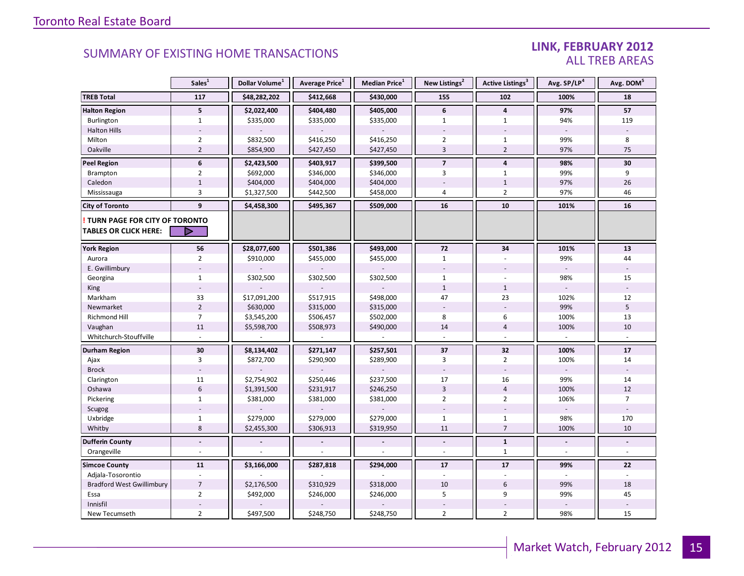### LINK, FEBRUARY 2012 ALL TREB AREAS

|                                                               | Sales <sup>1</sup> | Dollar Volume <sup>1</sup> | Average Price <sup>1</sup> | Median Price <sup>1</sup> | New Listings <sup>2</sup> | Active Listings <sup>3</sup> | Avg. SP/LP <sup>4</sup> | Avg. DOM <sup>5</sup> |
|---------------------------------------------------------------|--------------------|----------------------------|----------------------------|---------------------------|---------------------------|------------------------------|-------------------------|-----------------------|
| <b>TREB Total</b>                                             | 117                | \$48,282,202               | \$412,668                  | \$430,000                 | 155                       | 102                          | 100%                    | 18                    |
| <b>Halton Region</b>                                          | 5                  | \$2,022,400                | \$404,480                  | \$405,000                 | 6                         | 4                            | 97%                     | 57                    |
| Burlington                                                    | 1                  | \$335,000                  | \$335,000                  | \$335,000                 | $\mathbf{1}$              | $\mathbf{1}$                 | 94%                     | 119                   |
| <b>Halton Hills</b>                                           |                    |                            |                            |                           |                           |                              | $\sim$                  |                       |
| Milton                                                        | $\overline{2}$     | \$832,500                  | \$416,250                  | \$416,250                 | $\overline{2}$            | $\mathbf{1}$                 | 99%                     | 8                     |
| Oakville                                                      | $\overline{2}$     | \$854,900                  | \$427,450                  | \$427,450                 | $\overline{3}$            | $\overline{2}$               | 97%                     | 75                    |
| <b>Peel Region</b>                                            | 6                  | \$2,423,500                | \$403,917                  | \$399,500                 | $\overline{7}$            | $\overline{\mathbf{4}}$      | 98%                     | 30                    |
| Brampton                                                      | $\overline{2}$     | \$692,000                  | \$346,000                  | \$346,000                 | 3                         | $\mathbf{1}$                 | 99%                     | 9                     |
| Caledon                                                       | $1\,$              | \$404,000                  | \$404,000                  | \$404,000                 |                           | $\mathbf{1}$                 | 97%                     | 26                    |
| Mississauga                                                   | 3                  | \$1,327,500                | \$442,500                  | \$458,000                 | $\overline{4}$            | $\overline{2}$               | 97%                     | 46                    |
| <b>City of Toronto</b>                                        | 9                  | \$4,458,300                | \$495,367                  | \$509,000                 | 16                        | 10                           | 101%                    | 16                    |
| TURN PAGE FOR CITY OF TORONTO<br><b>TABLES OR CLICK HERE:</b> | ▶                  |                            |                            |                           |                           |                              |                         |                       |
|                                                               |                    |                            |                            |                           |                           |                              |                         |                       |
| <b>York Region</b>                                            | 56                 | \$28,077,600               | \$501,386                  | \$493,000                 | 72                        | 34                           | 101%                    | 13                    |
| Aurora                                                        | $\overline{2}$     | \$910,000                  | \$455,000                  | \$455,000                 | $\mathbf{1}$              |                              | 99%                     | 44                    |
| E. Gwillimbury                                                |                    |                            |                            |                           |                           |                              |                         |                       |
| Georgina                                                      | $\mathbf{1}$       | \$302,500                  | \$302,500                  | \$302,500                 | $\mathbf{1}$              |                              | 98%                     | 15                    |
| King                                                          |                    |                            |                            |                           | $\mathbf{1}$              | $\mathbf{1}$                 |                         |                       |
| Markham                                                       | 33                 | \$17,091,200               | \$517,915                  | \$498,000                 | 47                        | 23                           | 102%                    | 12                    |
| Newmarket                                                     | $\overline{2}$     | \$630,000                  | \$315,000                  | \$315,000                 |                           |                              | 99%                     | 5                     |
| Richmond Hill                                                 | $\overline{7}$     | \$3,545,200                | \$506,457                  | \$502,000                 | 8                         | 6                            | 100%                    | 13                    |
| Vaughan                                                       | 11                 | \$5,598,700                | \$508,973                  | \$490,000                 | 14                        | $\overline{4}$               | 100%                    | 10                    |
| Whitchurch-Stouffville                                        |                    |                            |                            |                           |                           |                              |                         |                       |
| <b>Durham Region</b>                                          | 30                 | \$8,134,402                | \$271,147                  | \$257,501                 | 37                        | 32                           | 100%                    | ${\bf 17}$            |
| Ajax                                                          | 3                  | \$872,700                  | \$290,900                  | \$289,900                 | 3                         | $\overline{2}$               | 100%                    | 14                    |
| <b>Brock</b>                                                  |                    |                            |                            |                           |                           |                              |                         |                       |
| Clarington                                                    | 11                 | \$2,754,902                | \$250,446                  | \$237,500                 | 17                        | 16                           | 99%                     | 14                    |
| Oshawa                                                        | $6\,$              | \$1,391,500                | \$231,917                  | \$246,250                 | $\overline{3}$            | $\overline{4}$               | 100%                    | 12                    |
| Pickering                                                     | $\mathbf{1}$       | \$381,000                  | \$381,000                  | \$381,000                 | $\overline{2}$            | $\overline{2}$               | 106%                    | $\overline{7}$        |
| Scugog                                                        |                    |                            |                            |                           |                           |                              | $\overline{a}$          | $\sim$                |
| Uxbridge                                                      | $\mathbf{1}$       | \$279,000                  | \$279,000                  | \$279,000                 | $\mathbf{1}$              | $\mathbf{1}$                 | 98%                     | 170                   |
| Whitby                                                        | 8                  | \$2,455,300                | \$306,913                  | \$319,950                 | 11                        | $\overline{7}$               | 100%                    | 10                    |
| <b>Dufferin County</b>                                        | $\overline{a}$     |                            |                            |                           | $\Box$                    | $\mathbf{1}$                 |                         |                       |
| Orangeville                                                   | ÷                  |                            |                            |                           |                           | $\mathbf{1}$                 |                         |                       |
| <b>Simcoe County</b>                                          | 11                 | \$3,166,000                | \$287,818                  | \$294,000                 | 17                        | 17                           | 99%                     | 22                    |
| Adjala-Tosorontio                                             |                    |                            |                            |                           |                           |                              |                         |                       |
| <b>Bradford West Gwillimbury</b>                              | $\overline{7}$     | \$2,176,500                | \$310,929                  | \$318,000                 | 10                        | $6\,$                        | 99%                     | 18                    |
| Essa                                                          | $\overline{2}$     | \$492,000                  | \$246,000                  | \$246,000                 | 5                         | 9                            | 99%                     | 45                    |
| Innisfil                                                      |                    |                            |                            |                           |                           |                              |                         |                       |
| New Tecumseth                                                 | $\overline{2}$     | \$497,500                  | \$248,750                  | \$248,750                 | $\overline{2}$            | $\overline{2}$               | 98%                     | 15                    |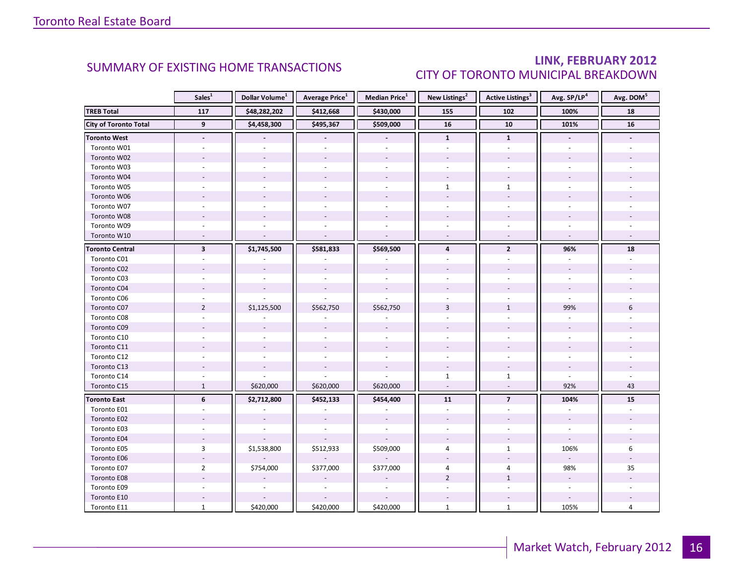### LINK, FEBRUARY 2012 CITY OF TORONTO MUNICIPAL BREAKDOWN

<span id="page-15-0"></span>

|                              | Sales <sup>1</sup>       | Dollar Volume <sup>1</sup> | <b>Average Price</b> <sup>1</sup> | Median Price <sup>1</sup> | New Listings <sup>2</sup> | <b>Active Listings<sup>3</sup></b> | Avg. SP/LP <sup>4</sup> | Avg. DOM <sup>5</sup> |
|------------------------------|--------------------------|----------------------------|-----------------------------------|---------------------------|---------------------------|------------------------------------|-------------------------|-----------------------|
| <b>TREB Total</b>            | 117                      | \$48,282,202               | \$412,668                         | \$430,000                 | 155                       | 102                                | 100%                    | 18                    |
| <b>City of Toronto Total</b> | $\overline{9}$           | \$4,458,300                | \$495,367                         | \$509,000                 | 16                        | 10                                 | 101%                    | 16                    |
| <b>Toronto West</b>          | $\overline{\phantom{a}}$ |                            |                                   |                           | $\mathbf{1}$              | $\mathbf{1}$                       |                         |                       |
| Toronto W01                  |                          |                            |                                   |                           |                           |                                    |                         |                       |
| Toronto W02                  |                          |                            |                                   |                           |                           |                                    |                         |                       |
| Toronto W03                  |                          |                            |                                   |                           |                           |                                    |                         |                       |
| Toronto W04                  |                          |                            |                                   |                           |                           |                                    |                         |                       |
| Toronto W05                  |                          |                            |                                   |                           | $\mathbf{1}$              | $\mathbf{1}$                       |                         |                       |
| Toronto W06                  |                          |                            |                                   |                           |                           |                                    |                         |                       |
| Toronto W07                  |                          |                            |                                   |                           |                           |                                    |                         |                       |
| Toronto W08                  |                          |                            |                                   |                           |                           |                                    |                         |                       |
| Toronto W09                  |                          |                            |                                   |                           |                           |                                    |                         |                       |
| Toronto W10                  |                          |                            |                                   | $\overline{a}$            |                           |                                    |                         |                       |
| <b>Toronto Central</b>       | $\overline{\mathbf{3}}$  | \$1,745,500                | \$581,833                         | \$569,500                 | $\overline{4}$            | $\overline{2}$                     | 96%                     | 18                    |
| Toronto C01                  |                          |                            |                                   |                           |                           |                                    |                         |                       |
| Toronto C02                  |                          |                            |                                   |                           |                           |                                    |                         |                       |
| Toronto C03                  |                          |                            |                                   |                           |                           | ÷                                  |                         |                       |
| Toronto C04                  |                          |                            |                                   |                           |                           |                                    |                         |                       |
| Toronto C06                  |                          |                            |                                   |                           |                           |                                    |                         |                       |
| Toronto C07                  | $\overline{2}$           | \$1,125,500                | \$562,750                         | \$562,750                 | $\overline{3}$            | $\mathbf{1}$                       | 99%                     | 6                     |
| Toronto C08                  |                          |                            |                                   |                           |                           |                                    |                         |                       |
| Toronto C09                  |                          |                            |                                   |                           |                           |                                    |                         |                       |
| Toronto C10                  |                          |                            |                                   |                           |                           |                                    |                         |                       |
| Toronto C11                  |                          |                            |                                   |                           |                           |                                    |                         |                       |
| Toronto C12                  |                          |                            |                                   |                           |                           |                                    |                         |                       |
| Toronto C13                  |                          |                            |                                   |                           |                           |                                    |                         |                       |
| Toronto C14                  |                          |                            |                                   |                           | $\mathbf{1}$              | $\mathbf{1}$                       |                         |                       |
| Toronto C15                  | $\mathbf{1}$             | \$620,000                  | \$620,000                         | \$620,000                 | $\mathbf{r}$              | $\blacksquare$                     | 92%                     | 43                    |
| <b>Toronto East</b>          | 6                        | \$2,712,800                | \$452,133                         | \$454,400                 | 11                        | $\overline{7}$                     | 104%                    | 15                    |
| Toronto E01                  |                          |                            |                                   |                           |                           |                                    |                         |                       |
| Toronto E02                  |                          |                            |                                   |                           |                           |                                    |                         |                       |
| Toronto E03                  |                          |                            |                                   |                           |                           |                                    |                         |                       |
| Toronto E04                  |                          |                            |                                   |                           |                           |                                    |                         |                       |
| Toronto E05                  | 3                        | \$1,538,800                | \$512,933                         | \$509,000                 | 4                         | $\mathbf{1}$                       | 106%                    | 6                     |
| Toronto E06                  |                          |                            |                                   |                           |                           |                                    |                         |                       |
| Toronto E07                  | $\overline{2}$           | \$754,000                  | \$377,000                         | \$377,000                 | 4                         | 4                                  | 98%                     | 35                    |
| Toronto E08                  |                          |                            |                                   |                           | $\overline{2}$            | $\mathbf{1}$                       |                         |                       |
| Toronto E09                  |                          |                            |                                   |                           |                           |                                    | $\sim$                  |                       |
| Toronto E10                  |                          |                            |                                   |                           |                           |                                    |                         |                       |
| Toronto E11                  | $\mathbf{1}$             | \$420,000                  | \$420,000                         | \$420,000                 | $\mathbf{1}$              | $\mathbf{1}$                       | 105%                    | 4                     |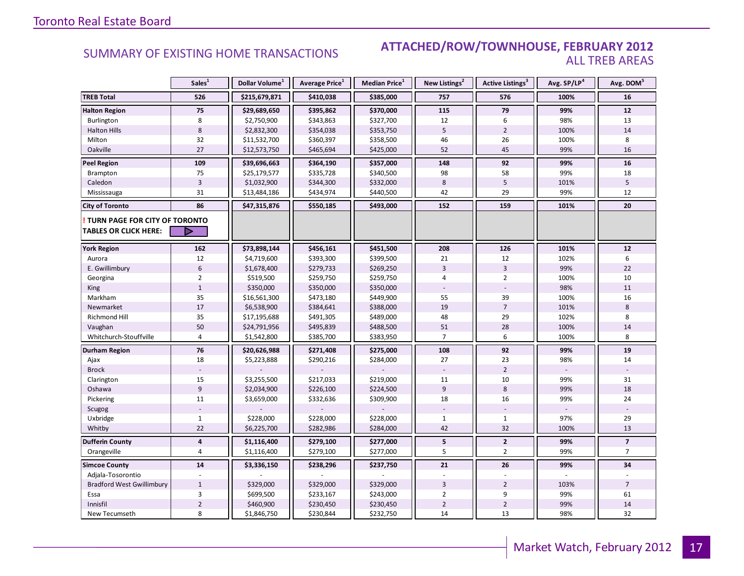### Industrial Leasing SUMMARY OF EXISTING HOME TRANSACTIONS **ATTACHED/ROW/TOWNHOUSE, FEBRUARY 2012** ALL TREB AREAS

|                                                               | Sales <sup>1</sup>      | Dollar Volume <sup>1</sup> | Average Price <sup>1</sup> | Median Price <sup>1</sup> | New Listings <sup>2</sup> | Active Listings <sup>3</sup> | Avg. SP/LP <sup>4</sup> | Avg. DOM <sup>5</sup>   |
|---------------------------------------------------------------|-------------------------|----------------------------|----------------------------|---------------------------|---------------------------|------------------------------|-------------------------|-------------------------|
| <b>TREB Total</b>                                             | 526                     | \$215,679,871              | \$410,038                  | \$385,000                 | 757                       | 576                          | 100%                    | 16                      |
| <b>Halton Region</b>                                          | 75                      | \$29,689,650               | \$395,862                  | \$370,000                 | 115                       | 79                           | 99%                     | 12                      |
| Burlington                                                    | 8                       | \$2,750,900                | \$343,863                  | \$327,700                 | 12                        | 6                            | 98%                     | 13                      |
| <b>Halton Hills</b>                                           | $\,8\,$                 | \$2,832,300                | \$354,038                  | \$353,750                 | 5                         | $\overline{2}$               | 100%                    | 14                      |
| Milton                                                        | 32                      | \$11,532,700               | \$360,397                  | \$358,500                 | 46                        | 26                           | 100%                    | 8                       |
| Oakville                                                      | 27                      | \$12,573,750               | \$465,694                  | \$425,000                 | 52                        | 45                           | 99%                     | 16                      |
| <b>Peel Region</b>                                            | 109                     | \$39,696,663               | \$364,190                  | \$357,000                 | 148                       | 92                           | 99%                     | 16                      |
| Brampton                                                      | 75                      | \$25,179,577               | \$335,728                  | \$340,500                 | 98                        | 58                           | 99%                     | 18                      |
| Caledon                                                       | $\overline{3}$          | \$1,032,900                | \$344,300                  | \$332,000                 | 8                         | 5                            | 101%                    | 5                       |
| Mississauga                                                   | 31                      | \$13,484,186               | \$434,974                  | \$440,500                 | 42                        | 29                           | 99%                     | 12                      |
| <b>City of Toronto</b>                                        | 86                      | \$47,315,876               | \$550,185                  | \$493,000                 | 152                       | 159                          | 101%                    | 20                      |
| TURN PAGE FOR CITY OF TORONTO<br><b>TABLES OR CLICK HERE:</b> | ▷                       |                            |                            |                           |                           |                              |                         |                         |
| <b>York Region</b>                                            | 162                     | \$73,898,144               | \$456,161                  | \$451,500                 | 208                       | 126                          | 101%                    | 12                      |
| Aurora                                                        | 12                      | \$4,719,600                | \$393,300                  | \$399,500                 | 21                        | 12                           | 102%                    | 6                       |
| E. Gwillimbury                                                | 6                       | \$1,678,400                | \$279,733                  | \$269,250                 | $\overline{3}$            | $\overline{3}$               | 99%                     | 22                      |
| Georgina                                                      | $\overline{2}$          | \$519,500                  | \$259,750                  | \$259,750                 | 4                         | $\overline{2}$               | 100%                    | 10                      |
| King                                                          | $\mathbf{1}$            | \$350,000                  | \$350,000                  | \$350,000                 |                           |                              | 98%                     | 11                      |
| Markham                                                       | 35                      | \$16,561,300               | \$473,180                  | \$449,900                 | 55                        | 39                           | 100%                    | 16                      |
| Newmarket                                                     | 17                      | \$6,538,900                | \$384,641                  | \$388,000                 | 19                        | $\overline{7}$               | 101%                    | 8                       |
| Richmond Hill                                                 | 35                      | \$17,195,688               | \$491,305                  | \$489,000                 | 48                        | 29                           | 102%                    | 8                       |
| Vaughan                                                       | 50                      | \$24,791,956               | \$495,839                  | \$488,500                 | 51                        | 28                           | 100%                    | 14                      |
| Whitchurch-Stouffville                                        | $\overline{4}$          | \$1,542,800                | \$385,700                  | \$383,950                 | $\overline{7}$            | 6                            | 100%                    | 8                       |
| Durham Region                                                 | 76                      | \$20,626,988               | \$271,408                  | \$275,000                 | 108                       | 92                           | 99%                     | 19                      |
| Ajax                                                          | 18                      | \$5,223,888                | \$290,216                  | \$284,000                 | 27                        | 23                           | 98%                     | 14                      |
| <b>Brock</b>                                                  |                         |                            |                            |                           |                           | $\overline{2}$               |                         |                         |
| Clarington                                                    | 15                      | \$3,255,500                | \$217,033                  | \$219,000                 | 11                        | 10                           | 99%                     | 31                      |
| Oshawa                                                        | $\overline{9}$          | \$2,034,900                | \$226,100                  | \$224,500                 | 9                         | $\,8\,$                      | 99%                     | 18                      |
| Pickering                                                     | 11                      | \$3,659,000                | \$332,636                  | \$309,900                 | 18                        | 16                           | 99%                     | 24                      |
| Scugog                                                        |                         |                            |                            |                           |                           |                              |                         |                         |
| Uxbridge                                                      | $\mathbf{1}$            | \$228,000                  | \$228,000                  | \$228,000                 | $\mathbf{1}$              | $\mathbf{1}$                 | 97%                     | 29                      |
| Whitby                                                        | 22                      | \$6,225,700                | \$282,986                  | \$284,000                 | 42                        | 32                           | 100%                    | 13                      |
| <b>Dufferin County</b>                                        | $\overline{\mathbf{4}}$ | \$1,116,400                | \$279,100                  | \$277,000                 | 5                         | $\mathbf{2}$                 | 99%                     | $\overline{\mathbf{z}}$ |
| Orangeville                                                   | 4                       | \$1,116,400                | \$279,100                  | \$277,000                 | 5                         | $\overline{2}$               | 99%                     | $\overline{7}$          |
| <b>Simcoe County</b>                                          | 14                      | \$3,336,150                | \$238,296                  | \$237,750                 | 21                        | 26                           | 99%                     | 34                      |
| Adjala-Tosorontio                                             |                         |                            |                            |                           |                           |                              |                         |                         |
| <b>Bradford West Gwillimbury</b>                              | $\mathbf{1}$            | \$329,000                  | \$329,000                  | \$329,000                 | $\overline{3}$            | $\overline{2}$               | 103%                    | $\overline{7}$          |
| Essa                                                          | 3                       | \$699,500                  | \$233,167                  | \$243,000                 | $\overline{2}$            | 9                            | 99%                     | 61                      |
| Innisfil                                                      | $\mathbf 2$             | \$460,900                  | \$230,450                  | \$230,450                 | $\overline{2}$            | $\mathbf 2$                  | 99%                     | 14                      |
| New Tecumseth                                                 | 8                       | \$1,846,750                | \$230,844                  | \$232,750                 | 14                        | 13                           | 98%                     | 32                      |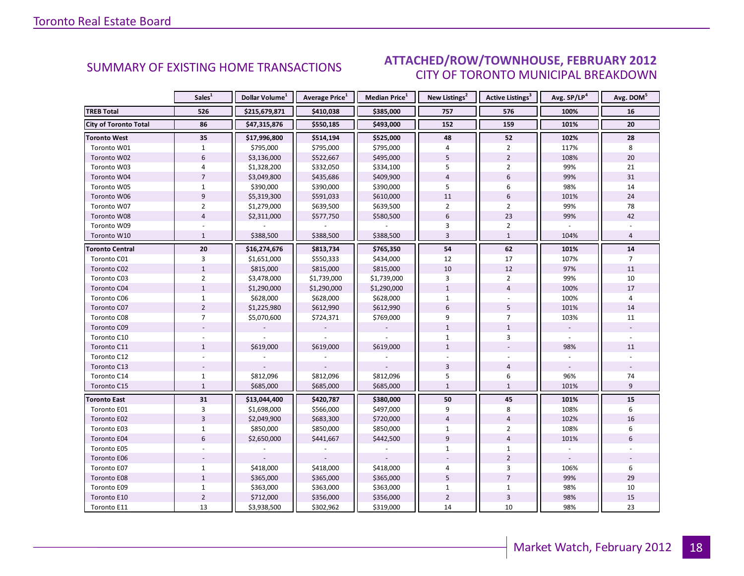#### $\blacksquare$ CITY OF TORONTO MUNICIPAL BREAKDOWN SUMMARY OF EXISTING HOME TRANSACTIONS **ATTACHED/ROW/TOWNHOUSE, FEBRUARY 2012**

<span id="page-17-0"></span>

|                              | Sales <sup>1</sup> | Dollar Volume <sup>1</sup> | <b>Average Price</b> <sup>1</sup> | Median Price <sup>1</sup> | New Listings <sup>2</sup> | <b>Active Listings<sup>3</sup></b> | Avg. SP/LP <sup>4</sup> | Avg. DOM <sup>5</sup> |
|------------------------------|--------------------|----------------------------|-----------------------------------|---------------------------|---------------------------|------------------------------------|-------------------------|-----------------------|
| <b>TREB Total</b>            | 526                | \$215,679,871              | \$410,038                         | \$385,000                 | 757                       | 576                                | 100%                    | 16                    |
| <b>City of Toronto Total</b> | 86                 | \$47,315,876               | \$550,185                         | \$493,000                 | 152                       | 159                                | 101%                    | 20                    |
| <b>Toronto West</b>          | 35                 | \$17,996,800               | \$514,194                         | \$525,000                 | 48                        | 52                                 | 102%                    | 28                    |
| Toronto W01                  | $\mathbf{1}$       | \$795,000                  | \$795,000                         | \$795,000                 | 4                         | $\overline{2}$                     | 117%                    | 8                     |
| Toronto W02                  | $6\,$              | \$3,136,000                | \$522,667                         | \$495,000                 | 5                         | $\overline{2}$                     | 108%                    | 20                    |
| Toronto W03                  | 4                  | \$1,328,200                | \$332,050                         | \$334,100                 | 5                         | $\overline{2}$                     | 99%                     | 21                    |
| Toronto W04                  | $\overline{7}$     | \$3,049,800                | \$435,686                         | \$409,900                 | $\overline{4}$            | 6                                  | 99%                     | 31                    |
| Toronto W05                  | 1                  | \$390,000                  | \$390,000                         | \$390,000                 | 5                         | 6                                  | 98%                     | 14                    |
| Toronto W06                  | 9                  | \$5,319,300                | \$591,033                         | \$610,000                 | 11                        | 6                                  | 101%                    | 24                    |
| Toronto W07                  | $\overline{2}$     | \$1,279,000                | \$639,500                         | \$639,500                 | $\overline{2}$            | $\overline{2}$                     | 99%                     | 78                    |
| Toronto W08                  | $\overline{4}$     | \$2,311,000                | \$577,750                         | \$580,500                 | $6\overline{6}$           | 23                                 | 99%                     | 42                    |
| Toronto W09                  |                    |                            |                                   |                           | 3                         | $\overline{2}$                     |                         |                       |
| Toronto W10                  | $\mathbf{1}$       | \$388,500                  | \$388,500                         | \$388,500                 | $\overline{3}$            | $\mathbf{1}$                       | 104%                    | $\overline{4}$        |
| <b>Toronto Central</b>       | 20                 | \$16,274,676               | \$813,734                         | \$765,350                 | 54                        | 62                                 | 101%                    | 14                    |
| Toronto C01                  | 3                  | \$1,651,000                | \$550,333                         | \$434,000                 | 12                        | 17                                 | 107%                    | $\overline{7}$        |
| Toronto C02                  | $\mathbf{1}$       | \$815,000                  | \$815,000                         | \$815,000                 | 10                        | 12                                 | 97%                     | 11                    |
| Toronto C03                  | $\overline{2}$     | \$3,478,000                | \$1,739,000                       | \$1,739,000               | 3                         | $\overline{2}$                     | 99%                     | 10                    |
| Toronto C04                  | $1\,$              | \$1,290,000                | \$1,290,000                       | \$1,290,000               | $\mathbf{1}$              | $\overline{4}$                     | 100%                    | 17                    |
| Toronto C06                  | $\mathbf 1$        | \$628,000                  | \$628,000                         | \$628,000                 | $\mathbf{1}$              |                                    | 100%                    | 4                     |
| Toronto C07                  | $\overline{2}$     | \$1,225,980                | \$612,990                         | \$612,990                 | 6                         | 5                                  | 101%                    | 14                    |
| Toronto C08                  | $\overline{7}$     | \$5,070,600                | \$724,371                         | \$769,000                 | 9                         | $\overline{7}$                     | 103%                    | 11                    |
| Toronto C09                  |                    |                            |                                   |                           | $\mathbf{1}$              | $\mathbf{1}$                       |                         |                       |
| Toronto C10                  |                    |                            |                                   |                           | $\mathbf{1}$              | 3                                  |                         |                       |
| Toronto C11                  | $\mathbf{1}$       | \$619,000                  | \$619,000                         | \$619,000                 | $\mathbf{1}$              |                                    | 98%                     | 11                    |
| Toronto C12                  |                    |                            |                                   |                           |                           |                                    |                         |                       |
| Toronto C13                  |                    |                            |                                   |                           | $\overline{3}$            | $\overline{4}$                     |                         |                       |
| Toronto C14                  | $\mathbf{1}$       | \$812,096                  | \$812,096                         | \$812,096                 | 5                         | 6                                  | 96%                     | 74                    |
| Toronto C15                  | $\mathbf{1}$       | \$685,000                  | \$685,000                         | \$685,000                 | $\mathbf{1}$              | $\mathbf{1}$                       | 101%                    | 9                     |
| <b>Toronto East</b>          | 31                 | \$13,044,400               | \$420,787                         | \$380,000                 | 50                        | 45                                 | 101%                    | 15                    |
| Toronto E01                  | 3                  | \$1,698,000                | \$566,000                         | \$497,000                 | 9                         | 8                                  | 108%                    | 6                     |
| Toronto E02                  | $\overline{3}$     | \$2,049,900                | \$683,300                         | \$720,000                 | $\overline{4}$            | $\overline{4}$                     | 102%                    | 16                    |
| Toronto E03                  | $\mathbf{1}$       | \$850,000                  | \$850,000                         | \$850,000                 | $\mathbf{1}$              | $\overline{2}$                     | 108%                    | 6                     |
| Toronto E04                  | $6\overline{6}$    | \$2,650,000                | \$441,667                         | \$442,500                 | $\overline{9}$            | $\overline{4}$                     | 101%                    | 6                     |
| Toronto E05                  |                    |                            |                                   |                           | $\mathbf{1}$              | $\mathbf{1}$                       |                         |                       |
| Toronto E06                  |                    |                            |                                   |                           |                           | $\overline{2}$                     |                         |                       |
| Toronto E07                  | $\mathbf{1}$       | \$418,000                  | \$418,000                         | \$418,000                 | 4                         | 3                                  | 106%                    | 6                     |
| Toronto E08                  | $1\,$              | \$365,000                  | \$365,000                         | \$365,000                 | 5                         | $\overline{7}$                     | 99%                     | 29                    |
| Toronto E09                  | $\mathbf{1}$       | \$363,000                  | \$363,000                         | \$363,000                 | $\mathbf{1}$              | $\mathbf{1}$                       | 98%                     | 10                    |
| Toronto E10                  | $\overline{2}$     | \$712,000                  | \$356,000                         | \$356,000                 | $\overline{2}$            | 3                                  | 98%                     | 15                    |
| Toronto E11                  | 13                 | \$3,938,500                | \$302,962                         | \$319,000                 | 14                        | 10                                 | 98%                     | 23                    |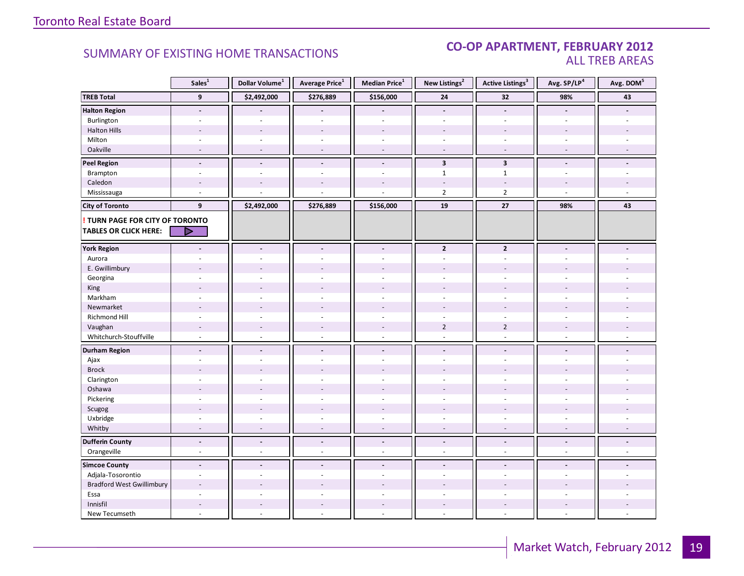#### SUMMARY OF EXISTING HOME TRANSACTIONS **CO-OP APARTMENT, FEBRUARY 2012** ALL TREB AREAS

|                                        | Sales $\overline{1}$     | Dollar Volume <sup>1</sup> | Average Price <sup>1</sup> | <b>Median Price</b> $1$  | New Listings <sup>2</sup> | <b>Active Listings<sup>3</sup></b> | Avg. SP/LP <sup>4</sup>  | Avg. DOM <sup>5</sup>    |
|----------------------------------------|--------------------------|----------------------------|----------------------------|--------------------------|---------------------------|------------------------------------|--------------------------|--------------------------|
| <b>TREB Total</b>                      | 9                        | \$2,492,000                | \$276,889                  | \$156,000                | 24                        | 32                                 | 98%                      | 43                       |
| <b>Halton Region</b>                   | $\sim$                   |                            |                            |                          | $\blacksquare$            | $\blacksquare$                     |                          |                          |
| Burlington                             |                          |                            |                            |                          |                           |                                    |                          |                          |
| <b>Halton Hills</b>                    |                          |                            | ÷,                         | $\overline{a}$           |                           |                                    |                          |                          |
| Milton                                 | $\sim$                   | $\sim$                     | $\sim$                     | $\omega$                 | $\omega$                  | $\sim$                             | ÷.                       |                          |
| Oakville                               | $\sim$                   | $\overline{\phantom{a}}$   | $\overline{a}$             | $\overline{\phantom{a}}$ | $\bar{a}$                 | $\overline{\phantom{a}}$           | $\overline{\phantom{a}}$ |                          |
| <b>Peel Region</b>                     | $\overline{\phantom{a}}$ | $\overline{\phantom{a}}$   | $\blacksquare$             | $\blacksquare$           | $\overline{\mathbf{3}}$   | $\overline{\mathbf{3}}$            |                          |                          |
| Brampton                               | $\sim$                   | $\overline{a}$             | L.                         | ÷,                       | $\mathbf{1}$              | $1\,$                              |                          |                          |
| Caledon                                |                          |                            |                            |                          |                           |                                    |                          |                          |
| Mississauga                            | ÷,                       |                            |                            |                          | $\overline{2}$            | $\overline{2}$                     |                          |                          |
| <b>City of Toronto</b>                 | 9                        | \$2,492,000                | \$276,889                  | \$156,000                | 19                        | 27                                 | 98%                      | 43                       |
| <b>! TURN PAGE FOR CITY OF TORONTO</b> |                          |                            |                            |                          |                           |                                    |                          |                          |
| <b>TABLES OR CLICK HERE:</b>           |                          |                            |                            |                          |                           |                                    |                          |                          |
|                                        |                          |                            |                            |                          |                           |                                    |                          |                          |
| <b>York Region</b>                     | $\overline{\phantom{a}}$ | $\overline{\phantom{a}}$   | $\blacksquare$             | $\blacksquare$           | $\overline{2}$            | $\mathbf{2}$                       | $\blacksquare$           |                          |
| Aurora                                 |                          |                            | ä,                         | ÷.                       | $\sim$                    | $\sim$                             |                          |                          |
| E. Gwillimbury                         |                          |                            |                            |                          |                           |                                    |                          |                          |
| Georgina                               |                          |                            |                            |                          |                           |                                    |                          |                          |
| King                                   |                          |                            |                            |                          |                           |                                    |                          |                          |
| Markham                                | $\sim$                   | $\overline{a}$             | L.                         | ÷.                       | $\sim$                    | $\overline{a}$                     | $\overline{a}$           |                          |
| Newmarket                              |                          |                            |                            |                          |                           |                                    |                          |                          |
| Richmond Hill                          | ÷.                       |                            |                            |                          |                           |                                    |                          |                          |
| Vaughan                                | $\overline{\phantom{a}}$ | $\overline{\phantom{a}}$   | $\overline{a}$             | $\overline{\phantom{a}}$ | $\overline{2}$            | $\overline{2}$                     |                          |                          |
| Whitchurch-Stouffville                 | $\sim$                   | $\sim$                     | $\sim$                     | $\sim$                   | $\sim$                    | $\sim$                             | $\sim$                   |                          |
| <b>Durham Region</b>                   | $\blacksquare$           | $\blacksquare$             | $\blacksquare$             | $\overline{\phantom{a}}$ | $\overline{\phantom{a}}$  | $\blacksquare$                     | $\blacksquare$           |                          |
| Ajax                                   | $\sim$                   | $\overline{a}$             | L.                         | $\omega$                 | $\sim$                    | $\sim$                             |                          |                          |
| <b>Brock</b>                           |                          |                            |                            |                          |                           |                                    |                          |                          |
| Clarington                             | $\overline{a}$           |                            | ÷,                         |                          | $\overline{\phantom{a}}$  |                                    |                          |                          |
| Oshawa                                 |                          |                            |                            |                          |                           |                                    |                          |                          |
| Pickering                              | ÷                        |                            | $\overline{a}$             |                          | $\overline{a}$            |                                    |                          |                          |
| Scugog                                 |                          |                            |                            |                          |                           |                                    |                          |                          |
| Uxbridge                               | ÷.                       | ÷                          | $\sim$                     | $\sim$                   | $\sim$                    | ÷.                                 | ÷.                       |                          |
| Whitby                                 | $\sim$                   | $\sim$                     | ÷,                         | $\sim$                   | $\sim$                    | $\sim$                             | $\sim$                   | $\overline{\phantom{a}}$ |
| <b>Dufferin County</b>                 | $\blacksquare$           | $\blacksquare$             | $\overline{a}$             | $\blacksquare$           | $\tilde{\phantom{a}}$     | $\tilde{\phantom{a}}$              | $\blacksquare$           | $\blacksquare$           |
| Orangeville                            | $\blacksquare$           | $\overline{\phantom{a}}$   | ÷,                         | $\omega$                 | $\sim$                    | $\sim$                             | $\mathbf{r}$             | $\mathbf{r}$             |
| <b>Simcoe County</b>                   | $\overline{a}$           | $\overline{a}$             | $\overline{a}$             |                          |                           |                                    |                          |                          |
| Adjala-Tosorontio                      | $\sim$                   | ÷                          | $\sim$                     | $\sim$                   | $\sim$                    | $\sim$                             | $\sim$                   |                          |
| <b>Bradford West Gwillimbury</b>       |                          |                            |                            |                          |                           |                                    |                          |                          |
| Essa                                   | $\overline{a}$           |                            | ÷.                         |                          |                           |                                    |                          |                          |
| Innisfil                               | $\sim$                   | $\overline{\phantom{a}}$   | ÷,                         |                          | $\sim$                    | $\overline{a}$                     |                          |                          |
| New Tecumseth                          | $\sim$                   |                            | L.                         | $\overline{a}$           | $\overline{\phantom{a}}$  | ÷,                                 |                          |                          |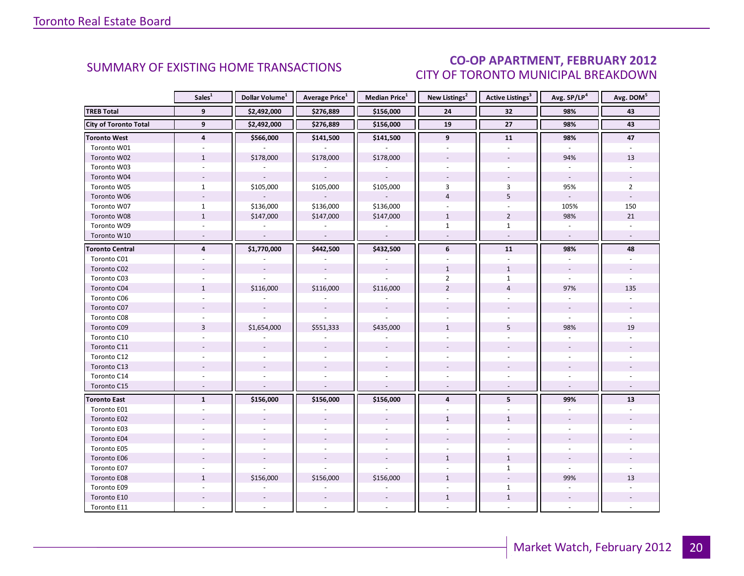### CO-OP APARTMENT, FEBRUARY 2012 CITY OF TORONTO MUNICIPAL BREAKDOWN

<span id="page-19-0"></span>

|                              | Sales <sup>1</sup> | Dollar Volume <sup>1</sup> | <b>Average Price</b> <sup>1</sup> | <b>Median Price</b> <sup>1</sup> | New Listings <sup>2</sup> | <b>Active Listings<sup>3</sup></b> | Avg. SP/LP <sup>4</sup>  | Avg. DOM <sup>5</sup> |
|------------------------------|--------------------|----------------------------|-----------------------------------|----------------------------------|---------------------------|------------------------------------|--------------------------|-----------------------|
| <b>TREB Total</b>            | 9                  | \$2,492,000                | \$276,889                         | \$156,000                        | 24                        | 32                                 | 98%                      | 43                    |
| <b>City of Toronto Total</b> | 9                  | \$2,492,000                | \$276,889                         | \$156,000                        | 19                        | 27                                 | 98%                      | 43                    |
| <b>Toronto West</b>          | $\overline{4}$     | \$566,000                  | \$141,500                         | \$141,500                        | 9                         | 11                                 | 98%                      | 47                    |
| Toronto W01                  |                    |                            |                                   |                                  |                           |                                    |                          |                       |
| Toronto W02                  | $\mathbf{1}$       | \$178,000                  | \$178,000                         | \$178,000                        |                           |                                    | 94%                      | 13                    |
| Toronto W03                  | $\sim$             |                            |                                   |                                  |                           | $\overline{a}$                     |                          |                       |
| Toronto W04                  |                    | $\omega$                   | $\sim$                            |                                  |                           |                                    | $\sim$                   |                       |
| Toronto W05                  | $\mathbf{1}$       | \$105,000                  | \$105,000                         | \$105,000                        | 3                         | 3                                  | 95%                      | $\overline{2}$        |
| Toronto W06                  | $\sim$             |                            |                                   |                                  | $\overline{4}$            | 5                                  | $\omega$                 |                       |
| Toronto W07                  | $\mathbf{1}$       | \$136,000                  | \$136,000                         | \$136,000                        | $\overline{\phantom{a}}$  | $\overline{a}$                     | 105%                     | 150                   |
| Toronto W08                  | $1\,$              | \$147,000                  | \$147,000                         | \$147,000                        | $\mathbf{1}$              | $\overline{2}$                     | 98%                      | 21                    |
| Toronto W09                  |                    |                            |                                   |                                  | $\mathbf{1}$              | $\mathbf{1}$                       |                          |                       |
| Toronto W10                  | $\sim$             | $\mathcal{L}$              | $\sim$                            | $\sim$                           | $\sim$                    | $\omega$                           | $\sim$                   | $\sim$                |
| <b>Toronto Central</b>       | $\overline{4}$     | \$1,770,000                | \$442,500                         | \$432,500                        | 6                         | 11                                 | 98%                      | 48                    |
| Toronto C01                  |                    |                            |                                   |                                  |                           |                                    |                          |                       |
| Toronto C02                  |                    | $\overline{\phantom{a}}$   | $\blacksquare$                    | $\overline{\phantom{a}}$         | $\mathbf{1}$              | $\mathbf{1}$                       | $\overline{\phantom{a}}$ |                       |
| Toronto C03                  |                    |                            |                                   |                                  | $\overline{2}$            | $\mathbf{1}$                       |                          |                       |
| Toronto C04                  | $\mathbf{1}$       | \$116,000                  | \$116,000                         | \$116,000                        | $\overline{2}$            | $\overline{4}$                     | 97%                      | 135                   |
| Toronto C06                  |                    |                            |                                   |                                  |                           |                                    |                          |                       |
| Toronto C07                  |                    |                            | $\mathbf{r}$                      |                                  |                           |                                    | $\sim$                   |                       |
| Toronto C08                  |                    |                            |                                   |                                  |                           |                                    |                          |                       |
| Toronto C09                  | $\overline{3}$     | \$1,654,000                | \$551,333                         | \$435,000                        | $\mathbf{1}$              | 5                                  | 98%                      | 19                    |
| Toronto C10                  |                    |                            |                                   |                                  |                           |                                    |                          |                       |
| Toronto C11                  |                    |                            |                                   |                                  |                           |                                    |                          |                       |
| Toronto C12                  |                    |                            |                                   |                                  |                           |                                    |                          |                       |
| Toronto C13                  |                    |                            |                                   |                                  |                           |                                    |                          |                       |
| Toronto C14                  |                    |                            |                                   |                                  |                           |                                    |                          |                       |
| Toronto C15                  | $\sim$             |                            | $\overline{\phantom{a}}$          |                                  | $\overline{\phantom{a}}$  |                                    | $\omega$                 |                       |
| <b>Toronto East</b>          | $\mathbf{1}$       | \$156,000                  | \$156,000                         | \$156,000                        | $\overline{4}$            | 5                                  | 99%                      | 13                    |
| Toronto E01                  |                    |                            |                                   |                                  |                           |                                    |                          |                       |
| Toronto E02                  |                    |                            |                                   |                                  | $\mathbf{1}$              | $\mathbf{1}$                       |                          |                       |
| Toronto E03                  |                    |                            |                                   |                                  |                           |                                    |                          |                       |
| Toronto E04                  |                    |                            |                                   |                                  |                           |                                    |                          |                       |
| Toronto E05                  |                    |                            |                                   |                                  |                           |                                    |                          |                       |
| Toronto E06                  |                    |                            | $\overline{\phantom{a}}$          |                                  | $\mathbf{1}$              | $\mathbf{1}$                       |                          |                       |
| Toronto E07                  |                    |                            |                                   |                                  |                           | $\mathbf{1}$                       |                          |                       |
| Toronto E08                  | $\mathbf{1}$       | \$156,000                  | \$156,000                         | \$156,000                        | $\mathbf{1}$              |                                    | 99%                      | 13                    |
| Toronto E09                  |                    |                            |                                   |                                  |                           | $\mathbf{1}$                       |                          |                       |
| Toronto E10                  |                    |                            |                                   |                                  | $\mathbf{1}$              | $\mathbf{1}$                       |                          |                       |
| Toronto E11                  |                    |                            |                                   |                                  |                           |                                    |                          |                       |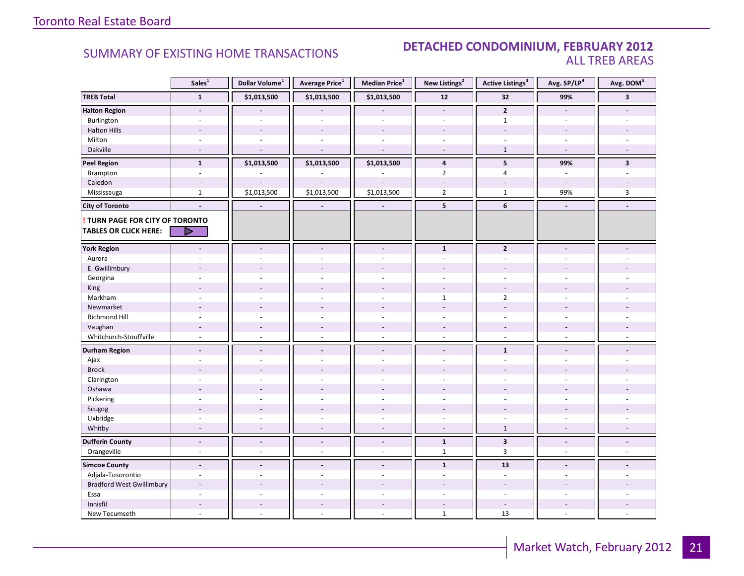### **Industrial Leasing SUMMARY OF EXISTING HOME TRANSACTIONS DETACHED CONDOMINIUM, FEBRUARY 2012** ALL TREB AREAS

|                                        | Sales <sup>1</sup>       | Dollar Volume <sup>1</sup> | Average Price <sup>1</sup> | Median Price <sup>1</sup> | New Listings <sup>2</sup> | <b>Active Listings<sup>3</sup></b> | Avg. SP/LP4    | Avg. DOM <sup>5</sup>   |
|----------------------------------------|--------------------------|----------------------------|----------------------------|---------------------------|---------------------------|------------------------------------|----------------|-------------------------|
| <b>TREB Total</b>                      | $\mathbf{1}$             | \$1,013,500                | \$1,013,500                | \$1,013,500               | 12                        | 32                                 | 99%            | $\overline{\mathbf{3}}$ |
| <b>Halton Region</b>                   | $\blacksquare$           |                            |                            |                           | $\Box$                    | $\overline{2}$                     | $\blacksquare$ |                         |
| Burlington                             | ÷                        | $\sim$                     | $\overline{a}$             | $\overline{a}$            | $\sim$                    | $\mathbf{1}$                       | $\sim$         |                         |
| <b>Halton Hills</b>                    |                          |                            |                            | $\overline{a}$            |                           | $\overline{\phantom{a}}$           |                |                         |
| Milton                                 | ä,                       | ÷.                         | $\sim$                     | ÷.                        | $\sim$                    |                                    | $\sim$         |                         |
| Oakville                               | $\overline{a}$           |                            | ÷,                         | $\overline{a}$            | $\sim$                    | $\mathbf{1}$                       | $\sim$         |                         |
| <b>Peel Region</b>                     | $\mathbf{1}$             | \$1,013,500                | \$1,013,500                | \$1,013,500               | 4                         | 5                                  | 99%            | $\overline{\mathbf{3}}$ |
| Brampton                               | $\blacksquare$           |                            |                            |                           | $\overline{2}$            | $\overline{4}$                     | $\omega$       | $\sim$                  |
| Caledon                                | $\sim$                   |                            |                            |                           | $\sim$                    | $\overline{a}$                     | $\sim$         |                         |
| Mississauga                            | $\mathbf{1}$             | \$1,013,500                | \$1,013,500                | \$1,013,500               | $\overline{2}$            | $\mathbf{1}$                       | 99%            | $\overline{\mathbf{3}}$ |
| <b>City of Toronto</b>                 | $\overline{a}$           | $\blacksquare$             | $\blacksquare$             | $\overline{a}$            | 5                         | 6                                  | $\blacksquare$ |                         |
| <b>! TURN PAGE FOR CITY OF TORONTO</b> |                          |                            |                            |                           |                           |                                    |                |                         |
| <b>TABLES OR CLICK HERE:</b>           | D                        |                            |                            |                           |                           |                                    |                |                         |
| <b>York Region</b>                     |                          |                            | $\overline{a}$             | $\overline{a}$            | $\mathbf{1}$              | $\overline{2}$                     |                |                         |
| Aurora                                 |                          |                            |                            |                           |                           |                                    |                |                         |
| E. Gwillimbury                         |                          |                            |                            |                           |                           |                                    |                |                         |
| Georgina                               |                          |                            |                            | $\overline{a}$            |                           | ÷                                  |                |                         |
| King                                   |                          |                            |                            |                           |                           |                                    |                |                         |
| Markham                                | ä,                       | ÷.                         | $\sim$                     | ÷,                        | $\mathbf{1}$              | $\overline{2}$                     | $\sim$         |                         |
| Newmarket                              | $\overline{\phantom{a}}$ |                            |                            | $\overline{a}$            |                           | $\overline{\phantom{a}}$           |                |                         |
| <b>Richmond Hill</b>                   | ÷.                       |                            |                            | L.                        |                           |                                    |                |                         |
| Vaughan                                | $\overline{\phantom{a}}$ | $\sim$                     | $\overline{\phantom{a}}$   | $\overline{\phantom{a}}$  | $\sim$                    | $\overline{\phantom{a}}$           | $\sim$         |                         |
| Whitchurch-Stouffville                 | $\omega$                 | $\sim$                     | $\omega$                   | $\omega$                  | $\omega$                  | $\omega$                           | $\sim$         |                         |
| <b>Durham Region</b>                   | $\overline{a}$           | ÷.                         | $\blacksquare$             | $\overline{\phantom{a}}$  | $\blacksquare$            | $\mathbf{1}$                       | $\blacksquare$ |                         |
| Ajax                                   |                          |                            |                            | ÷.                        | $\sim$                    | ÷                                  | $\sim$         |                         |
| <b>Brock</b>                           |                          |                            |                            |                           |                           |                                    |                |                         |
| Clarington                             |                          |                            |                            |                           |                           |                                    |                |                         |
| Oshawa                                 | $\overline{a}$           |                            |                            | $\overline{a}$            |                           |                                    |                |                         |
| Pickering                              | $\overline{\phantom{a}}$ |                            | $\sim$                     | $\sim$                    | $\sim$                    | $\sim$                             | $\sim$         |                         |
| Scugog                                 | $\overline{a}$           |                            | ÷,                         | $\overline{a}$            |                           | $\overline{\phantom{a}}$           |                |                         |
| Uxbridge                               |                          |                            |                            | ÷,                        |                           |                                    |                |                         |
| Whitby                                 |                          |                            |                            | ÷,                        |                           | $\mathbf{1}$                       |                |                         |
| <b>Dufferin County</b>                 | $\overline{a}$           | $\blacksquare$             | $\blacksquare$             | $\overline{a}$            | $\mathbf 1$               | $\overline{\mathbf{3}}$            | $\blacksquare$ |                         |
| Orangeville                            | ä,                       | ÷.                         | ÷,                         | ÷,                        | $\mathbf{1}$              | $\overline{3}$                     | $\sim$         |                         |
| <b>Simcoe County</b>                   | $\blacksquare$           | $\sim$                     | $\blacksquare$             | $\blacksquare$            | $\mathbf{1}$              | 13                                 | $\sim$         |                         |
| Adjala-Tosorontio                      |                          |                            |                            | ä,                        | ÷.                        | $\overline{\phantom{a}}$           |                |                         |
| <b>Bradford West Gwillimbury</b>       | $\overline{a}$           |                            |                            | $\overline{a}$            |                           | $\overline{a}$                     |                |                         |
| Essa                                   | ÷,                       |                            |                            | ÷,                        | $\sim$                    | $\mathbb{L}$                       | $\sim$         |                         |
| Innisfil                               |                          |                            |                            | $\overline{a}$            |                           | $\sim$                             |                |                         |
| New Tecumseth                          |                          |                            |                            | ÷,                        | $1\,$                     | 13                                 | $\overline{a}$ |                         |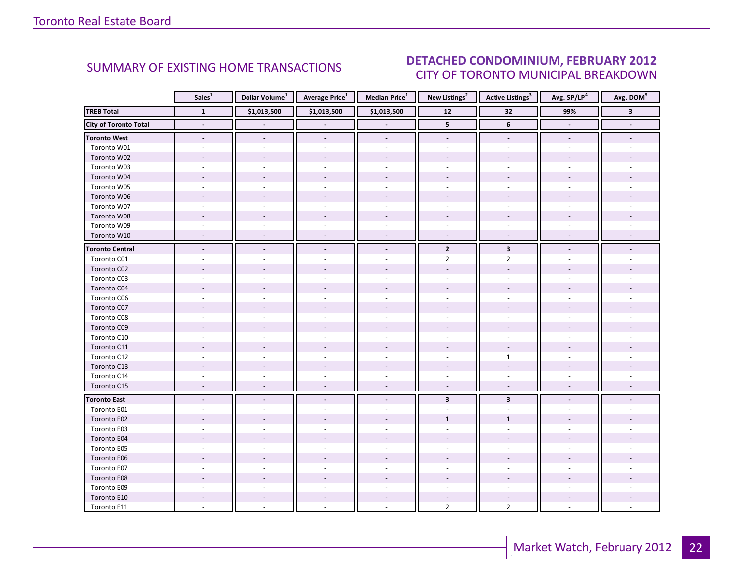#### $\blacksquare$ CITY OF TORONTO MUNICIPAL BREAKDOWN SUMMARY OF EXISTING HOME TRANSACTIONS **DETACHED CONDOMINIUM, FEBRUARY 2012**

<span id="page-21-0"></span>

|                              | Sales <sup>1</sup>       | Dollar Volume <sup>1</sup> | <b>Average Price</b> <sup>1</sup> | <b>Median Price</b> <sup>1</sup> | New Listings <sup>2</sup> | <b>Active Listings</b> <sup>3</sup> | Avg. SP/LP4    | Avg. DOM <sup>5</sup> |
|------------------------------|--------------------------|----------------------------|-----------------------------------|----------------------------------|---------------------------|-------------------------------------|----------------|-----------------------|
| <b>TREB Total</b>            | $\mathbf{1}$             | \$1,013,500                | \$1,013,500                       | \$1,013,500                      | $\overline{12}$           | 32                                  | 99%            | $\mathbf{3}$          |
| <b>City of Toronto Total</b> | $\blacksquare$           |                            |                                   |                                  | 5                         | 6                                   | $\blacksquare$ |                       |
| <b>Toronto West</b>          | $\overline{\phantom{a}}$ | $\overline{\phantom{a}}$   | $\overline{\phantom{a}}$          | $\overline{\phantom{a}}$         | $\overline{\phantom{a}}$  | $\overline{\phantom{a}}$            |                |                       |
| Toronto W01                  |                          |                            |                                   |                                  |                           |                                     |                |                       |
| Toronto W02                  |                          |                            |                                   |                                  |                           |                                     |                |                       |
| Toronto W03                  |                          |                            |                                   |                                  |                           |                                     |                |                       |
| Toronto W04                  |                          |                            |                                   |                                  |                           |                                     |                |                       |
| Toronto W05                  |                          |                            |                                   |                                  |                           |                                     |                |                       |
| Toronto W06                  |                          |                            |                                   |                                  |                           |                                     |                |                       |
| Toronto W07                  |                          |                            |                                   |                                  |                           |                                     |                |                       |
| Toronto W08                  |                          |                            |                                   |                                  |                           |                                     |                |                       |
| Toronto W09                  |                          |                            |                                   |                                  |                           |                                     |                |                       |
| Toronto W10                  |                          |                            |                                   |                                  |                           |                                     |                |                       |
| <b>Toronto Central</b>       |                          |                            |                                   | $\overline{\phantom{a}}$         | $\overline{2}$            | $\mathbf{3}$                        |                |                       |
| Toronto C01                  |                          |                            |                                   |                                  | $\overline{2}$            | $\overline{2}$                      |                |                       |
| Toronto C02                  |                          |                            |                                   |                                  |                           |                                     |                |                       |
| Toronto C03                  |                          |                            |                                   |                                  |                           |                                     |                |                       |
| Toronto C04                  |                          |                            |                                   |                                  |                           |                                     |                |                       |
| Toronto C06                  |                          |                            |                                   |                                  |                           |                                     |                |                       |
| Toronto C07                  |                          |                            |                                   |                                  |                           |                                     |                |                       |
| Toronto C08                  |                          |                            |                                   |                                  |                           |                                     |                |                       |
| Toronto C09                  |                          |                            |                                   |                                  |                           |                                     |                |                       |
| Toronto C10                  |                          |                            |                                   |                                  |                           |                                     |                |                       |
| Toronto C11                  |                          |                            |                                   |                                  |                           |                                     |                |                       |
| Toronto C12                  |                          |                            |                                   |                                  |                           | $\mathbf{1}$                        |                |                       |
| Toronto C13                  |                          |                            |                                   |                                  |                           |                                     |                |                       |
| Toronto C14                  |                          |                            |                                   |                                  |                           |                                     |                |                       |
| Toronto C15                  |                          |                            | $\overline{\phantom{a}}$          | $\sim$                           | $\overline{\phantom{a}}$  | $\overline{\phantom{a}}$            |                |                       |
| <b>Toronto East</b>          |                          |                            |                                   | $\blacksquare$                   | $\overline{\mathbf{3}}$   | $\overline{\mathbf{3}}$             |                |                       |
| Toronto E01                  |                          |                            |                                   |                                  |                           |                                     |                |                       |
| Toronto E02                  |                          |                            |                                   |                                  | $\mathbf{1}$              | $\mathbf{1}$                        |                |                       |
| Toronto E03                  |                          |                            |                                   |                                  |                           |                                     |                |                       |
| Toronto E04                  |                          |                            |                                   |                                  |                           |                                     |                |                       |
| Toronto E05                  |                          |                            |                                   |                                  |                           |                                     |                |                       |
| Toronto E06                  |                          |                            |                                   |                                  |                           |                                     |                |                       |
| Toronto E07                  |                          |                            |                                   |                                  |                           |                                     |                |                       |
| Toronto E08                  |                          |                            |                                   |                                  |                           |                                     |                |                       |
| Toronto E09                  |                          |                            |                                   |                                  |                           |                                     |                |                       |
| Toronto E10                  |                          |                            |                                   |                                  |                           |                                     |                |                       |
| Toronto E11                  |                          |                            |                                   |                                  | $\overline{2}$            | $\overline{2}$                      |                |                       |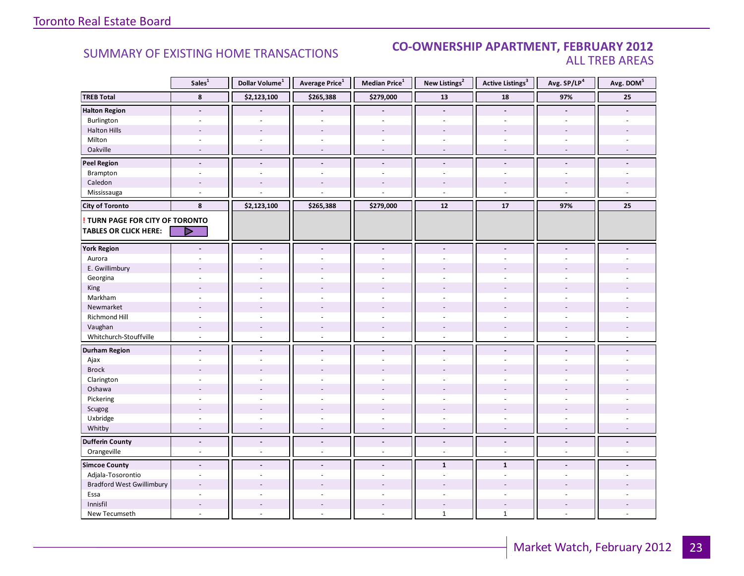### **Industrial Leasing CO-OWNERSHIP APARTMENT, FEBRUARY 2012**<br>ALL TREB AREAS ALL TREB AREAS

|                                                                        | Sales <sup>1</sup>       | Dollar Volume <sup>1</sup> | Average Price <sup>1</sup> | Median Price <sup>1</sup> | New Listings <sup>2</sup> | Active Listings <sup>3</sup> | Avg. SP/LP <sup>4</sup>  | Avg. DOM <sup>5</sup> |
|------------------------------------------------------------------------|--------------------------|----------------------------|----------------------------|---------------------------|---------------------------|------------------------------|--------------------------|-----------------------|
| <b>TREB Total</b>                                                      | 8                        | \$2,123,100                | \$265,388                  | \$279,000                 | 13                        | 18                           | 97%                      | 25                    |
| <b>Halton Region</b>                                                   | $\overline{\phantom{a}}$ |                            |                            |                           | $\blacksquare$            | $\overline{\phantom{a}}$     |                          |                       |
| Burlington                                                             | $\overline{\phantom{a}}$ | $\overline{a}$             | $\sim$                     | $\overline{a}$            | $\overline{\phantom{a}}$  | $\sim$                       | $\sim$                   |                       |
| <b>Halton Hills</b>                                                    |                          |                            |                            |                           |                           |                              |                          |                       |
| Milton                                                                 | ÷.                       | $\sim$                     |                            | ÷.                        | $\overline{\phantom{a}}$  |                              | ÷.                       |                       |
| Oakville                                                               | $\blacksquare$           | $\overline{\phantom{a}}$   |                            | ÷.                        | $\overline{\phantom{a}}$  | $\overline{\phantom{a}}$     | $\sim$                   |                       |
| <b>Peel Region</b>                                                     | $\blacksquare$           | $\sim$                     | $\blacksquare$             | $\overline{\phantom{a}}$  | $\overline{\phantom{a}}$  | $\blacksquare$               | $\blacksquare$           |                       |
| Brampton                                                               | $\sim$                   | ÷                          | $\sim$                     | ÷.                        | $\overline{\phantom{a}}$  | $\sim$                       | $\sim$                   |                       |
| Caledon                                                                | ٠                        | $\overline{\phantom{a}}$   |                            |                           | $\overline{\phantom{a}}$  |                              |                          |                       |
| Mississauga                                                            | $\overline{a}$           |                            |                            |                           | $\overline{a}$            | $\sim$                       | ÷,                       |                       |
| <b>City of Toronto</b>                                                 | 8                        | \$2,123,100                | \$265,388                  | \$279,000                 | $12$                      | 17                           | 97%                      | 25                    |
| <b>! TURN PAGE FOR CITY OF TORONTO</b><br><b>TABLES OR CLICK HERE:</b> | D                        |                            |                            |                           |                           |                              |                          |                       |
| <b>York Region</b>                                                     |                          | $\overline{a}$             |                            |                           | $\overline{a}$            |                              |                          |                       |
| Aurora                                                                 |                          |                            |                            |                           |                           |                              |                          |                       |
| E. Gwillimbury                                                         |                          |                            |                            |                           |                           |                              |                          |                       |
| Georgina                                                               |                          |                            |                            |                           |                           |                              |                          |                       |
| King                                                                   |                          |                            |                            |                           |                           |                              |                          |                       |
| Markham                                                                | $\ddot{\phantom{1}}$     | ÷.                         |                            | ÷.                        | ÷.                        | $\sim$                       | ÷.                       |                       |
| Newmarket                                                              |                          |                            |                            |                           |                           |                              |                          |                       |
| Richmond Hill                                                          |                          |                            |                            |                           |                           |                              |                          |                       |
| Vaughan                                                                | $\overline{a}$           | $\overline{a}$             |                            | $\overline{a}$            | $\overline{a}$            | $\overline{a}$               | $\overline{\phantom{a}}$ |                       |
| Whitchurch-Stouffville                                                 | $\sim$                   | $\overline{\phantom{a}}$   |                            | ä,                        | $\overline{\phantom{a}}$  | $\sim$                       |                          |                       |
| <b>Durham Region</b>                                                   | $\overline{a}$           | $\overline{a}$             |                            | $\overline{a}$            | $\overline{a}$            | $\blacksquare$               | $\overline{a}$           |                       |
| Ajax                                                                   |                          |                            |                            |                           |                           |                              |                          |                       |
| <b>Brock</b>                                                           |                          |                            |                            |                           |                           |                              |                          |                       |
|                                                                        |                          |                            |                            |                           |                           |                              |                          |                       |
| Clarington                                                             |                          |                            |                            |                           |                           |                              |                          |                       |
| Oshawa                                                                 | $\overline{\phantom{a}}$ |                            |                            |                           | $\sim$                    |                              |                          |                       |
| Pickering                                                              |                          | $\overline{a}$             |                            | $\overline{a}$            | $\overline{\phantom{a}}$  |                              |                          |                       |
| Scugog                                                                 |                          |                            |                            |                           |                           |                              |                          |                       |
| Uxbridge<br>Whitby                                                     |                          |                            |                            |                           | ÷,                        |                              |                          |                       |
|                                                                        |                          |                            |                            |                           |                           |                              |                          |                       |
| <b>Dufferin County</b>                                                 | $\blacksquare$           | $\overline{a}$             | $\blacksquare$             | $\blacksquare$            | $\blacksquare$            | $\blacksquare$               | $\blacksquare$           |                       |
| Orangeville                                                            | ä,                       | ä,                         | $\sim$                     | L.                        | $\sim$                    | $\sim$                       | L.                       |                       |
| <b>Simcoe County</b>                                                   | $\sim$                   | $\overline{a}$             | $\sim$                     | $\overline{a}$            | $\mathbf{1}$              | $\mathbf{1}$                 | $\sim$                   |                       |
| Adjala-Tosorontio                                                      |                          |                            |                            |                           | ÷.                        |                              |                          |                       |
| <b>Bradford West Gwillimbury</b>                                       | $\overline{a}$           | ÷                          |                            |                           |                           |                              |                          |                       |
| Essa                                                                   | ÷                        |                            |                            |                           | ÷,                        | $\sim$                       | ÷.                       |                       |
| Innisfil                                                               |                          |                            |                            |                           | $\overline{a}$            |                              |                          |                       |
| New Tecumseth                                                          |                          |                            |                            |                           | $1\,$                     | $\mathbf{1}$                 |                          |                       |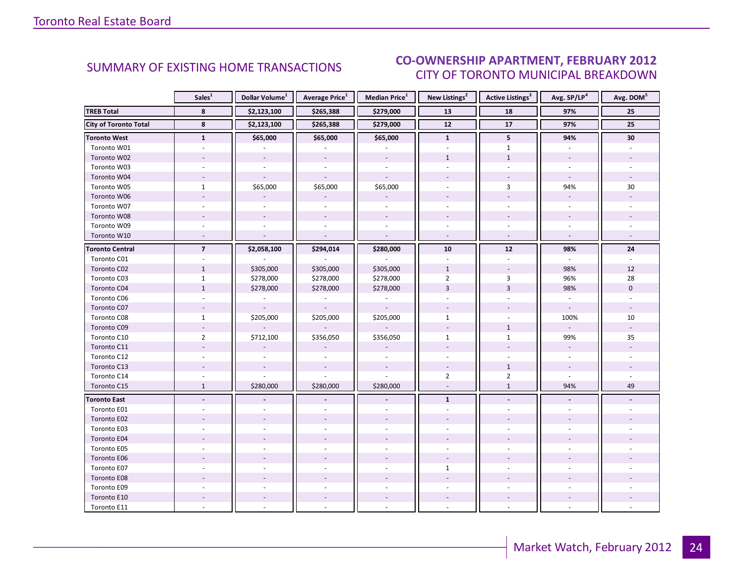#### $\blacksquare$ CITY OF TORONTO MUNICIPAL BREAKDOWN SUMMARY OF EXISTING HOME TRANSACTIONS **CO-OWNERSHIP APARTMENT, FEBRUARY 2012**

<span id="page-23-0"></span>

|                              | Sales <sup>1</sup>      | Dollar Volume <sup>1</sup> | <b>Average Price</b> <sup>1</sup> | Median Price <sup>1</sup> | New Listings <sup>2</sup> | Active Listings <sup>3</sup> | Avg. SP/LP <sup>4</sup>  | Avg. DOM <sup>5</sup> |
|------------------------------|-------------------------|----------------------------|-----------------------------------|---------------------------|---------------------------|------------------------------|--------------------------|-----------------------|
| <b>TREB Total</b>            | 8                       | \$2,123,100                | \$265,388                         | \$279,000                 | 13                        | 18                           | 97%                      | 25                    |
| <b>City of Toronto Total</b> | 8                       | \$2,123,100                | \$265,388                         | \$279,000                 | 12                        | 17                           | 97%                      | 25                    |
| <b>Toronto West</b>          | $\mathbf{1}$            | \$65,000                   | \$65,000                          | \$65,000                  | $\mathbf{1}$              | 5                            | 94%                      | 30                    |
| Toronto W01                  |                         |                            |                                   |                           |                           | $\mathbf{1}$                 |                          |                       |
| Toronto W02                  |                         |                            |                                   |                           | $\mathbf{1}$              | $\mathbf{1}$                 |                          |                       |
| Toronto W03                  |                         |                            |                                   |                           |                           |                              |                          |                       |
| Toronto W04                  |                         |                            |                                   |                           |                           |                              |                          |                       |
| Toronto W05                  | $\mathbf{1}$            | \$65,000                   | \$65,000                          | \$65,000                  |                           | $\overline{3}$               | 94%                      | 30                    |
| Toronto W06                  |                         |                            |                                   |                           |                           |                              |                          |                       |
| Toronto W07                  |                         |                            |                                   | $\overline{a}$            |                           |                              | $\sim$                   |                       |
| Toronto W08                  |                         |                            |                                   |                           |                           |                              |                          |                       |
| Toronto W09                  |                         |                            |                                   |                           |                           |                              |                          |                       |
| Toronto W10                  |                         |                            |                                   | $\sim$                    |                           | $\mathcal{L}$                | $\sim$                   |                       |
| <b>Toronto Central</b>       | $\overline{\mathbf{z}}$ | \$2,058,100                | \$294,014                         | \$280,000                 | 10                        | 12                           | 98%                      | 24                    |
| Toronto C01                  |                         |                            |                                   |                           |                           |                              |                          |                       |
| Toronto C02                  | $\mathbf{1}$            | \$305,000                  | \$305,000                         | \$305,000                 | $\mathbf{1}$              |                              | 98%                      | 12                    |
| Toronto C03                  | $\mathbf{1}$            | \$278,000                  | \$278,000                         | \$278,000                 | $\overline{2}$            | 3                            | 96%                      | 28                    |
| Toronto C04                  | $1\,$                   | \$278,000                  | \$278,000                         | \$278,000                 | $\overline{3}$            | $\overline{3}$               | 98%                      | $\mathbf{0}$          |
| Toronto C06                  |                         |                            |                                   |                           |                           |                              |                          |                       |
| Toronto C07                  | $\overline{a}$          |                            | $\overline{\phantom{a}}$          | $\sim$                    |                           |                              | $\blacksquare$           |                       |
| Toronto C08                  | $\mathbf{1}$            | \$205,000                  | \$205,000                         | \$205,000                 | $\mathbf{1}$              |                              | 100%                     | 10                    |
| Toronto C09                  |                         |                            |                                   |                           |                           | $\mathbf{1}$                 | $\sim$                   |                       |
| Toronto C10                  | $\overline{2}$          | \$712,100                  | \$356,050                         | \$356,050                 | $\mathbf{1}$              | $\mathbf{1}$                 | 99%                      | 35                    |
| Toronto C11                  |                         |                            |                                   |                           |                           |                              | $\overline{\phantom{a}}$ |                       |
| Toronto C12                  | $\sim$                  |                            |                                   |                           |                           |                              | $\sim$                   |                       |
| Toronto C13                  |                         |                            |                                   |                           |                           | $\mathbf{1}$                 |                          |                       |
| Toronto C14                  |                         |                            |                                   |                           | $\overline{2}$            | $\overline{2}$               |                          |                       |
| Toronto C15                  | $\mathbf{1}$            | \$280,000                  | \$280,000                         | \$280,000                 | $\overline{a}$            | $\mathbf{1}$                 | 94%                      | 49                    |
| <b>Toronto East</b>          |                         |                            |                                   |                           | $\mathbf{1}$              |                              |                          |                       |
| Toronto E01                  |                         |                            |                                   |                           |                           |                              |                          |                       |
| Toronto E02                  |                         |                            |                                   |                           |                           |                              |                          |                       |
| Toronto E03                  |                         |                            |                                   |                           |                           |                              |                          |                       |
| Toronto E04                  |                         |                            |                                   |                           |                           |                              |                          |                       |
| Toronto E05                  |                         |                            |                                   |                           |                           |                              |                          |                       |
| Toronto E06                  |                         |                            |                                   |                           |                           |                              |                          |                       |
| Toronto E07                  |                         |                            |                                   |                           | $\mathbf{1}$              |                              |                          |                       |
| Toronto E08                  |                         |                            |                                   |                           |                           |                              |                          |                       |
| Toronto E09                  |                         |                            |                                   |                           |                           |                              |                          |                       |
| Toronto E10                  |                         |                            |                                   |                           |                           |                              |                          |                       |
| Toronto E11                  |                         |                            |                                   |                           |                           |                              |                          |                       |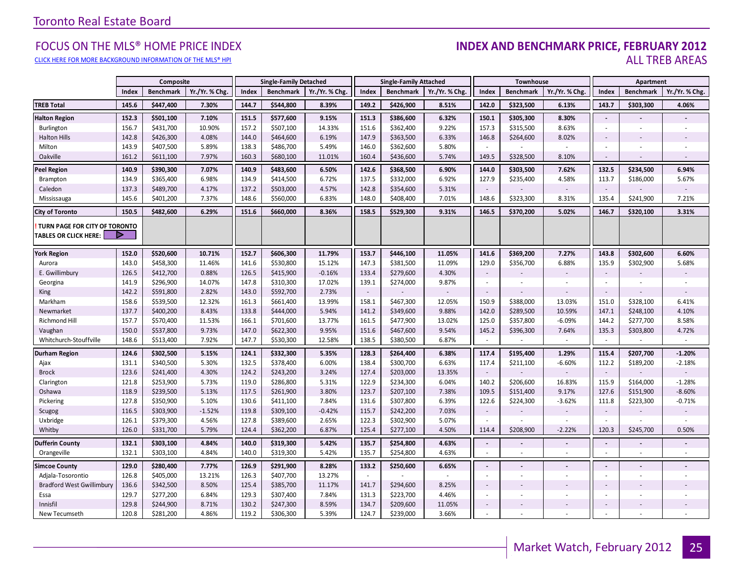#### FOCUS ON THE MLS® HOME PRICE INDEX **INDEX AND BENCHMARK PRICE, FEBRUARY 2012**<br>CLICK HERE FOR MORE BACKGROUND INFORMATION OF THE MIS® HPI CLICK HERE FOR MORE BACKGROUND INFORMATION OF THE MLS® HPI AND STATE OF THE SAMPLE AREAS

|                                                               |       | Composite        |                | <b>Single-Family Detached</b><br><b>Single-Family Attached</b> |                  |                |        | Townhouse        |                          | Apartment                |                          |               |                          |                          |                          |
|---------------------------------------------------------------|-------|------------------|----------------|----------------------------------------------------------------|------------------|----------------|--------|------------------|--------------------------|--------------------------|--------------------------|---------------|--------------------------|--------------------------|--------------------------|
|                                                               | Index | <b>Benchmark</b> | Yr./Yr. % Chg. | Index                                                          | <b>Benchmark</b> | Yr./Yr. % Chg. | Index  | <b>Benchmark</b> | Yr./Yr. % Chg.           | Index                    | <b>Benchmark</b>         | Yr./Yr. % Chg | Index                    | <b>Benchmark</b>         | Yr./Yr. % Chg.           |
| <b>TREB Total</b>                                             | 145.6 | \$447,400        | 7.30%          | 144.7                                                          | \$544,800        | 8.39%          | 149.2  | \$426,900        | 8.51%                    | 142.0                    | \$323,500                | 6.13%         | 143.7                    | \$303,300                | 4.06%                    |
| <b>Halton Region</b>                                          | 152.3 | \$501,100        | 7.10%          | 151.5                                                          | \$577,600        | 9.15%          | 151.3  | \$386,600        | 6.32%                    | 150.1                    | \$305,300                | 8.30%         | $\mathbb{Z}$             |                          |                          |
| Burlington                                                    | 156.7 | \$431,700        | 10.90%         | 157.2                                                          | \$507,100        | 14.33%         | 151.6  | \$362,400        | 9.22%                    | 157.3                    | \$315,500                | 8.63%         | $\sim$                   | ٠                        | $\sim$                   |
| <b>Halton Hills</b>                                           | 142.8 | \$426,300        | 4.08%          | 144.0                                                          | \$464,600        | 6.19%          | 147.9  | \$363,500        | 6.33%                    | 146.8                    | \$264,600                | 8.02%         | ÷,                       |                          |                          |
| Milton                                                        | 143.9 | \$407,500        | 5.89%          | 138.3                                                          | \$486,700        | 5.49%          | 146.0  | \$362,600        | 5.80%                    | ×.                       |                          |               | ÷,                       | ÷,                       |                          |
| Oakville                                                      | 161.2 | \$611,100        | 7.97%          | 160.3                                                          | \$680,100        | 11.01%         | 160.4  | \$436,600        | 5.74%                    | 149.5                    | \$328,500                | 8.10%         | $\sim$                   |                          |                          |
| <b>Peel Region</b>                                            | 140.9 | \$390,300        | 7.07%          | 140.9                                                          | \$483,600        | 6.50%          | 142.6  | \$368,500        | 6.90%                    | 144.0                    | \$303,500                | 7.62%         | 132.5                    | \$234,500                | 6.94%                    |
| Brampton                                                      | 134.9 | \$365,400        | 6.98%          | 134.9                                                          | \$414,500        | 6.72%          | 137.5  | \$332,000        | 6.92%                    | 127.9                    | \$235,400                | 4.58%         | 113.7                    | \$186,000                | 5.67%                    |
| Caledon                                                       | 137.3 | \$489,700        | 4.17%          | 137.2                                                          | \$503,000        | 4.57%          | 142.8  | \$354,600        | 5.31%                    | $\overline{\phantom{a}}$ |                          | $\sim$        | $\sim$                   |                          | $\overline{\phantom{a}}$ |
| Mississauga                                                   | 145.6 | \$401,200        | 7.37%          | 148.6                                                          | \$560,000        | 6.83%          | 148.0  | \$408,400        | 7.01%                    | 148.6                    | \$323,300                | 8.31%         | 135.4                    | \$241,900                | 7.21%                    |
| <b>City of Toronto</b>                                        | 150.5 | \$482,600        | 6.29%          | 151.6                                                          | \$660,000        | 8.36%          | 158.5  | \$529,300        | 9.31%                    | 146.5                    | \$370,200                | 5.02%         | 146.7                    | \$320,100                | 3.31%                    |
| TURN PAGE FOR CITY OF TORONTO<br><b>TABLES OR CLICK HERE:</b> | ▶     |                  |                |                                                                |                  |                |        |                  |                          |                          |                          |               |                          |                          |                          |
| <b>York Region</b>                                            | 152.0 | \$520,600        | 10.71%         | 152.7                                                          | \$606,300        | 11.79%         | 153.7  | \$446,100        | 11.05%                   | 141.6                    | \$369,200                | 7.27%         | 143.8                    | \$302,600                | 6.60%                    |
| Aurora                                                        | 143.0 | \$458,300        | 11.46%         | 141.6                                                          | \$530,800        | 15.12%         | 147.3  | \$381,500        | 11.09%                   | 129.0                    | \$356,700                | 6.88%         | 135.9                    | \$302,900                | 5.68%                    |
| E. Gwillimbury                                                | 126.5 | \$412,700        | 0.88%          | 126.5                                                          | \$415,900        | $-0.16%$       | 133.4  | \$279,600        | 4.30%                    | $\sim$                   |                          |               | $\sim$                   |                          |                          |
| Georgina                                                      | 141.9 | \$296,900        | 14.07%         | 147.8                                                          | \$310,300        | 17.02%         | 139.1  | \$274,000        | 9.87%                    | $\overline{\phantom{a}}$ | $\overline{\phantom{a}}$ | $\sim$        | $\sim$                   | $\overline{\phantom{a}}$ | ٠                        |
| King                                                          | 142.2 | \$591,800        | 2.82%          | 143.0                                                          | \$592,700        | 2.73%          | $\sim$ |                  |                          | $\overline{\phantom{a}}$ |                          |               | ÷,                       |                          |                          |
| Markham                                                       | 158.6 | \$539,500        | 12.32%         | 161.3                                                          | \$661,400        | 13.99%         | 158.1  | \$467,300        | 12.05%                   | 150.9                    | \$388,000                | 13.03%        | 151.0                    | \$328,100                | 6.41%                    |
| Newmarket                                                     | 137.7 | \$400,200        | 8.43%          | 133.8                                                          | \$444,000        | 5.94%          | 141.2  | \$349,600        | 9.88%                    | 142.0                    | \$289,500                | 10.59%        | 147.1                    | \$248,100                | 4.10%                    |
| Richmond Hill                                                 | 157.7 | \$570,400        | 11.53%         | 166.1                                                          | \$701,600        | 13.77%         | 161.5  | \$477,900        | 13.02%                   | 125.0                    | \$357,800                | $-6.09%$      | 144.2                    | \$277,700                | 8.58%                    |
| Vaughan                                                       | 150.0 | \$537,800        | 9.73%          | 147.0                                                          | \$622,300        | 9.95%          | 151.6  | \$467,600        | 9.54%                    | 145.2                    | \$396,300                | 7.64%         | 135.3                    | \$303,800                | 4.72%                    |
| Whitchurch-Stouffville                                        | 148.6 | \$513,400        | 7.92%          | 147.7                                                          | \$530,300        | 12.58%         | 138.5  | \$380,500        | 6.87%                    | $\overline{\phantom{a}}$ |                          | $\sim$        | $\sim$                   | ÷.                       | $\sim$                   |
| <b>Durham Region</b>                                          | 124.6 | \$302,500        | 5.15%          | 124.1                                                          | \$332,300        | 5.35%          | 128.3  | \$264,400        | 6.38%                    | 117.4                    | \$195,400                | 1.29%         | 115.4                    | \$207,700                | $-1.20%$                 |
| Ajax                                                          | 131.1 | \$340,500        | 5.30%          | 132.5                                                          | \$378,400        | 6.00%          | 138.4  | \$300,700        | 6.63%                    | 117.4                    | \$211,100                | $-6.60%$      | 112.2                    | \$189,200                | $-2.18%$                 |
| <b>Brock</b>                                                  | 123.6 | \$241,400        | 4.30%          | 124.2                                                          | \$243,200        | 3.24%          | 127.4  | \$203,000        | 13.35%                   | $\overline{\phantom{a}}$ |                          |               | $\sim$                   |                          |                          |
| Clarington                                                    | 121.8 | \$253,900        | 5.73%          | 119.0                                                          | \$286,800        | 5.31%          | 122.9  | \$234,300        | 6.04%                    | 140.2                    | \$206,600                | 16.83%        | 115.9                    | \$164,000                | $-1.28%$                 |
| Oshawa                                                        | 118.9 | \$239,500        | 5.13%          | 117.5                                                          | \$261,900        | 3.80%          | 123.7  | \$207,100        | 7.38%                    | 109.5                    | \$151,400                | 9.17%         | 127.6                    | \$151,900                | $-8.60%$                 |
| Pickering                                                     | 127.8 | \$350,900        | 5.10%          | 130.6                                                          | \$411,100        | 7.84%          | 131.6  | \$307,800        | 6.39%                    | 122.6                    | \$224,300                | $-3.62%$      | 111.8                    | \$223,300                | $-0.71%$                 |
| Scugog                                                        | 116.5 | \$303,900        | $-1.52%$       | 119.8                                                          | \$309,100        | $-0.42%$       | 115.7  | \$242,200        | 7.03%                    | $\overline{\phantom{a}}$ |                          |               | $\sim$                   |                          |                          |
| Uxbridge                                                      | 126.1 | \$379,300        | 4.56%          | 127.8                                                          | \$389,600        | 2.65%          | 122.3  | \$302,900        | 5.07%                    | ×.                       |                          |               | $\sim$                   |                          | ×.                       |
| Whitby                                                        | 126.0 | \$331,700        | 5.79%          | 124.4                                                          | \$362,200        | 6.87%          | 125.4  | \$277,100        | 4.50%                    | 114.4                    | \$208,900                | $-2.22%$      | 120.3                    | \$245,700                | 0.50%                    |
| <b>Dufferin County</b>                                        | 132.1 | \$303,100        | 4.84%          | 140.0                                                          | \$319,300        | 5.42%          | 135.7  | \$254,800        | 4.63%                    | $\blacksquare$           |                          |               | $\overline{\phantom{a}}$ | $\overline{a}$           | $\frac{1}{2}$            |
| Orangeville                                                   | 132.1 | \$303,100        | 4.84%          | 140.0                                                          | \$319,300        | 5.42%          | 135.7  | \$254,800        | 4.63%                    | $\sim$                   | $\overline{\phantom{a}}$ | $\sim$        | ×                        | ×.                       | ×.                       |
| <b>Simcoe County</b>                                          | 129.0 | \$280,400        | 7.77%          | 126.9                                                          | \$291,900        | 8.28%          | 133.2  | \$250,600        | 6.65%                    | $\Box$                   |                          |               | $\overline{a}$           | $\blacksquare$           |                          |
| Adjala-Tosorontio                                             | 126.8 | \$405,000        | 13.21%         | 126.3                                                          | \$407,700        | 13.27%         | $\sim$ | $\sim$           | $\overline{\phantom{a}}$ | $\sim$                   |                          | $\sim$        | $\sim$                   | $\blacksquare$           | $\sim$                   |
| <b>Bradford West Gwillimbury</b>                              | 136.6 | \$342,500        | 8.50%          | 125.4                                                          | \$385,700        | 11.17%         | 141.7  | \$294,600        | 8.25%                    | $\overline{\phantom{a}}$ |                          |               | $\overline{\phantom{a}}$ |                          |                          |
| Essa                                                          | 129.7 | \$277,200        | 6.84%          | 129.3                                                          | \$307,400        | 7.84%          | 131.3  | \$223,700        | 4.46%                    | $\overline{\phantom{a}}$ |                          |               | $\overline{\phantom{a}}$ | ٠                        |                          |
| Innisfil                                                      | 129.8 | \$244,900        | 8.71%          | 130.2                                                          | \$247,300        | 8.59%          | 134.7  | \$209,600        | 11.05%                   | $\overline{\phantom{a}}$ |                          |               | $\sim$                   |                          |                          |
| New Tecumseth                                                 | 120.8 | \$281,200        | 4.86%          | 119.2                                                          | \$306,300        | 5.39%          | 124.7  | \$239,000        | 3.66%                    | ×.                       |                          |               |                          | ÷.                       |                          |

**Page 3 July 2010**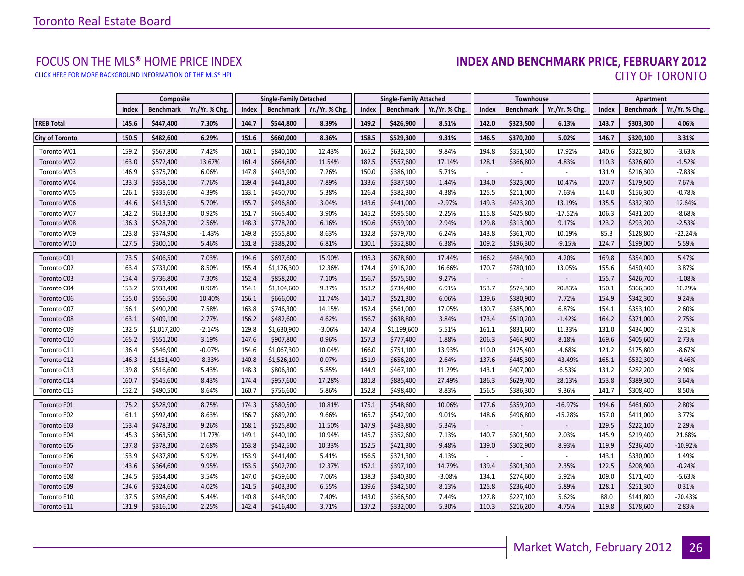# FOCUS ON THE MLS® HOME PRICE INDEX<br>INDEX AND BENCHMARK PRICE, FEBRUARY 2012 CLICK HERE FOR MORE BACKGROUND INFORMATION OF THE MLS® HPI CITY OF TORONTO

|                        |       | Composite        |                |       | <b>Single-Family Detached</b> |                |       | <b>Single-Family Attached</b> |                | <b>Townhouse</b>         |                  |                | Apartment |                  |                |
|------------------------|-------|------------------|----------------|-------|-------------------------------|----------------|-------|-------------------------------|----------------|--------------------------|------------------|----------------|-----------|------------------|----------------|
|                        | Index | <b>Benchmark</b> | Yr./Yr. % Chg. | Index | <b>Benchmark</b>              | Yr./Yr. % Chg. | Index | <b>Benchmark</b>              | Yr./Yr. % Chg. | Index                    | <b>Benchmark</b> | Yr./Yr. % Chg. | Index     | <b>Benchmark</b> | Yr./Yr. % Chg. |
| <b>TREB Total</b>      | 145.6 | \$447,400        | 7.30%          | 144.7 | \$544,800                     | 8.39%          | 149.2 | \$426,900                     | 8.51%          | 142.0                    | \$323,500        | 6.13%          | 143.7     | \$303,300        | 4.06%          |
| <b>City of Toronto</b> | 150.5 | \$482,600        | 6.29%          | 151.6 | \$660,000                     | 8.36%          | 158.5 | \$529,300                     | 9.31%          | 146.5                    | \$370,200        | 5.02%          | 146.7     | \$320,100        | 3.31%          |
| Toronto W01            | 159.2 | \$567,800        | 7.42%          | 160.1 | \$840,100                     | 12.43%         | 165.2 | \$632,500                     | 9.84%          | 194.8                    | \$351,500        | 17.92%         | 140.6     | \$322,800        | $-3.63%$       |
| Toronto W02            | 163.0 | \$572,400        | 13.67%         | 161.4 | \$664,800                     | 11.54%         | 182.5 | \$557,600                     | 17.14%         | 128.1                    | \$366,800        | 4.83%          | 110.3     | \$326,600        | $-1.52%$       |
| Toronto W03            | 146.9 | \$375,700        | 6.06%          | 147.8 | \$403,900                     | 7.26%          | 150.0 | \$386,100                     | 5.71%          |                          |                  |                | 131.9     | \$216,300        | $-7.83%$       |
| Toronto W04            | 133.3 | \$358,100        | 7.76%          | 139.4 | \$441,800                     | 7.89%          | 133.6 | \$387,500                     | 1.44%          | 134.0                    | \$323,000        | 10.47%         | 120.7     | \$179,500        | 7.67%          |
| Toronto W05            | 126.1 | \$335,600        | 4.39%          | 133.1 | \$450,700                     | 5.38%          | 126.4 | \$382,300                     | 4.38%          | 125.5                    | \$211,000        | 7.63%          | 114.0     | \$156,300        | $-0.78%$       |
| Toronto W06            | 144.6 | \$413,500        | 5.70%          | 155.7 | \$496,800                     | 3.04%          | 143.6 | \$441,000                     | $-2.97%$       | 149.3                    | \$423,200        | 13.19%         | 135.5     | \$332,300        | 12.64%         |
| Toronto W07            | 142.2 | \$613,300        | 0.92%          | 151.7 | \$665,400                     | 3.90%          | 145.2 | \$595,500                     | 2.25%          | 115.8                    | \$425,800        | $-17.52%$      | 106.3     | \$431,200        | $-8.68%$       |
| Toronto W08            | 136.3 | \$528,700        | 2.56%          | 148.3 | \$778,200                     | 6.16%          | 150.6 | \$559,900                     | 2.94%          | 129.8                    | \$313,000        | 9.17%          | 123.2     | \$293,200        | $-2.53%$       |
| Toronto W09            | 123.8 | \$374,900        | $-1.43%$       | 149.8 | \$555,800                     | 8.63%          | 132.8 | \$379,700                     | 6.24%          | 143.8                    | \$361,700        | 10.19%         | 85.3      | \$128,800        | $-22.24%$      |
| Toronto W10            | 127.5 | \$300,100        | 5.46%          | 131.8 | \$388,200                     | 6.81%          | 130.1 | \$352,800                     | 6.38%          | 109.2                    | \$196,300        | $-9.15%$       | 124.7     | \$199,000        | 5.59%          |
| Toronto C01            | 173.5 | \$406,500        | 7.03%          | 194.6 | \$697,600                     | 15.90%         | 195.3 | \$678,600                     | 17.44%         | 166.2                    | \$484,900        | 4.20%          | 169.8     | \$354,000        | 5.47%          |
| Toronto C02            | 163.4 | \$733,000        | 8.50%          | 155.4 | \$1,176,300                   | 12.36%         | 174.4 | \$916,200                     | 16.66%         | 170.7                    | \$780,100        | 13.05%         | 155.6     | \$450,400        | 3.87%          |
| Toronto C03            | 154.4 | \$736,800        | 7.30%          | 152.4 | \$858,200                     | 7.10%          | 156.7 | \$575,500                     | 9.27%          |                          |                  |                | 155.7     | \$426,700        | $-1.08%$       |
| Toronto C04            | 153.2 | \$933,400        | 8.96%          | 154.1 | \$1,104,600                   | 9.37%          | 153.2 | \$734,400                     | 6.91%          | 153.7                    | \$574,300        | 20.83%         | 150.1     | \$366,300        | 10.29%         |
| Toronto C06            | 155.0 | \$556,500        | 10.40%         | 156.1 | \$666,000                     | 11.74%         | 141.7 | \$521,300                     | 6.06%          | 139.6                    | \$380,900        | 7.72%          | 154.9     | \$342,300        | 9.24%          |
| Toronto C07            | 156.1 | \$490,200        | 7.58%          | 163.8 | \$746,300                     | 14.15%         | 152.4 | \$561,000                     | 17.05%         | 130.7                    | \$385,000        | 6.87%          | 154.1     | \$353,100        | 2.60%          |
| Toronto C08            | 163.1 | \$409,100        | 2.77%          | 156.2 | \$482,600                     | 4.62%          | 156.7 | \$638,800                     | 3.84%          | 173.4                    | \$510,200        | $-1.42%$       | 164.2     | \$371,000        | 2.75%          |
| Toronto C09            | 132.5 | \$1,017,200      | $-2.14%$       | 129.8 | \$1,630,900                   | $-3.06%$       | 147.4 | \$1,199,600                   | 5.51%          | 161.1                    | \$831,600        | 11.33%         | 131.0     | \$434,000        | $-2.31%$       |
| Toronto C10            | 165.2 | \$551,200        | 3.19%          | 147.6 | \$907,800                     | 0.96%          | 157.3 | \$777,400                     | 1.88%          | 206.3                    | \$464,900        | 8.18%          | 169.6     | \$405,600        | 2.73%          |
| Toronto C11            | 136.4 | \$546,900        | $-0.07%$       | 154.6 | \$1,067,300                   | 10.04%         | 166.0 | \$751,100                     | 13.93%         | 110.0                    | \$175,400        | $-4.68%$       | 121.2     | \$175,800        | $-8.67%$       |
| Toronto C12            | 146.3 | \$1,151,400      | $-8.33%$       | 140.8 | \$1,526,100                   | 0.07%          | 151.9 | \$656,200                     | 2.64%          | 137.6                    | \$445,300        | $-43.49%$      | 165.1     | \$532,300        | $-4.46%$       |
| Toronto C13            | 139.8 | \$516,600        | 5.43%          | 148.3 | \$806,300                     | 5.85%          | 144.9 | \$467,100                     | 11.29%         | 143.1                    | \$407,000        | $-6.53%$       | 131.2     | \$282,200        | 2.90%          |
| Toronto C14            | 160.7 | \$545,600        | 8.43%          | 174.4 | \$957,600                     | 17.28%         | 181.8 | \$885,400                     | 27.49%         | 186.3                    | \$629,700        | 28.13%         | 153.8     | \$389,300        | 3.64%          |
| Toronto C15            | 152.2 | \$490,500        | 8.64%          | 160.7 | \$756,600                     | 5.86%          | 152.8 | \$498,400                     | 8.83%          | 156.5                    | \$386,300        | 9.36%          | 141.7     | \$308,400        | 8.50%          |
| Toronto E01            | 175.2 | \$528,900        | 8.75%          | 174.3 | \$580,500                     | 10.81%         | 175.1 | \$548,600                     | 10.06%         | 177.6                    | \$359,200        | $-16.97%$      | 194.6     | \$461,600        | 2.80%          |
| Toronto E02            | 161.1 | \$592,400        | 8.63%          | 156.7 | \$689,200                     | 9.66%          | 165.7 | \$542,900                     | 9.01%          | 148.6                    | \$496,800        | $-15.28%$      | 157.0     | \$411,000        | 3.77%          |
| Toronto E03            | 153.4 | \$478,300        | 9.26%          | 158.1 | \$525,800                     | 11.50%         | 147.9 | \$483,800                     | 5.34%          | $\overline{\phantom{a}}$ |                  |                | 129.5     | \$222,100        | 2.29%          |
| Toronto E04            | 145.3 | \$363,500        | 11.77%         | 149.1 | \$440,100                     | 10.94%         | 145.7 | \$352,600                     | 7.13%          | 140.7                    | \$301,500        | 2.03%          | 145.9     | \$219,400        | 21.68%         |
| Toronto E05            | 137.8 | \$378,300        | 2.68%          | 153.8 | \$542,500                     | 10.33%         | 152.5 | \$421,300                     | 9.48%          | 139.0                    | \$302,900        | 8.93%          | 119.9     | \$236,400        | $-10.92%$      |
| Toronto E06            | 153.9 | \$437,800        | 5.92%          | 153.9 | \$441,400                     | 5.41%          | 156.5 | \$371,300                     | 4.13%          |                          |                  |                | 143.1     | \$330,000        | 1.49%          |
| Toronto E07            | 143.6 | \$364,600        | 9.95%          | 153.5 | \$502,700                     | 12.37%         | 152.1 | \$397,100                     | 14.79%         | 139.4                    | \$301,300        | 2.35%          | 122.5     | \$208,900        | $-0.24%$       |
| Toronto E08            | 134.5 | \$354,400        | 3.54%          | 147.0 | \$459,600                     | 7.06%          | 138.3 | \$340,300                     | $-3.08%$       | 134.1                    | \$274,600        | 5.92%          | 109.0     | \$171,400        | $-5.63%$       |
| Toronto E09            | 134.6 | \$324,600        | 4.02%          | 141.5 | \$403,300                     | 6.55%          | 139.6 | \$342,500                     | 8.13%          | 125.8                    | \$236,400        | 5.89%          | 128.1     | \$251,300        | 0.31%          |
| Toronto E10            | 137.5 | \$398,600        | 5.44%          | 140.8 | \$448,900                     | 7.40%          | 143.0 | \$366,500                     | 7.44%          | 127.8                    | \$227,100        | 5.62%          | 88.0      | \$141,800        | $-20.43%$      |
| Toronto E11            | 131.9 | \$316,100        | 2.25%          | 142.4 | \$416,400                     | 3.71%          | 137.2 | \$332,000                     | 5.30%          | 110.3                    | \$216,200        | 4.75%          | 119.8     | \$178,600        | 2.83%          |

<span id="page-25-0"></span>**Page 3 July 2010**